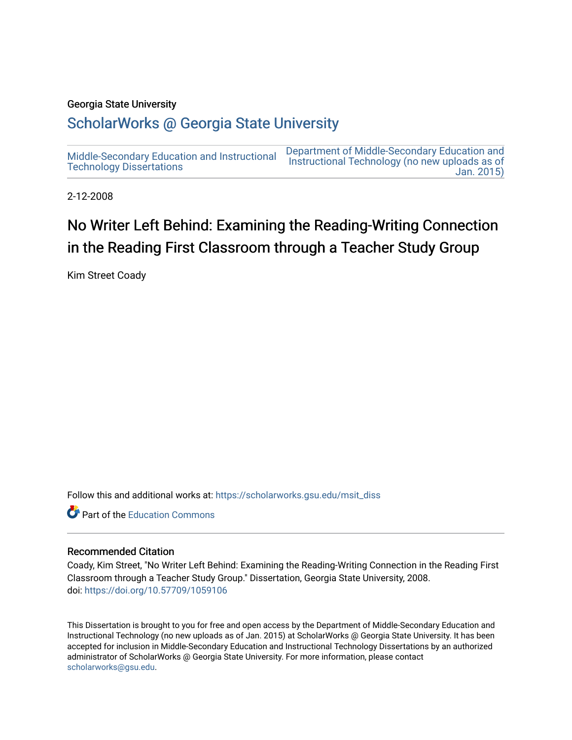### Georgia State University

# [ScholarWorks @ Georgia State University](https://scholarworks.gsu.edu/)

[Middle-Secondary Education and Instructional](https://scholarworks.gsu.edu/msit_diss) [Technology Dissertations](https://scholarworks.gsu.edu/msit_diss)  [Department of Middle-Secondary Education and](https://scholarworks.gsu.edu/msit)  [Instructional Technology \(no new uploads as of](https://scholarworks.gsu.edu/msit)  [Jan. 2015\)](https://scholarworks.gsu.edu/msit) 

2-12-2008

# No Writer Left Behind: Examining the Reading-Writing Connection in the Reading First Classroom through a Teacher Study Group

Kim Street Coady

Follow this and additional works at: [https://scholarworks.gsu.edu/msit\\_diss](https://scholarworks.gsu.edu/msit_diss?utm_source=scholarworks.gsu.edu%2Fmsit_diss%2F28&utm_medium=PDF&utm_campaign=PDFCoverPages) 

**C** Part of the [Education Commons](http://network.bepress.com/hgg/discipline/784?utm_source=scholarworks.gsu.edu%2Fmsit_diss%2F28&utm_medium=PDF&utm_campaign=PDFCoverPages)

### Recommended Citation

Coady, Kim Street, "No Writer Left Behind: Examining the Reading-Writing Connection in the Reading First Classroom through a Teacher Study Group." Dissertation, Georgia State University, 2008. doi: <https://doi.org/10.57709/1059106>

This Dissertation is brought to you for free and open access by the Department of Middle-Secondary Education and Instructional Technology (no new uploads as of Jan. 2015) at ScholarWorks @ Georgia State University. It has been accepted for inclusion in Middle-Secondary Education and Instructional Technology Dissertations by an authorized administrator of ScholarWorks @ Georgia State University. For more information, please contact [scholarworks@gsu.edu.](mailto:scholarworks@gsu.edu)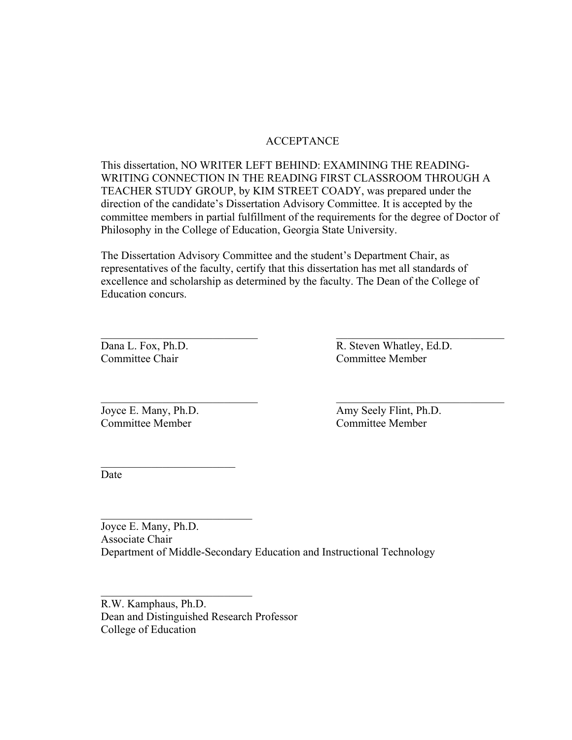## ACCEPTANCE

This dissertation, NO WRITER LEFT BEHIND: EXAMINING THE READING-WRITING CONNECTION IN THE READING FIRST CLASSROOM THROUGH A TEACHER STUDY GROUP, by KIM STREET COADY, was prepared under the direction of the candidate's Dissertation Advisory Committee. It is accepted by the committee members in partial fulfillment of the requirements for the degree of Doctor of Philosophy in the College of Education, Georgia State University.

The Dissertation Advisory Committee and the student's Department Chair, as representatives of the faculty, certify that this dissertation has met all standards of excellence and scholarship as determined by the faculty. The Dean of the College of Education concurs.

 $\mathcal{L}_\text{max}$  and the contract of the contract of the contract of the contract of the contract of the contract of

 $\mathcal{L}_\text{max}$  and the contract of the contract of the contract of the contract of the contract of the contract of

Dana L. Fox, Ph.D. R. Steven Whatley, Ed.D. Committee Chair Committee Member

Committee Member Committee Member

 $\mathcal{L}_\text{max}$ 

 $\mathcal{L}_\text{max}$ 

 $\mathcal{L}_\text{max}$  , where  $\mathcal{L}_\text{max}$  and  $\mathcal{L}_\text{max}$ 

Joyce E. Many, Ph.D. Amy Seely Flint, Ph.D.

Date

Joyce E. Many, Ph.D. Associate Chair Department of Middle-Secondary Education and Instructional Technology

R.W. Kamphaus, Ph.D. Dean and Distinguished Research Professor College of Education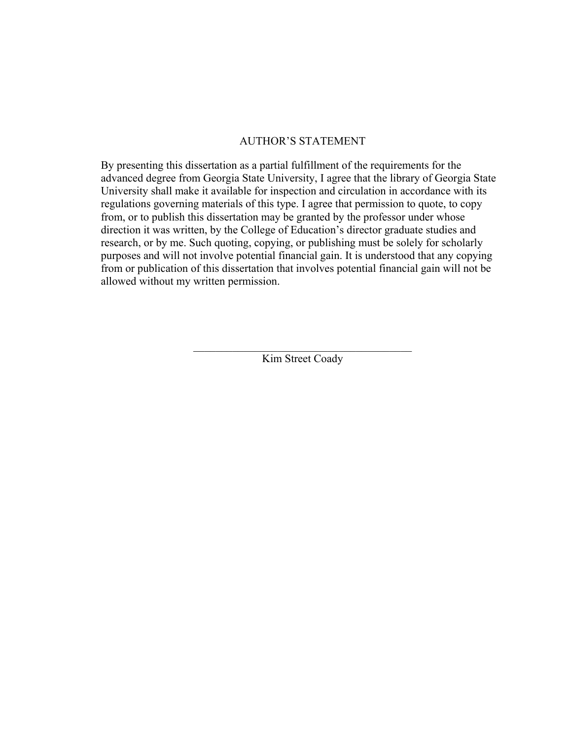### AUTHOR'S STATEMENT

By presenting this dissertation as a partial fulfillment of the requirements for the advanced degree from Georgia State University, I agree that the library of Georgia State University shall make it available for inspection and circulation in accordance with its regulations governing materials of this type. I agree that permission to quote, to copy from, or to publish this dissertation may be granted by the professor under whose direction it was written, by the College of Education's director graduate studies and research, or by me. Such quoting, copying, or publishing must be solely for scholarly purposes and will not involve potential financial gain. It is understood that any copying from or publication of this dissertation that involves potential financial gain will not be allowed without my written permission.

> $\mathcal{L}_\text{max}$  , and the set of the set of the set of the set of the set of the set of the set of the set of the set of the set of the set of the set of the set of the set of the set of the set of the set of the set of the Kim Street Coady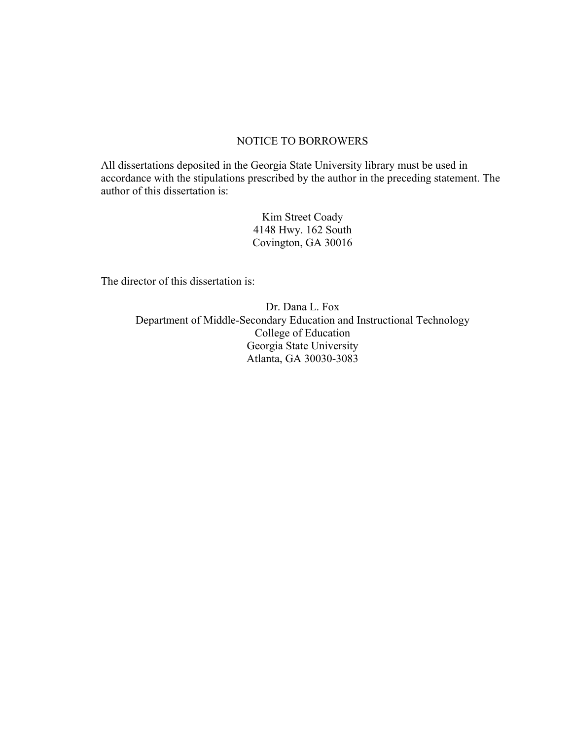### NOTICE TO BORROWERS

All dissertations deposited in the Georgia State University library must be used in accordance with the stipulations prescribed by the author in the preceding statement. The author of this dissertation is:

> Kim Street Coady 4148 Hwy. 162 South Covington, GA 30016

The director of this dissertation is:

Dr. Dana L. Fox Department of Middle-Secondary Education and Instructional Technology College of Education Georgia State University Atlanta, GA 30030-3083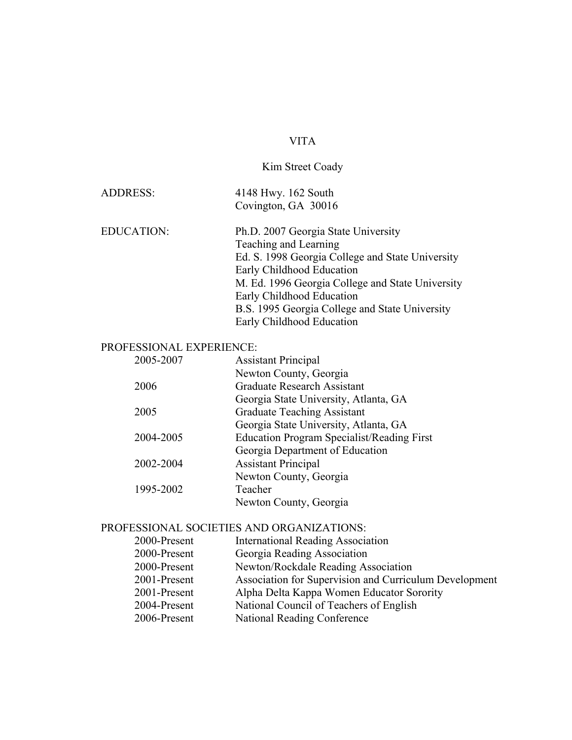# VITA

# Kim Street Coady

| ADDRESS: | 4148 Hwy. 162 South |
|----------|---------------------|
|          | Covington, GA 30016 |

| <b>EDUCATION:</b> | Ph.D. 2007 Georgia State University              |
|-------------------|--------------------------------------------------|
|                   | Teaching and Learning                            |
|                   | Ed. S. 1998 Georgia College and State University |
|                   | Early Childhood Education                        |
|                   | M. Ed. 1996 Georgia College and State University |
|                   | Early Childhood Education                        |
|                   | B.S. 1995 Georgia College and State University   |
|                   | Early Childhood Education                        |

# PROFESSIONAL EXPERIENCE:

| 2005-2007 | <b>Assistant Principal</b>                        |
|-----------|---------------------------------------------------|
|           | Newton County, Georgia                            |
| 2006      | Graduate Research Assistant                       |
|           | Georgia State University, Atlanta, GA             |
| 2005      | <b>Graduate Teaching Assistant</b>                |
|           | Georgia State University, Atlanta, GA             |
| 2004-2005 | <b>Education Program Specialist/Reading First</b> |
|           | Georgia Department of Education                   |
| 2002-2004 | <b>Assistant Principal</b>                        |
|           | Newton County, Georgia                            |
| 1995-2002 | Teacher                                           |
|           | Newton County, Georgia                            |
|           |                                                   |

# PROFESSIONAL SOCIETIES AND ORGANIZATIONS:

| 2000-Present | <b>International Reading Association</b>               |
|--------------|--------------------------------------------------------|
| 2000-Present | Georgia Reading Association                            |
| 2000-Present | Newton/Rockdale Reading Association                    |
| 2001-Present | Association for Supervision and Curriculum Development |
| 2001-Present | Alpha Delta Kappa Women Educator Sorority              |
| 2004-Present | National Council of Teachers of English                |
| 2006-Present | National Reading Conference                            |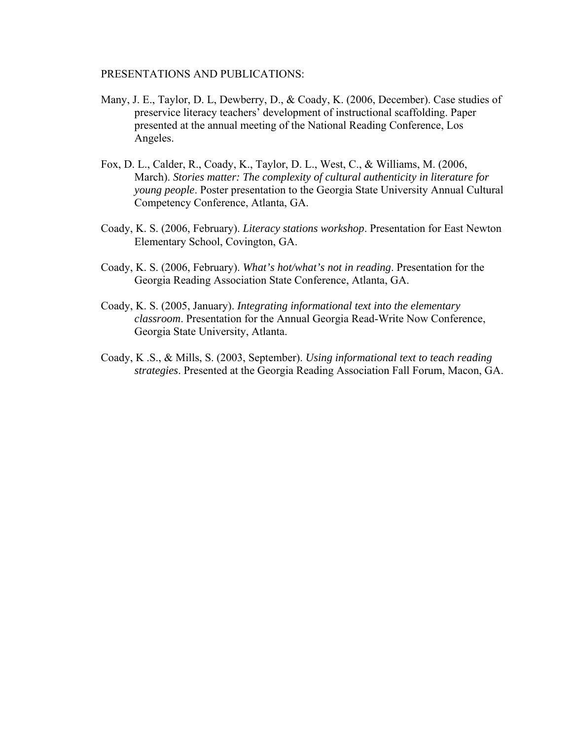### PRESENTATIONS AND PUBLICATIONS:

- Many, J. E., Taylor, D. L, Dewberry, D., & Coady, K. (2006, December). Case studies of preservice literacy teachers' development of instructional scaffolding. Paper presented at the annual meeting of the National Reading Conference, Los Angeles.
- Fox, D. L., Calder, R., Coady, K., Taylor, D. L., West, C., & Williams, M. (2006, March). *Stories matter: The complexity of cultural authenticity in literature for young people*. Poster presentation to the Georgia State University Annual Cultural Competency Conference, Atlanta, GA.
- Coady, K. S. (2006, February). *Literacy stations workshop*. Presentation for East Newton Elementary School, Covington, GA.
- Coady, K. S. (2006, February). *What's hot/what's not in reading*. Presentation for the Georgia Reading Association State Conference, Atlanta, GA.
- Coady, K. S. (2005, January). *Integrating informational text into the elementary classroom*. Presentation for the Annual Georgia Read-Write Now Conference, Georgia State University, Atlanta.
- Coady, K .S., & Mills, S. (2003, September). *Using informational text to teach reading strategies*. Presented at the Georgia Reading Association Fall Forum, Macon, GA.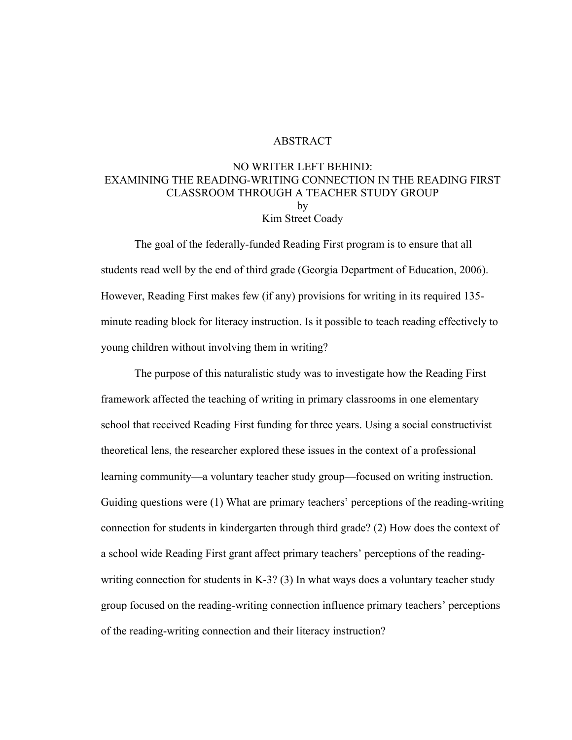### ABSTRACT

### NO WRITER LEFT BEHIND: EXAMINING THE READING-WRITING CONNECTION IN THE READING FIRST CLASSROOM THROUGH A TEACHER STUDY GROUP by Kim Street Coady

The goal of the federally-funded Reading First program is to ensure that all students read well by the end of third grade (Georgia Department of Education, 2006). However, Reading First makes few (if any) provisions for writing in its required 135 minute reading block for literacy instruction. Is it possible to teach reading effectively to young children without involving them in writing?

The purpose of this naturalistic study was to investigate how the Reading First framework affected the teaching of writing in primary classrooms in one elementary school that received Reading First funding for three years. Using a social constructivist theoretical lens, the researcher explored these issues in the context of a professional learning community—a voluntary teacher study group—focused on writing instruction. Guiding questions were (1) What are primary teachers' perceptions of the reading-writing connection for students in kindergarten through third grade? (2) How does the context of a school wide Reading First grant affect primary teachers' perceptions of the readingwriting connection for students in K-3? (3) In what ways does a voluntary teacher study group focused on the reading-writing connection influence primary teachers' perceptions of the reading-writing connection and their literacy instruction?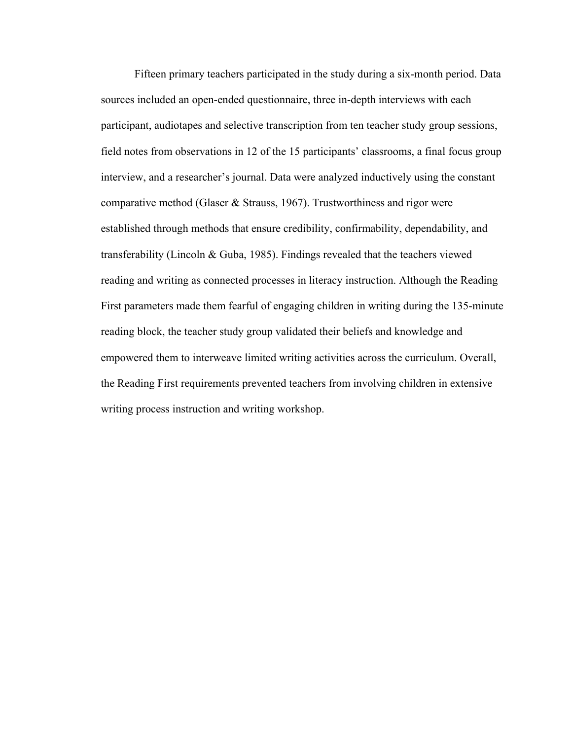Fifteen primary teachers participated in the study during a six-month period. Data sources included an open-ended questionnaire, three in-depth interviews with each participant, audiotapes and selective transcription from ten teacher study group sessions, field notes from observations in 12 of the 15 participants' classrooms, a final focus group interview, and a researcher's journal. Data were analyzed inductively using the constant comparative method (Glaser & Strauss, 1967). Trustworthiness and rigor were established through methods that ensure credibility, confirmability, dependability, and transferability (Lincoln & Guba, 1985). Findings revealed that the teachers viewed reading and writing as connected processes in literacy instruction. Although the Reading First parameters made them fearful of engaging children in writing during the 135-minute reading block, the teacher study group validated their beliefs and knowledge and empowered them to interweave limited writing activities across the curriculum. Overall, the Reading First requirements prevented teachers from involving children in extensive writing process instruction and writing workshop.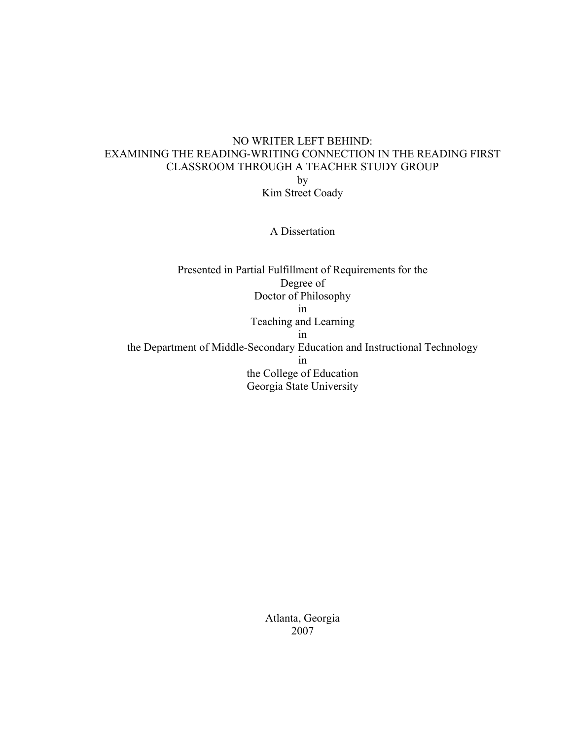# NO WRITER LEFT BEHIND: EXAMINING THE READING-WRITING CONNECTION IN THE READING FIRST CLASSROOM THROUGH A TEACHER STUDY GROUP by Kim Street Coady

A Dissertation

Presented in Partial Fulfillment of Requirements for the Degree of Doctor of Philosophy in Teaching and Learning in the Department of Middle-Secondary Education and Instructional Technology in the College of Education Georgia State University

> Atlanta, Georgia 2007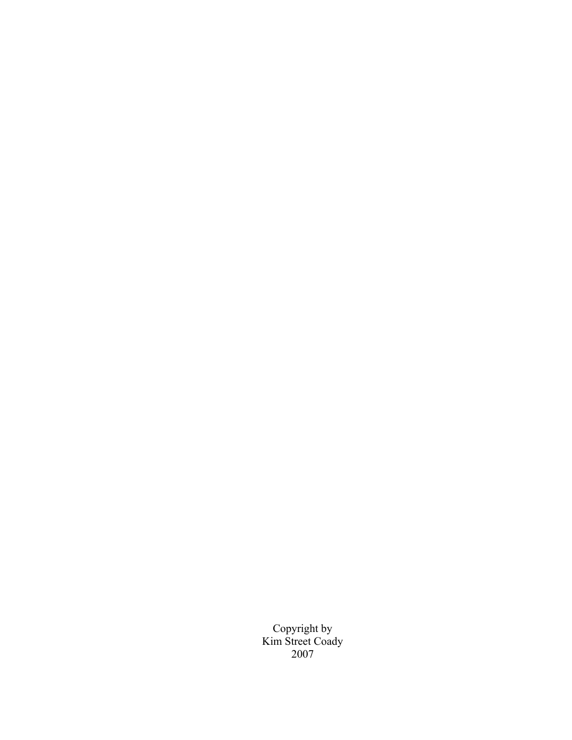Copyright by Kim Street Coady 2007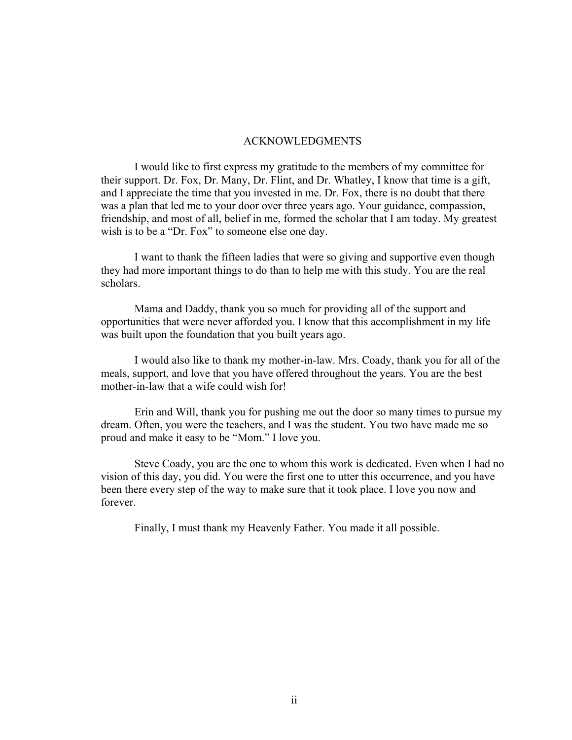#### ACKNOWLEDGMENTS

 I would like to first express my gratitude to the members of my committee for their support. Dr. Fox, Dr. Many, Dr. Flint, and Dr. Whatley, I know that time is a gift, and I appreciate the time that you invested in me. Dr. Fox, there is no doubt that there was a plan that led me to your door over three years ago. Your guidance, compassion, friendship, and most of all, belief in me, formed the scholar that I am today. My greatest wish is to be a "Dr. Fox" to someone else one day.

 I want to thank the fifteen ladies that were so giving and supportive even though they had more important things to do than to help me with this study. You are the real scholars.

 Mama and Daddy, thank you so much for providing all of the support and opportunities that were never afforded you. I know that this accomplishment in my life was built upon the foundation that you built years ago.

 I would also like to thank my mother-in-law. Mrs. Coady, thank you for all of the meals, support, and love that you have offered throughout the years. You are the best mother-in-law that a wife could wish for!

 Erin and Will, thank you for pushing me out the door so many times to pursue my dream. Often, you were the teachers, and I was the student. You two have made me so proud and make it easy to be "Mom." I love you.

 Steve Coady, you are the one to whom this work is dedicated. Even when I had no vision of this day, you did. You were the first one to utter this occurrence, and you have been there every step of the way to make sure that it took place. I love you now and forever.

Finally, I must thank my Heavenly Father. You made it all possible.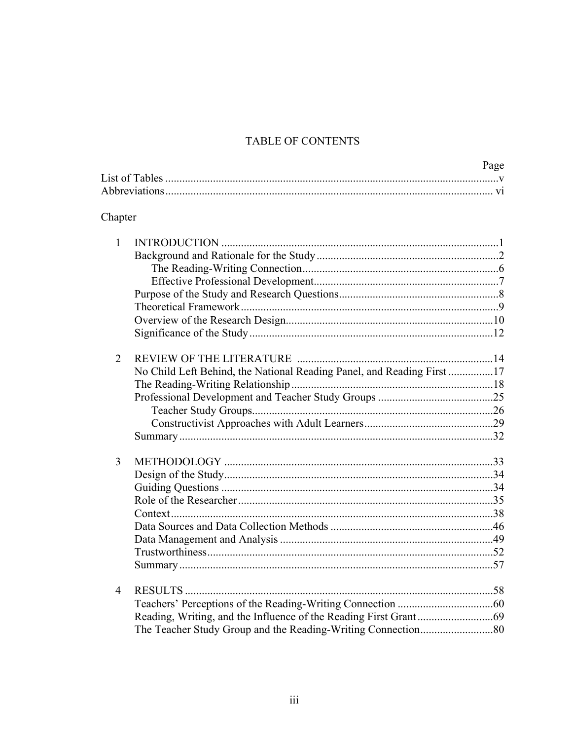# TABLE OF CONTENTS

|                |                                                                        | Page |
|----------------|------------------------------------------------------------------------|------|
|                |                                                                        |      |
| Chapter        |                                                                        |      |
| $\mathbf{1}$   |                                                                        |      |
|                |                                                                        |      |
|                |                                                                        |      |
|                |                                                                        |      |
|                |                                                                        |      |
|                |                                                                        |      |
|                |                                                                        |      |
|                |                                                                        |      |
| $\overline{2}$ |                                                                        |      |
|                | No Child Left Behind, the National Reading Panel, and Reading First 17 |      |
|                |                                                                        |      |
|                |                                                                        |      |
|                |                                                                        |      |
|                |                                                                        |      |
|                |                                                                        |      |
| 3              |                                                                        |      |
|                |                                                                        |      |
|                |                                                                        |      |
|                |                                                                        |      |
|                |                                                                        |      |
|                |                                                                        |      |
|                |                                                                        |      |
|                |                                                                        |      |
|                |                                                                        |      |
| 4              |                                                                        |      |
|                |                                                                        |      |
|                |                                                                        |      |
|                |                                                                        |      |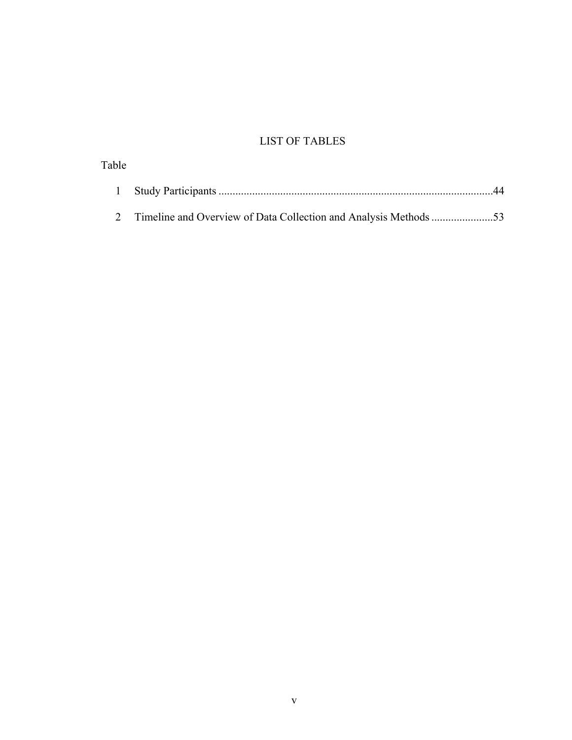# LIST OF TABLES

| Table |    |
|-------|----|
|       | 44 |
|       |    |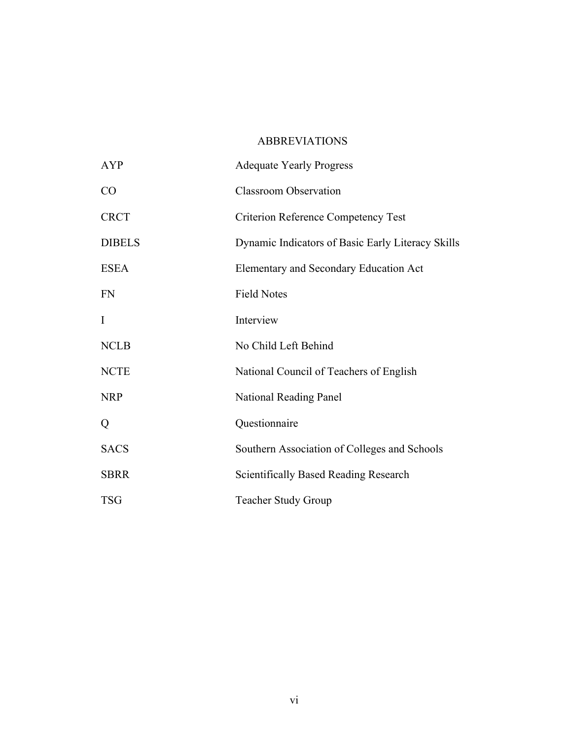# ABBREVIATIONS

| AYP           | <b>Adequate Yearly Progress</b>                   |
|---------------|---------------------------------------------------|
| CO            | <b>Classroom Observation</b>                      |
| <b>CRCT</b>   | <b>Criterion Reference Competency Test</b>        |
| <b>DIBELS</b> | Dynamic Indicators of Basic Early Literacy Skills |
| <b>ESEA</b>   | Elementary and Secondary Education Act            |
| <b>FN</b>     | <b>Field Notes</b>                                |
| I             | Interview                                         |
| <b>NCLB</b>   | No Child Left Behind                              |
| <b>NCTE</b>   | National Council of Teachers of English           |
| <b>NRP</b>    | National Reading Panel                            |
| Q             | Questionnaire                                     |
| <b>SACS</b>   | Southern Association of Colleges and Schools      |
| <b>SBRR</b>   | <b>Scientifically Based Reading Research</b>      |
| <b>TSG</b>    | <b>Teacher Study Group</b>                        |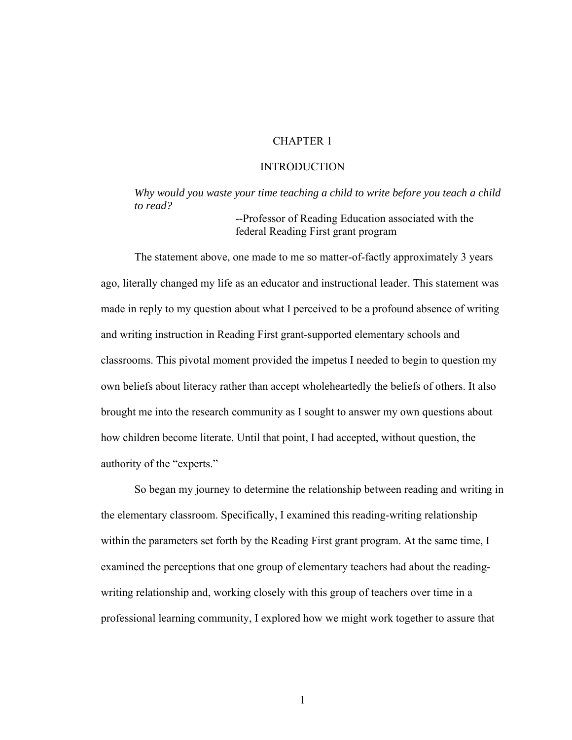### CHAPTER 1

### INTRODUCTION

*Why would you waste your time teaching a child to write before you teach a child to read?* 

> *--*Professor of Reading Education associated with the federal Reading First grant program

 The statement above, one made to me so matter-of-factly approximately 3 years ago, literally changed my life as an educator and instructional leader. This statement was made in reply to my question about what I perceived to be a profound absence of writing and writing instruction in Reading First grant-supported elementary schools and classrooms. This pivotal moment provided the impetus I needed to begin to question my own beliefs about literacy rather than accept wholeheartedly the beliefs of others. It also brought me into the research community as I sought to answer my own questions about how children become literate. Until that point, I had accepted, without question, the authority of the "experts."

 So began my journey to determine the relationship between reading and writing in the elementary classroom. Specifically, I examined this reading-writing relationship within the parameters set forth by the Reading First grant program. At the same time, I examined the perceptions that one group of elementary teachers had about the readingwriting relationship and, working closely with this group of teachers over time in a professional learning community, I explored how we might work together to assure that

1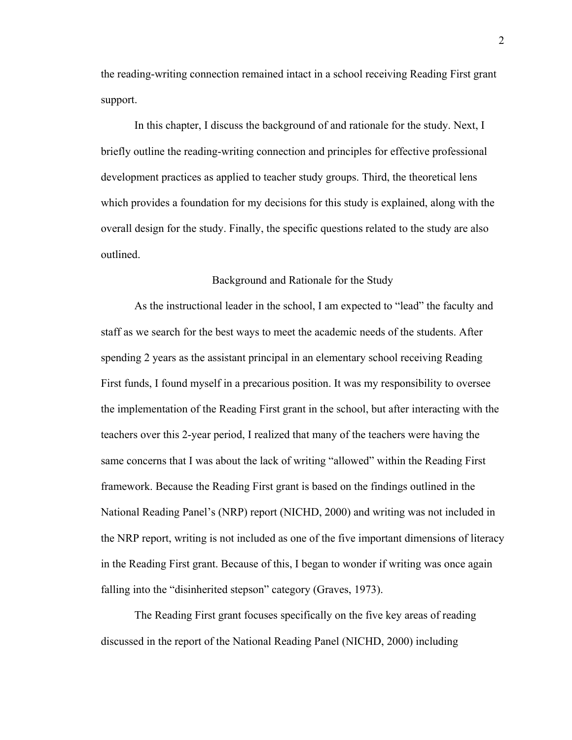the reading-writing connection remained intact in a school receiving Reading First grant support.

 In this chapter, I discuss the background of and rationale for the study. Next, I briefly outline the reading-writing connection and principles for effective professional development practices as applied to teacher study groups. Third, the theoretical lens which provides a foundation for my decisions for this study is explained, along with the overall design for the study. Finally, the specific questions related to the study are also outlined.

### Background and Rationale for the Study

 As the instructional leader in the school, I am expected to "lead" the faculty and staff as we search for the best ways to meet the academic needs of the students. After spending 2 years as the assistant principal in an elementary school receiving Reading First funds, I found myself in a precarious position. It was my responsibility to oversee the implementation of the Reading First grant in the school, but after interacting with the teachers over this 2-year period, I realized that many of the teachers were having the same concerns that I was about the lack of writing "allowed" within the Reading First framework. Because the Reading First grant is based on the findings outlined in the National Reading Panel's (NRP) report (NICHD, 2000) and writing was not included in the NRP report, writing is not included as one of the five important dimensions of literacy in the Reading First grant. Because of this, I began to wonder if writing was once again falling into the "disinherited stepson" category (Graves, 1973).

 The Reading First grant focuses specifically on the five key areas of reading discussed in the report of the National Reading Panel (NICHD, 2000) including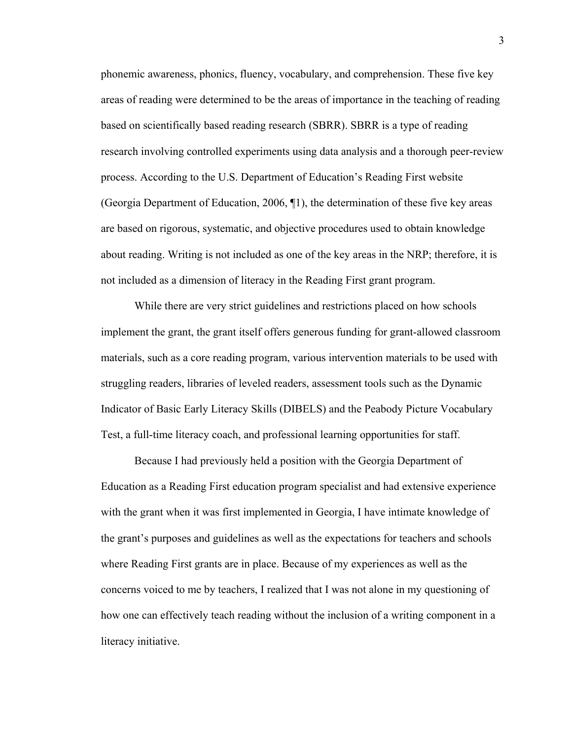phonemic awareness, phonics, fluency, vocabulary, and comprehension. These five key areas of reading were determined to be the areas of importance in the teaching of reading based on scientifically based reading research (SBRR). SBRR is a type of reading research involving controlled experiments using data analysis and a thorough peer-review process. According to the U.S. Department of Education's Reading First website (Georgia Department of Education, 2006, ¶1), the determination of these five key areas are based on rigorous, systematic, and objective procedures used to obtain knowledge about reading. Writing is not included as one of the key areas in the NRP; therefore, it is not included as a dimension of literacy in the Reading First grant program.

 While there are very strict guidelines and restrictions placed on how schools implement the grant, the grant itself offers generous funding for grant-allowed classroom materials, such as a core reading program, various intervention materials to be used with struggling readers, libraries of leveled readers, assessment tools such as the Dynamic Indicator of Basic Early Literacy Skills (DIBELS) and the Peabody Picture Vocabulary Test, a full-time literacy coach, and professional learning opportunities for staff.

 Because I had previously held a position with the Georgia Department of Education as a Reading First education program specialist and had extensive experience with the grant when it was first implemented in Georgia, I have intimate knowledge of the grant's purposes and guidelines as well as the expectations for teachers and schools where Reading First grants are in place. Because of my experiences as well as the concerns voiced to me by teachers, I realized that I was not alone in my questioning of how one can effectively teach reading without the inclusion of a writing component in a literacy initiative.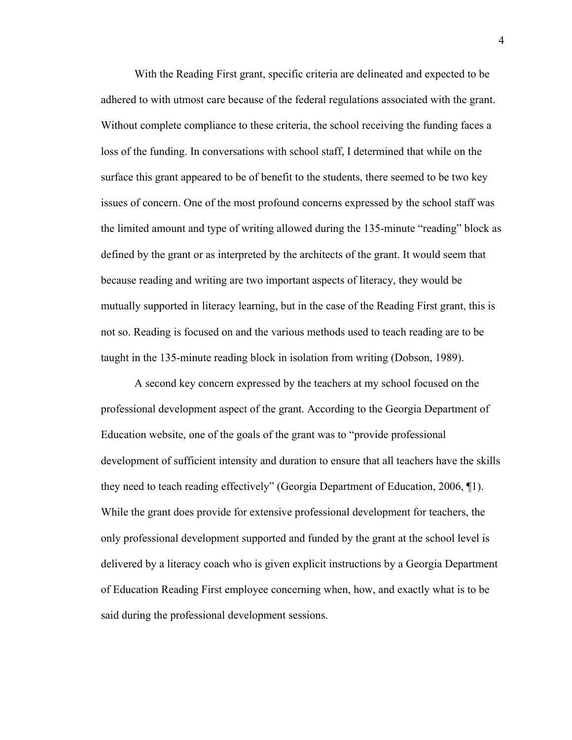With the Reading First grant, specific criteria are delineated and expected to be adhered to with utmost care because of the federal regulations associated with the grant. Without complete compliance to these criteria, the school receiving the funding faces a loss of the funding. In conversations with school staff, I determined that while on the surface this grant appeared to be of benefit to the students, there seemed to be two key issues of concern. One of the most profound concerns expressed by the school staff was the limited amount and type of writing allowed during the 135-minute "reading" block as defined by the grant or as interpreted by the architects of the grant. It would seem that because reading and writing are two important aspects of literacy, they would be mutually supported in literacy learning, but in the case of the Reading First grant, this is not so. Reading is focused on and the various methods used to teach reading are to be taught in the 135-minute reading block in isolation from writing (Dobson, 1989).

 A second key concern expressed by the teachers at my school focused on the professional development aspect of the grant. According to the Georgia Department of Education website, one of the goals of the grant was to "provide professional development of sufficient intensity and duration to ensure that all teachers have the skills they need to teach reading effectively" (Georgia Department of Education, 2006, ¶1). While the grant does provide for extensive professional development for teachers, the only professional development supported and funded by the grant at the school level is delivered by a literacy coach who is given explicit instructions by a Georgia Department of Education Reading First employee concerning when, how, and exactly what is to be said during the professional development sessions.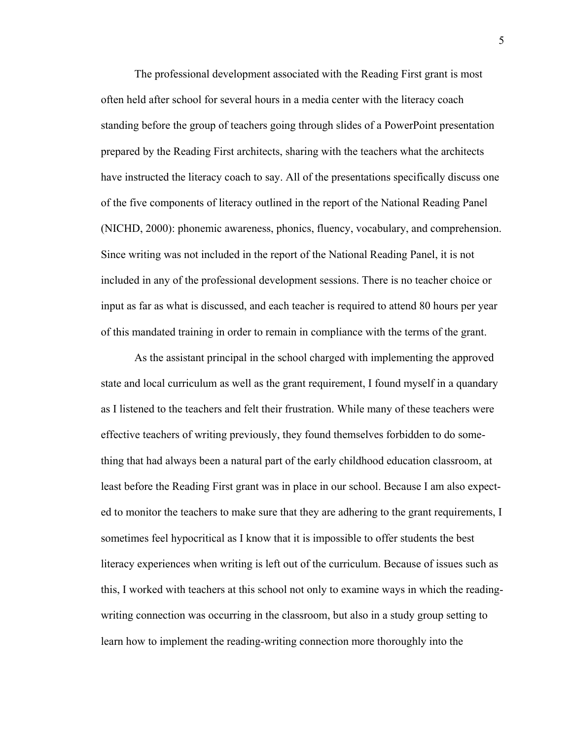The professional development associated with the Reading First grant is most often held after school for several hours in a media center with the literacy coach standing before the group of teachers going through slides of a PowerPoint presentation prepared by the Reading First architects, sharing with the teachers what the architects have instructed the literacy coach to say. All of the presentations specifically discuss one of the five components of literacy outlined in the report of the National Reading Panel (NICHD, 2000): phonemic awareness, phonics, fluency, vocabulary, and comprehension. Since writing was not included in the report of the National Reading Panel, it is not included in any of the professional development sessions. There is no teacher choice or input as far as what is discussed, and each teacher is required to attend 80 hours per year of this mandated training in order to remain in compliance with the terms of the grant.

 As the assistant principal in the school charged with implementing the approved state and local curriculum as well as the grant requirement, I found myself in a quandary as I listened to the teachers and felt their frustration. While many of these teachers were effective teachers of writing previously, they found themselves forbidden to do something that had always been a natural part of the early childhood education classroom, at least before the Reading First grant was in place in our school. Because I am also expected to monitor the teachers to make sure that they are adhering to the grant requirements, I sometimes feel hypocritical as I know that it is impossible to offer students the best literacy experiences when writing is left out of the curriculum. Because of issues such as this, I worked with teachers at this school not only to examine ways in which the readingwriting connection was occurring in the classroom, but also in a study group setting to learn how to implement the reading-writing connection more thoroughly into the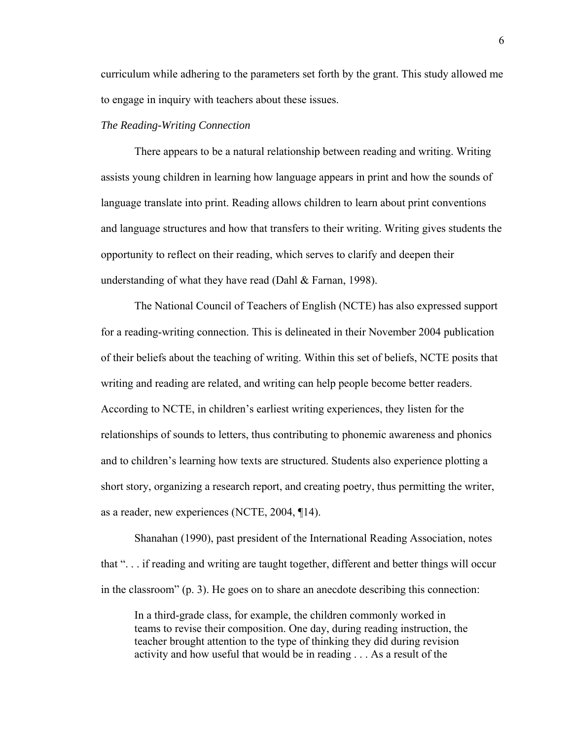curriculum while adhering to the parameters set forth by the grant. This study allowed me to engage in inquiry with teachers about these issues.

## *The Reading-Writing Connection*

 There appears to be a natural relationship between reading and writing. Writing assists young children in learning how language appears in print and how the sounds of language translate into print. Reading allows children to learn about print conventions and language structures and how that transfers to their writing. Writing gives students the opportunity to reflect on their reading, which serves to clarify and deepen their understanding of what they have read (Dahl & Farnan, 1998).

 The National Council of Teachers of English (NCTE) has also expressed support for a reading-writing connection. This is delineated in their November 2004 publication of their beliefs about the teaching of writing. Within this set of beliefs, NCTE posits that writing and reading are related, and writing can help people become better readers. According to NCTE, in children's earliest writing experiences, they listen for the relationships of sounds to letters, thus contributing to phonemic awareness and phonics and to children's learning how texts are structured. Students also experience plotting a short story, organizing a research report, and creating poetry, thus permitting the writer, as a reader, new experiences (NCTE, 2004, ¶14).

 Shanahan (1990), past president of the International Reading Association, notes that ". . . if reading and writing are taught together, different and better things will occur in the classroom" (p. 3). He goes on to share an anecdote describing this connection:

In a third-grade class, for example, the children commonly worked in teams to revise their composition. One day, during reading instruction, the teacher brought attention to the type of thinking they did during revision activity and how useful that would be in reading . . . As a result of the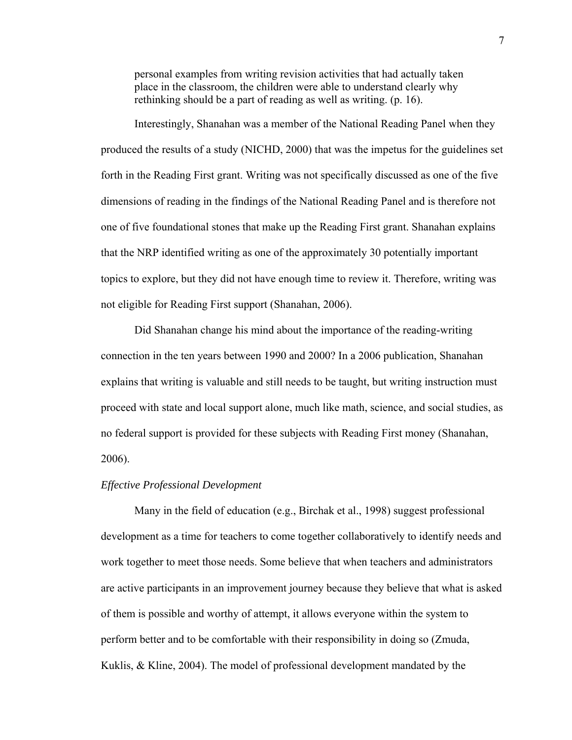personal examples from writing revision activities that had actually taken place in the classroom, the children were able to understand clearly why rethinking should be a part of reading as well as writing. (p. 16).

 Interestingly, Shanahan was a member of the National Reading Panel when they produced the results of a study (NICHD, 2000) that was the impetus for the guidelines set forth in the Reading First grant. Writing was not specifically discussed as one of the five dimensions of reading in the findings of the National Reading Panel and is therefore not one of five foundational stones that make up the Reading First grant. Shanahan explains that the NRP identified writing as one of the approximately 30 potentially important topics to explore, but they did not have enough time to review it. Therefore, writing was not eligible for Reading First support (Shanahan, 2006).

 Did Shanahan change his mind about the importance of the reading-writing connection in the ten years between 1990 and 2000? In a 2006 publication, Shanahan explains that writing is valuable and still needs to be taught, but writing instruction must proceed with state and local support alone, much like math, science, and social studies, as no federal support is provided for these subjects with Reading First money (Shanahan, 2006).

### *Effective Professional Development*

 Many in the field of education (e.g., Birchak et al., 1998) suggest professional development as a time for teachers to come together collaboratively to identify needs and work together to meet those needs. Some believe that when teachers and administrators are active participants in an improvement journey because they believe that what is asked of them is possible and worthy of attempt, it allows everyone within the system to perform better and to be comfortable with their responsibility in doing so (Zmuda, Kuklis, & Kline, 2004). The model of professional development mandated by the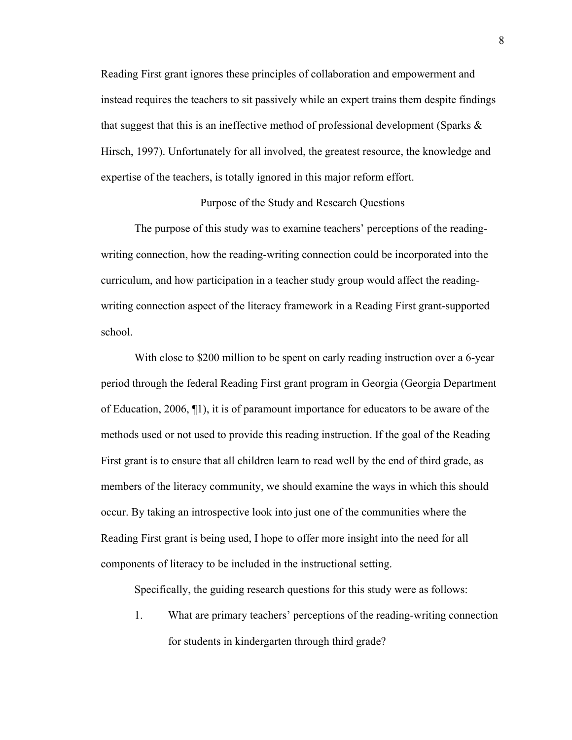Reading First grant ignores these principles of collaboration and empowerment and instead requires the teachers to sit passively while an expert trains them despite findings that suggest that this is an ineffective method of professional development (Sparks  $\&$ Hirsch, 1997). Unfortunately for all involved, the greatest resource, the knowledge and expertise of the teachers, is totally ignored in this major reform effort.

### Purpose of the Study and Research Questions

 The purpose of this study was to examine teachers' perceptions of the readingwriting connection, how the reading-writing connection could be incorporated into the curriculum, and how participation in a teacher study group would affect the readingwriting connection aspect of the literacy framework in a Reading First grant-supported school.

With close to \$200 million to be spent on early reading instruction over a 6-year period through the federal Reading First grant program in Georgia (Georgia Department of Education, 2006, ¶1), it is of paramount importance for educators to be aware of the methods used or not used to provide this reading instruction. If the goal of the Reading First grant is to ensure that all children learn to read well by the end of third grade, as members of the literacy community, we should examine the ways in which this should occur. By taking an introspective look into just one of the communities where the Reading First grant is being used, I hope to offer more insight into the need for all components of literacy to be included in the instructional setting.

Specifically, the guiding research questions for this study were as follows:

1. What are primary teachers' perceptions of the reading-writing connection for students in kindergarten through third grade?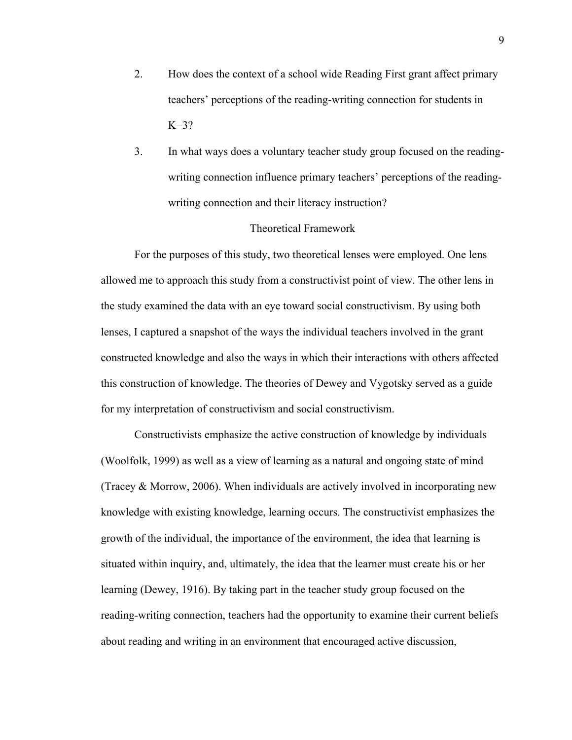- 2. How does the context of a school wide Reading First grant affect primary teachers' perceptions of the reading-writing connection for students in  $K=3?$
- 3. In what ways does a voluntary teacher study group focused on the readingwriting connection influence primary teachers' perceptions of the readingwriting connection and their literacy instruction?

#### Theoretical Framework

 For the purposes of this study, two theoretical lenses were employed. One lens allowed me to approach this study from a constructivist point of view. The other lens in the study examined the data with an eye toward social constructivism. By using both lenses, I captured a snapshot of the ways the individual teachers involved in the grant constructed knowledge and also the ways in which their interactions with others affected this construction of knowledge. The theories of Dewey and Vygotsky served as a guide for my interpretation of constructivism and social constructivism.

 Constructivists emphasize the active construction of knowledge by individuals (Woolfolk, 1999) as well as a view of learning as a natural and ongoing state of mind (Tracey & Morrow, 2006). When individuals are actively involved in incorporating new knowledge with existing knowledge, learning occurs. The constructivist emphasizes the growth of the individual, the importance of the environment, the idea that learning is situated within inquiry, and, ultimately, the idea that the learner must create his or her learning (Dewey, 1916). By taking part in the teacher study group focused on the reading-writing connection, teachers had the opportunity to examine their current beliefs about reading and writing in an environment that encouraged active discussion,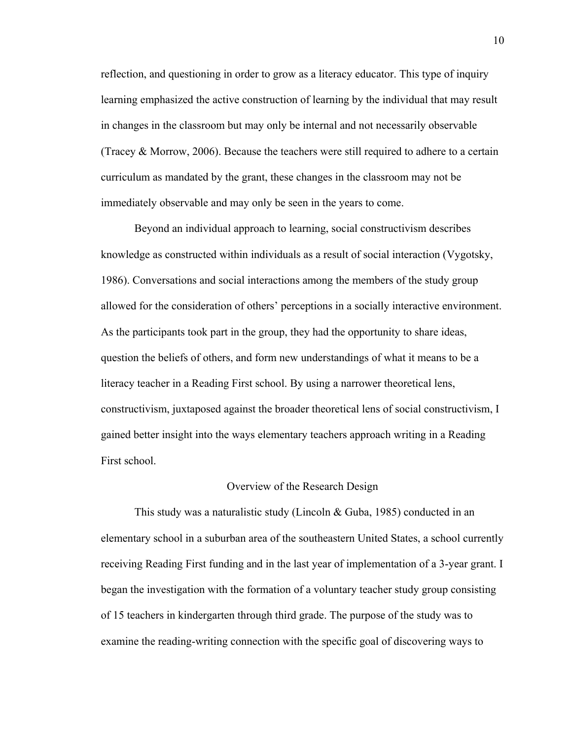reflection, and questioning in order to grow as a literacy educator. This type of inquiry learning emphasized the active construction of learning by the individual that may result in changes in the classroom but may only be internal and not necessarily observable (Tracey & Morrow, 2006). Because the teachers were still required to adhere to a certain curriculum as mandated by the grant, these changes in the classroom may not be immediately observable and may only be seen in the years to come.

 Beyond an individual approach to learning, social constructivism describes knowledge as constructed within individuals as a result of social interaction (Vygotsky, 1986). Conversations and social interactions among the members of the study group allowed for the consideration of others' perceptions in a socially interactive environment. As the participants took part in the group, they had the opportunity to share ideas, question the beliefs of others, and form new understandings of what it means to be a literacy teacher in a Reading First school. By using a narrower theoretical lens, constructivism, juxtaposed against the broader theoretical lens of social constructivism, I gained better insight into the ways elementary teachers approach writing in a Reading First school.

#### Overview of the Research Design

 This study was a naturalistic study (Lincoln & Guba, 1985) conducted in an elementary school in a suburban area of the southeastern United States, a school currently receiving Reading First funding and in the last year of implementation of a 3-year grant. I began the investigation with the formation of a voluntary teacher study group consisting of 15 teachers in kindergarten through third grade. The purpose of the study was to examine the reading-writing connection with the specific goal of discovering ways to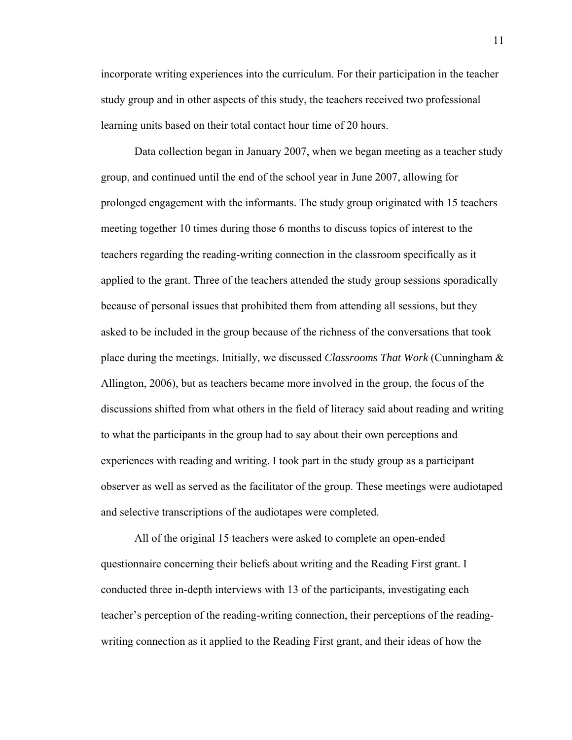incorporate writing experiences into the curriculum. For their participation in the teacher study group and in other aspects of this study, the teachers received two professional learning units based on their total contact hour time of 20 hours.

 Data collection began in January 2007, when we began meeting as a teacher study group, and continued until the end of the school year in June 2007, allowing for prolonged engagement with the informants. The study group originated with 15 teachers meeting together 10 times during those 6 months to discuss topics of interest to the teachers regarding the reading-writing connection in the classroom specifically as it applied to the grant. Three of the teachers attended the study group sessions sporadically because of personal issues that prohibited them from attending all sessions, but they asked to be included in the group because of the richness of the conversations that took place during the meetings. Initially, we discussed *Classrooms That Work* (Cunningham & Allington, 2006), but as teachers became more involved in the group, the focus of the discussions shifted from what others in the field of literacy said about reading and writing to what the participants in the group had to say about their own perceptions and experiences with reading and writing. I took part in the study group as a participant observer as well as served as the facilitator of the group. These meetings were audiotaped and selective transcriptions of the audiotapes were completed.

 All of the original 15 teachers were asked to complete an open-ended questionnaire concerning their beliefs about writing and the Reading First grant. I conducted three in-depth interviews with 13 of the participants, investigating each teacher's perception of the reading-writing connection, their perceptions of the readingwriting connection as it applied to the Reading First grant, and their ideas of how the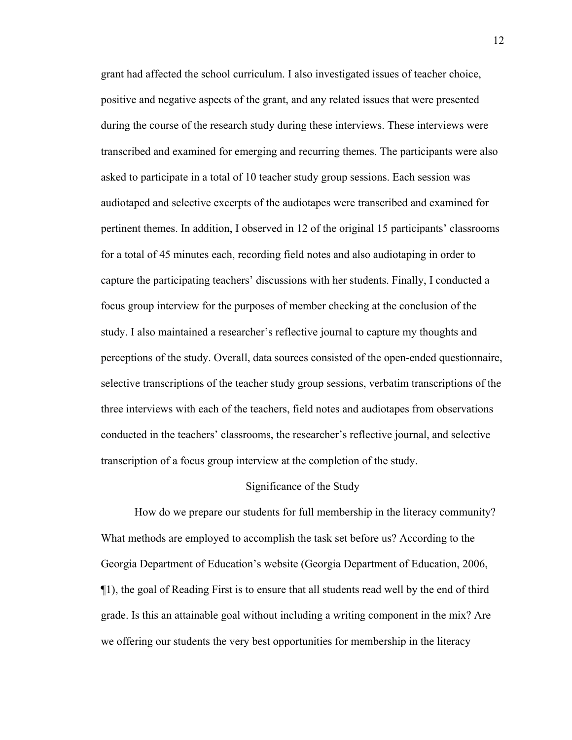grant had affected the school curriculum. I also investigated issues of teacher choice, positive and negative aspects of the grant, and any related issues that were presented during the course of the research study during these interviews. These interviews were transcribed and examined for emerging and recurring themes. The participants were also asked to participate in a total of 10 teacher study group sessions. Each session was audiotaped and selective excerpts of the audiotapes were transcribed and examined for pertinent themes. In addition, I observed in 12 of the original 15 participants' classrooms for a total of 45 minutes each, recording field notes and also audiotaping in order to capture the participating teachers' discussions with her students. Finally, I conducted a focus group interview for the purposes of member checking at the conclusion of the study. I also maintained a researcher's reflective journal to capture my thoughts and perceptions of the study. Overall, data sources consisted of the open-ended questionnaire, selective transcriptions of the teacher study group sessions, verbatim transcriptions of the three interviews with each of the teachers, field notes and audiotapes from observations conducted in the teachers' classrooms, the researcher's reflective journal, and selective transcription of a focus group interview at the completion of the study.

#### Significance of the Study

 How do we prepare our students for full membership in the literacy community? What methods are employed to accomplish the task set before us? According to the Georgia Department of Education's website (Georgia Department of Education, 2006, ¶1), the goal of Reading First is to ensure that all students read well by the end of third grade. Is this an attainable goal without including a writing component in the mix? Are we offering our students the very best opportunities for membership in the literacy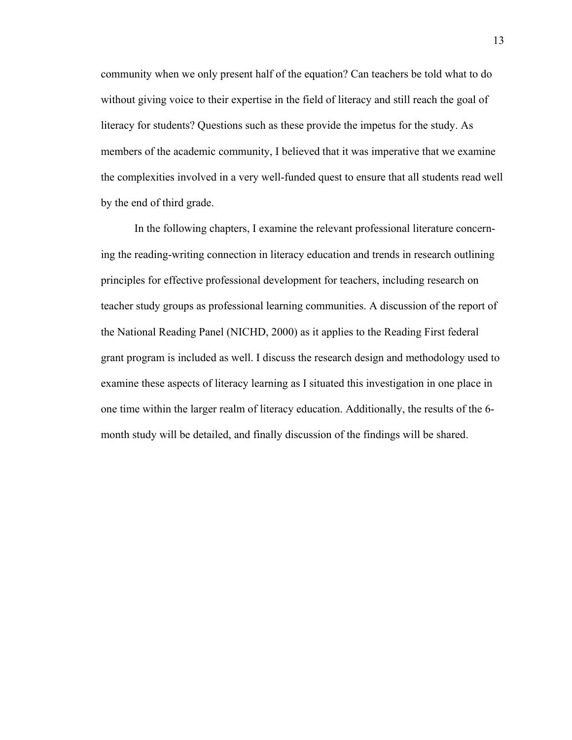community when we only present half of the equation? Can teachers be told what to do without giving voice to their expertise in the field of literacy and still reach the goal of literacy for students? Questions such as these provide the impetus for the study. As members of the academic community, I believed that it was imperative that we examine the complexities involved in a very well-funded quest to ensure that all students read well by the end of third grade.

 In the following chapters, I examine the relevant professional literature concerning the reading-writing connection in literacy education and trends in research outlining principles for effective professional development for teachers, including research on teacher study groups as professional learning communities. A discussion of the report of the National Reading Panel (NICHD, 2000) as it applies to the Reading First federal grant program is included as well. I discuss the research design and methodology used to examine these aspects of literacy learning as I situated this investigation in one place in one time within the larger realm of literacy education. Additionally, the results of the 6 month study will be detailed, and finally discussion of the findings will be shared.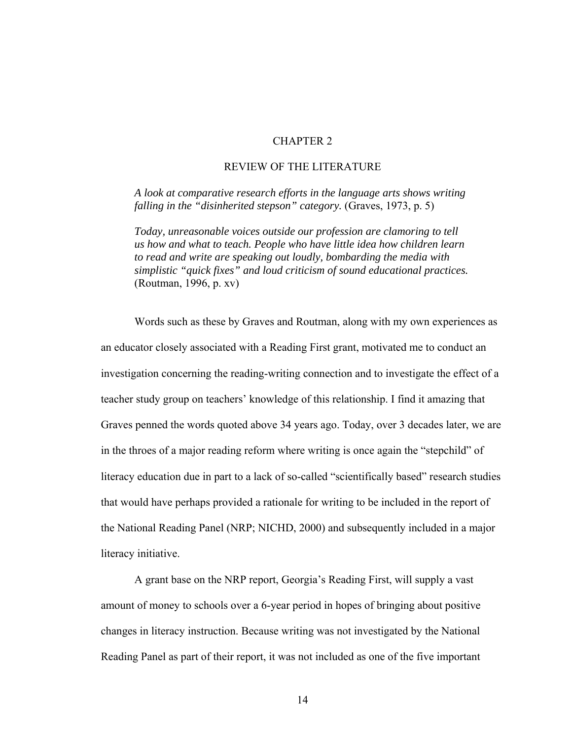### CHAPTER 2

### REVIEW OF THE LITERATURE

*A look at comparative research efforts in the language arts shows writing falling in the "disinherited stepson" category.* (Graves, 1973, p. 5)

*Today, unreasonable voices outside our profession are clamoring to tell us how and what to teach. People who have little idea how children learn to read and write are speaking out loudly, bombarding the media with simplistic "quick fixes" and loud criticism of sound educational practices.*  (Routman, 1996, p. xv)

Words such as these by Graves and Routman, along with my own experiences as an educator closely associated with a Reading First grant, motivated me to conduct an investigation concerning the reading-writing connection and to investigate the effect of a teacher study group on teachers' knowledge of this relationship. I find it amazing that Graves penned the words quoted above 34 years ago. Today, over 3 decades later, we are in the throes of a major reading reform where writing is once again the "stepchild" of literacy education due in part to a lack of so-called "scientifically based" research studies that would have perhaps provided a rationale for writing to be included in the report of the National Reading Panel (NRP; NICHD, 2000) and subsequently included in a major literacy initiative.

A grant base on the NRP report, Georgia's Reading First, will supply a vast amount of money to schools over a 6-year period in hopes of bringing about positive changes in literacy instruction. Because writing was not investigated by the National Reading Panel as part of their report, it was not included as one of the five important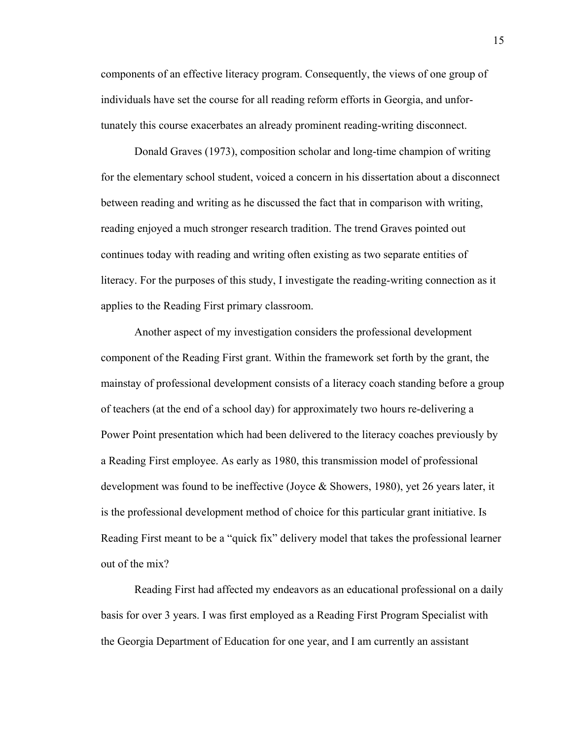components of an effective literacy program. Consequently, the views of one group of individuals have set the course for all reading reform efforts in Georgia, and unfortunately this course exacerbates an already prominent reading-writing disconnect.

Donald Graves (1973), composition scholar and long-time champion of writing for the elementary school student, voiced a concern in his dissertation about a disconnect between reading and writing as he discussed the fact that in comparison with writing, reading enjoyed a much stronger research tradition. The trend Graves pointed out continues today with reading and writing often existing as two separate entities of literacy. For the purposes of this study, I investigate the reading-writing connection as it applies to the Reading First primary classroom.

Another aspect of my investigation considers the professional development component of the Reading First grant. Within the framework set forth by the grant, the mainstay of professional development consists of a literacy coach standing before a group of teachers (at the end of a school day) for approximately two hours re-delivering a Power Point presentation which had been delivered to the literacy coaches previously by a Reading First employee. As early as 1980, this transmission model of professional development was found to be ineffective (Joyce  $\&$  Showers, 1980), yet 26 years later, it is the professional development method of choice for this particular grant initiative. Is Reading First meant to be a "quick fix" delivery model that takes the professional learner out of the mix?

 Reading First had affected my endeavors as an educational professional on a daily basis for over 3 years. I was first employed as a Reading First Program Specialist with the Georgia Department of Education for one year, and I am currently an assistant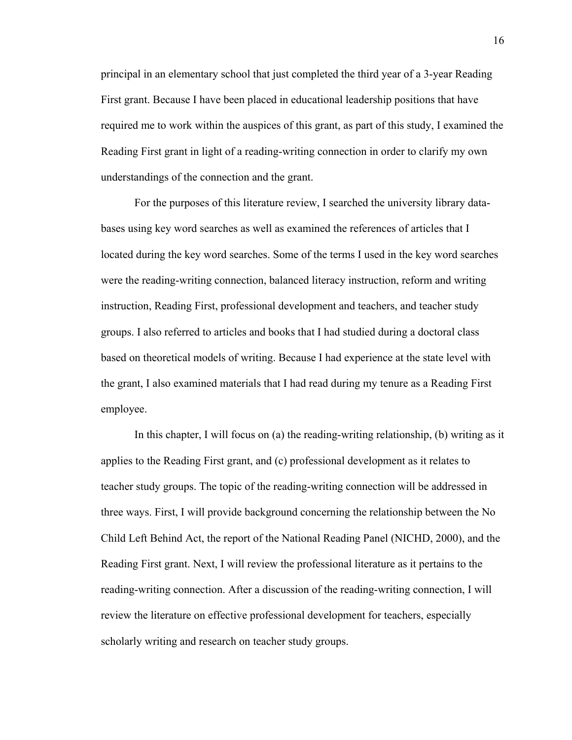principal in an elementary school that just completed the third year of a 3-year Reading First grant. Because I have been placed in educational leadership positions that have required me to work within the auspices of this grant, as part of this study, I examined the Reading First grant in light of a reading-writing connection in order to clarify my own understandings of the connection and the grant.

For the purposes of this literature review, I searched the university library databases using key word searches as well as examined the references of articles that I located during the key word searches. Some of the terms I used in the key word searches were the reading-writing connection, balanced literacy instruction, reform and writing instruction, Reading First, professional development and teachers, and teacher study groups. I also referred to articles and books that I had studied during a doctoral class based on theoretical models of writing. Because I had experience at the state level with the grant, I also examined materials that I had read during my tenure as a Reading First employee.

 In this chapter, I will focus on (a) the reading-writing relationship, (b) writing as it applies to the Reading First grant, and (c) professional development as it relates to teacher study groups. The topic of the reading-writing connection will be addressed in three ways. First, I will provide background concerning the relationship between the No Child Left Behind Act, the report of the National Reading Panel (NICHD, 2000), and the Reading First grant. Next, I will review the professional literature as it pertains to the reading-writing connection. After a discussion of the reading-writing connection, I will review the literature on effective professional development for teachers, especially scholarly writing and research on teacher study groups.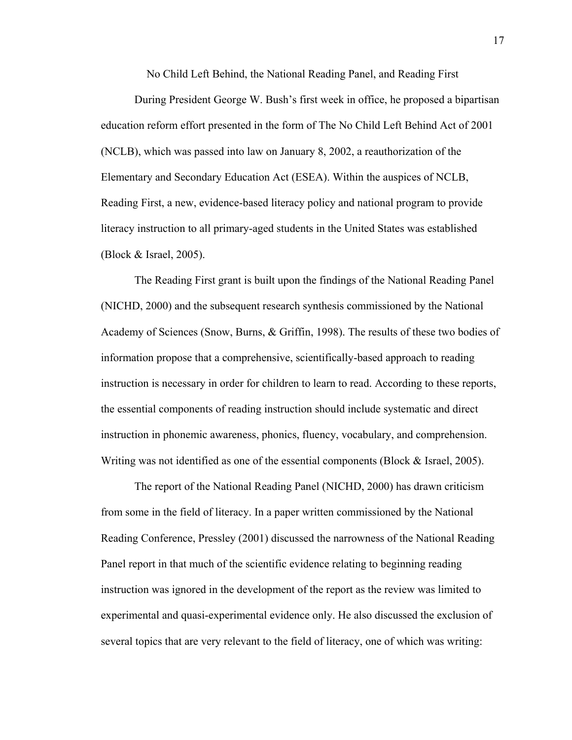No Child Left Behind, the National Reading Panel, and Reading First

During President George W. Bush's first week in office, he proposed a bipartisan education reform effort presented in the form of The No Child Left Behind Act of 2001 (NCLB), which was passed into law on January 8, 2002, a reauthorization of the Elementary and Secondary Education Act (ESEA). Within the auspices of NCLB, Reading First, a new, evidence-based literacy policy and national program to provide literacy instruction to all primary-aged students in the United States was established (Block & Israel, 2005).

 The Reading First grant is built upon the findings of the National Reading Panel (NICHD, 2000) and the subsequent research synthesis commissioned by the National Academy of Sciences (Snow, Burns, & Griffin, 1998). The results of these two bodies of information propose that a comprehensive, scientifically-based approach to reading instruction is necessary in order for children to learn to read. According to these reports, the essential components of reading instruction should include systematic and direct instruction in phonemic awareness, phonics, fluency, vocabulary, and comprehension. Writing was not identified as one of the essential components (Block & Israel, 2005).

 The report of the National Reading Panel (NICHD, 2000) has drawn criticism from some in the field of literacy. In a paper written commissioned by the National Reading Conference, Pressley (2001) discussed the narrowness of the National Reading Panel report in that much of the scientific evidence relating to beginning reading instruction was ignored in the development of the report as the review was limited to experimental and quasi-experimental evidence only. He also discussed the exclusion of several topics that are very relevant to the field of literacy, one of which was writing:

17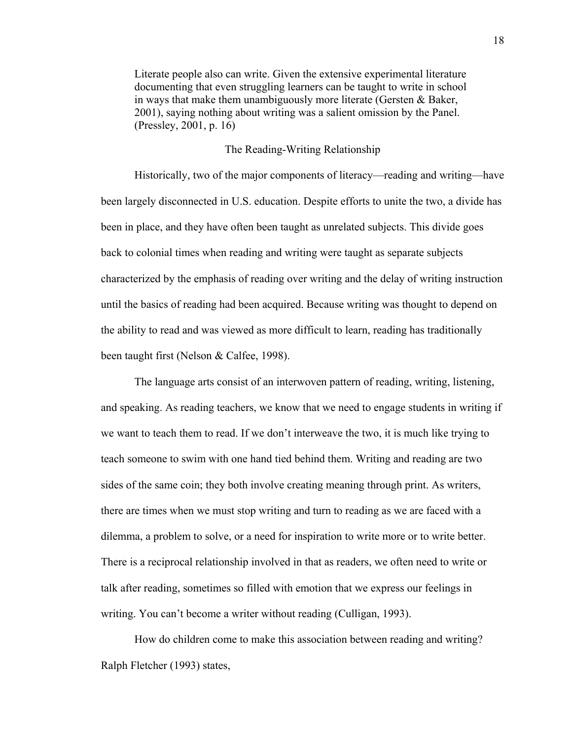Literate people also can write. Given the extensive experimental literature documenting that even struggling learners can be taught to write in school in ways that make them unambiguously more literate (Gersten & Baker, 2001), saying nothing about writing was a salient omission by the Panel. (Pressley, 2001, p. 16)

#### The Reading-Writing Relationship

 Historically, two of the major components of literacy—reading and writing—have been largely disconnected in U.S. education. Despite efforts to unite the two, a divide has been in place, and they have often been taught as unrelated subjects. This divide goes back to colonial times when reading and writing were taught as separate subjects characterized by the emphasis of reading over writing and the delay of writing instruction until the basics of reading had been acquired. Because writing was thought to depend on the ability to read and was viewed as more difficult to learn, reading has traditionally been taught first (Nelson & Calfee, 1998).

The language arts consist of an interwoven pattern of reading, writing, listening, and speaking. As reading teachers, we know that we need to engage students in writing if we want to teach them to read. If we don't interweave the two, it is much like trying to teach someone to swim with one hand tied behind them. Writing and reading are two sides of the same coin; they both involve creating meaning through print. As writers, there are times when we must stop writing and turn to reading as we are faced with a dilemma, a problem to solve, or a need for inspiration to write more or to write better. There is a reciprocal relationship involved in that as readers, we often need to write or talk after reading, sometimes so filled with emotion that we express our feelings in writing. You can't become a writer without reading (Culligan, 1993).

How do children come to make this association between reading and writing? Ralph Fletcher (1993) states,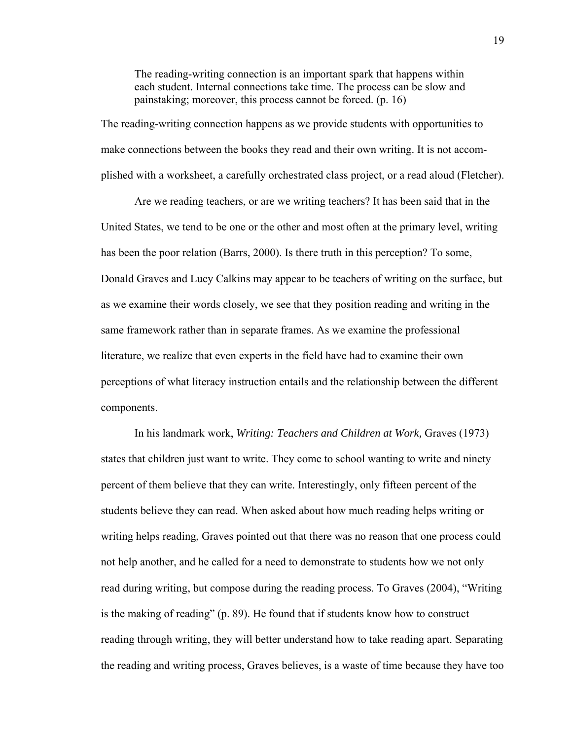The reading-writing connection is an important spark that happens within each student. Internal connections take time. The process can be slow and painstaking; moreover, this process cannot be forced. (p. 16)

The reading-writing connection happens as we provide students with opportunities to make connections between the books they read and their own writing. It is not accomplished with a worksheet, a carefully orchestrated class project, or a read aloud (Fletcher).

Are we reading teachers, or are we writing teachers? It has been said that in the United States, we tend to be one or the other and most often at the primary level, writing has been the poor relation (Barrs, 2000). Is there truth in this perception? To some, Donald Graves and Lucy Calkins may appear to be teachers of writing on the surface, but as we examine their words closely, we see that they position reading and writing in the same framework rather than in separate frames. As we examine the professional literature, we realize that even experts in the field have had to examine their own perceptions of what literacy instruction entails and the relationship between the different components.

In his landmark work, *Writing: Teachers and Children at Work,* Graves (1973) states that children just want to write. They come to school wanting to write and ninety percent of them believe that they can write. Interestingly, only fifteen percent of the students believe they can read. When asked about how much reading helps writing or writing helps reading, Graves pointed out that there was no reason that one process could not help another, and he called for a need to demonstrate to students how we not only read during writing, but compose during the reading process. To Graves (2004), "Writing is the making of reading" (p. 89). He found that if students know how to construct reading through writing, they will better understand how to take reading apart. Separating the reading and writing process, Graves believes, is a waste of time because they have too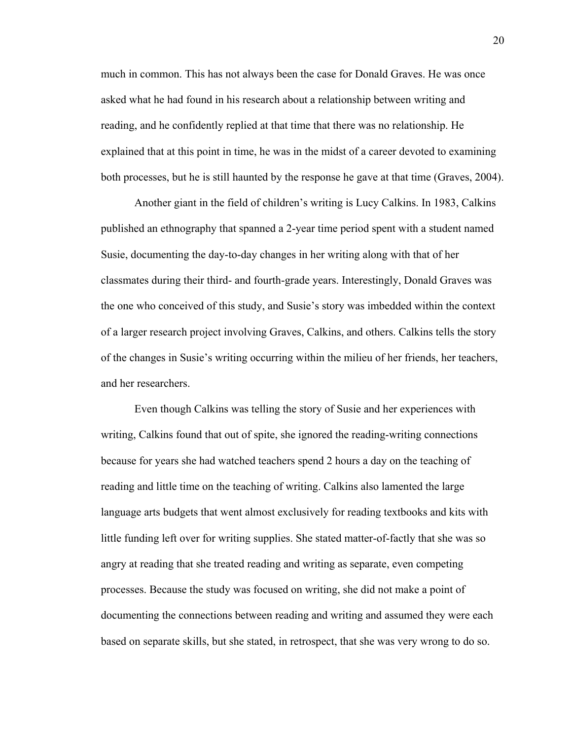much in common. This has not always been the case for Donald Graves. He was once asked what he had found in his research about a relationship between writing and reading, and he confidently replied at that time that there was no relationship. He explained that at this point in time, he was in the midst of a career devoted to examining both processes, but he is still haunted by the response he gave at that time (Graves, 2004).

 Another giant in the field of children's writing is Lucy Calkins. In 1983, Calkins published an ethnography that spanned a 2-year time period spent with a student named Susie, documenting the day-to-day changes in her writing along with that of her classmates during their third- and fourth-grade years. Interestingly, Donald Graves was the one who conceived of this study, and Susie's story was imbedded within the context of a larger research project involving Graves, Calkins, and others. Calkins tells the story of the changes in Susie's writing occurring within the milieu of her friends, her teachers, and her researchers.

 Even though Calkins was telling the story of Susie and her experiences with writing, Calkins found that out of spite, she ignored the reading-writing connections because for years she had watched teachers spend 2 hours a day on the teaching of reading and little time on the teaching of writing. Calkins also lamented the large language arts budgets that went almost exclusively for reading textbooks and kits with little funding left over for writing supplies. She stated matter-of-factly that she was so angry at reading that she treated reading and writing as separate, even competing processes. Because the study was focused on writing, she did not make a point of documenting the connections between reading and writing and assumed they were each based on separate skills, but she stated, in retrospect, that she was very wrong to do so.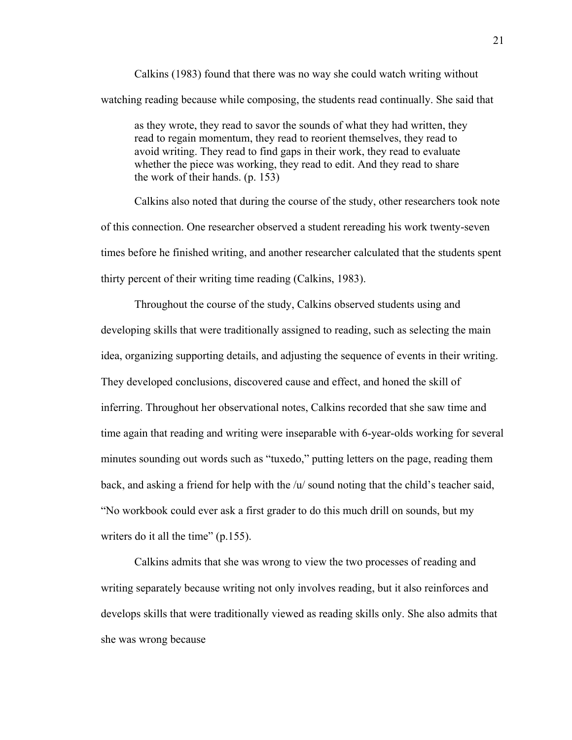Calkins (1983) found that there was no way she could watch writing without watching reading because while composing, the students read continually. She said that

as they wrote, they read to savor the sounds of what they had written, they read to regain momentum, they read to reorient themselves, they read to avoid writing. They read to find gaps in their work, they read to evaluate whether the piece was working, they read to edit. And they read to share the work of their hands. (p. 153)

Calkins also noted that during the course of the study, other researchers took note of this connection. One researcher observed a student rereading his work twenty-seven times before he finished writing, and another researcher calculated that the students spent thirty percent of their writing time reading (Calkins, 1983).

Throughout the course of the study, Calkins observed students using and developing skills that were traditionally assigned to reading, such as selecting the main idea, organizing supporting details, and adjusting the sequence of events in their writing. They developed conclusions, discovered cause and effect, and honed the skill of inferring. Throughout her observational notes, Calkins recorded that she saw time and time again that reading and writing were inseparable with 6-year-olds working for several minutes sounding out words such as "tuxedo," putting letters on the page, reading them back, and asking a friend for help with the  $/u'$  sound noting that the child's teacher said, "No workbook could ever ask a first grader to do this much drill on sounds, but my writers do it all the time" (p.155).

Calkins admits that she was wrong to view the two processes of reading and writing separately because writing not only involves reading, but it also reinforces and develops skills that were traditionally viewed as reading skills only. She also admits that she was wrong because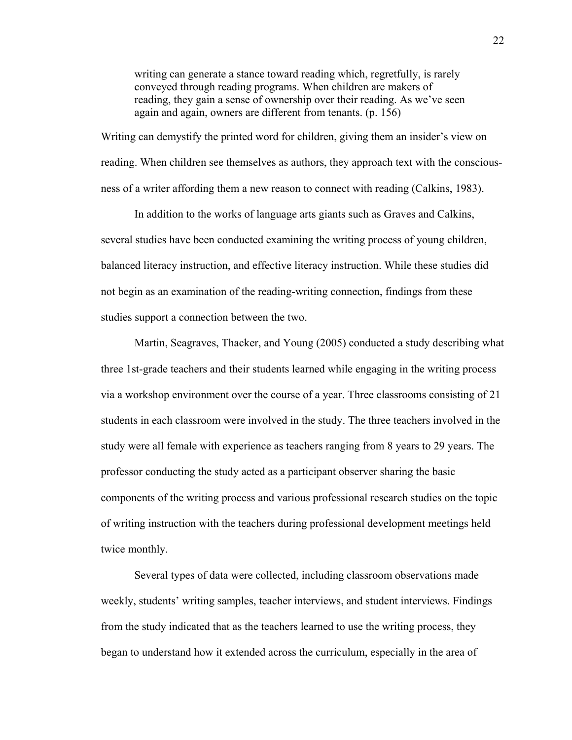writing can generate a stance toward reading which, regretfully, is rarely conveyed through reading programs. When children are makers of reading, they gain a sense of ownership over their reading. As we've seen again and again, owners are different from tenants. (p. 156)

Writing can demystify the printed word for children, giving them an insider's view on reading. When children see themselves as authors, they approach text with the consciousness of a writer affording them a new reason to connect with reading (Calkins, 1983).

 In addition to the works of language arts giants such as Graves and Calkins, several studies have been conducted examining the writing process of young children, balanced literacy instruction, and effective literacy instruction. While these studies did not begin as an examination of the reading-writing connection, findings from these studies support a connection between the two.

Martin, Seagraves, Thacker, and Young (2005) conducted a study describing what three 1st-grade teachers and their students learned while engaging in the writing process via a workshop environment over the course of a year. Three classrooms consisting of 21 students in each classroom were involved in the study. The three teachers involved in the study were all female with experience as teachers ranging from 8 years to 29 years. The professor conducting the study acted as a participant observer sharing the basic components of the writing process and various professional research studies on the topic of writing instruction with the teachers during professional development meetings held twice monthly.

Several types of data were collected, including classroom observations made weekly, students' writing samples, teacher interviews, and student interviews. Findings from the study indicated that as the teachers learned to use the writing process, they began to understand how it extended across the curriculum, especially in the area of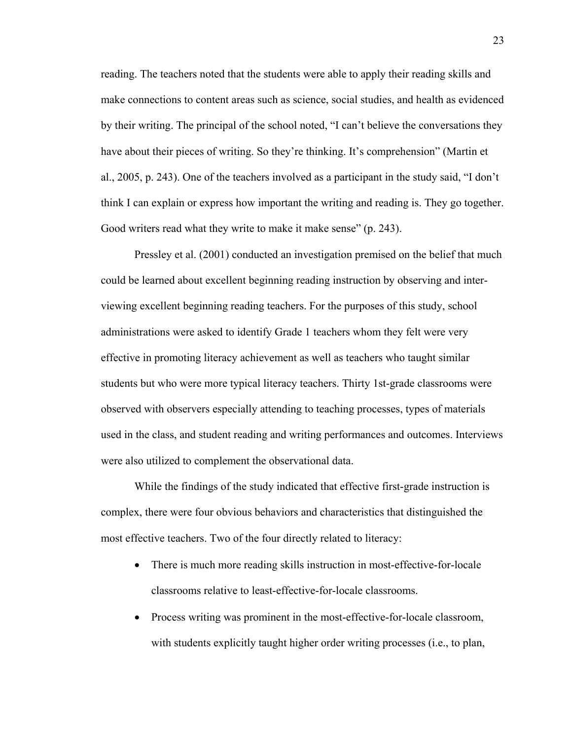reading. The teachers noted that the students were able to apply their reading skills and make connections to content areas such as science, social studies, and health as evidenced by their writing. The principal of the school noted, "I can't believe the conversations they have about their pieces of writing. So they're thinking. It's comprehension" (Martin et al., 2005, p. 243). One of the teachers involved as a participant in the study said, "I don't think I can explain or express how important the writing and reading is. They go together. Good writers read what they write to make it make sense" (p. 243).

Pressley et al. (2001) conducted an investigation premised on the belief that much could be learned about excellent beginning reading instruction by observing and interviewing excellent beginning reading teachers. For the purposes of this study, school administrations were asked to identify Grade 1 teachers whom they felt were very effective in promoting literacy achievement as well as teachers who taught similar students but who were more typical literacy teachers. Thirty 1st-grade classrooms were observed with observers especially attending to teaching processes, types of materials used in the class, and student reading and writing performances and outcomes. Interviews were also utilized to complement the observational data.

While the findings of the study indicated that effective first-grade instruction is complex, there were four obvious behaviors and characteristics that distinguished the most effective teachers. Two of the four directly related to literacy:

- There is much more reading skills instruction in most-effective-for-locale classrooms relative to least-effective-for-locale classrooms.
- Process writing was prominent in the most-effective-for-locale classroom, with students explicitly taught higher order writing processes (i.e., to plan,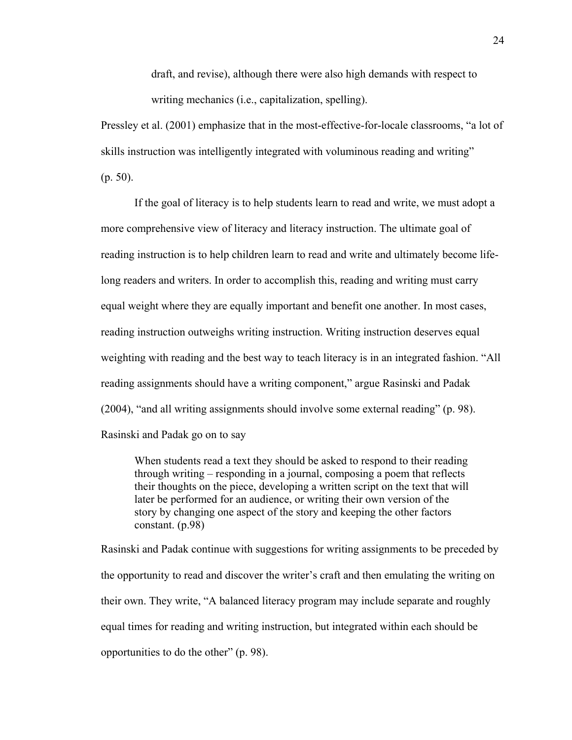draft, and revise), although there were also high demands with respect to writing mechanics (i.e., capitalization, spelling).

Pressley et al. (2001) emphasize that in the most-effective-for-locale classrooms, "a lot of skills instruction was intelligently integrated with voluminous reading and writing" (p. 50).

If the goal of literacy is to help students learn to read and write, we must adopt a more comprehensive view of literacy and literacy instruction. The ultimate goal of reading instruction is to help children learn to read and write and ultimately become lifelong readers and writers. In order to accomplish this, reading and writing must carry equal weight where they are equally important and benefit one another. In most cases, reading instruction outweighs writing instruction. Writing instruction deserves equal weighting with reading and the best way to teach literacy is in an integrated fashion. "All reading assignments should have a writing component," argue Rasinski and Padak (2004), "and all writing assignments should involve some external reading" (p. 98). Rasinski and Padak go on to say

When students read a text they should be asked to respond to their reading through writing – responding in a journal, composing a poem that reflects their thoughts on the piece, developing a written script on the text that will later be performed for an audience, or writing their own version of the story by changing one aspect of the story and keeping the other factors constant. (p.98)

Rasinski and Padak continue with suggestions for writing assignments to be preceded by the opportunity to read and discover the writer's craft and then emulating the writing on their own. They write, "A balanced literacy program may include separate and roughly equal times for reading and writing instruction, but integrated within each should be opportunities to do the other" (p. 98).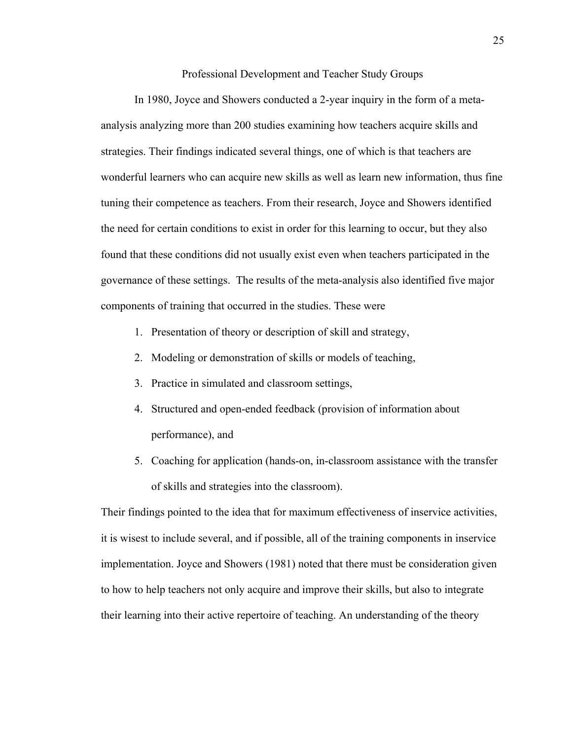Professional Development and Teacher Study Groups

In 1980, Joyce and Showers conducted a 2-year inquiry in the form of a metaanalysis analyzing more than 200 studies examining how teachers acquire skills and strategies. Their findings indicated several things, one of which is that teachers are wonderful learners who can acquire new skills as well as learn new information, thus fine tuning their competence as teachers. From their research, Joyce and Showers identified the need for certain conditions to exist in order for this learning to occur, but they also found that these conditions did not usually exist even when teachers participated in the governance of these settings. The results of the meta-analysis also identified five major components of training that occurred in the studies. These were

- 1. Presentation of theory or description of skill and strategy,
- 2. Modeling or demonstration of skills or models of teaching,
- 3. Practice in simulated and classroom settings,
- 4. Structured and open-ended feedback (provision of information about performance), and
- 5. Coaching for application (hands-on, in-classroom assistance with the transfer of skills and strategies into the classroom).

Their findings pointed to the idea that for maximum effectiveness of inservice activities, it is wisest to include several, and if possible, all of the training components in inservice implementation. Joyce and Showers (1981) noted that there must be consideration given to how to help teachers not only acquire and improve their skills, but also to integrate their learning into their active repertoire of teaching. An understanding of the theory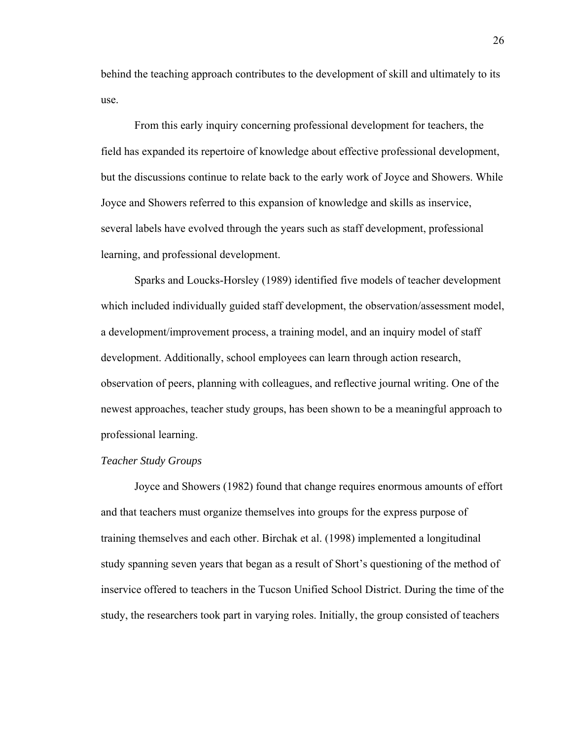behind the teaching approach contributes to the development of skill and ultimately to its use.

From this early inquiry concerning professional development for teachers, the field has expanded its repertoire of knowledge about effective professional development, but the discussions continue to relate back to the early work of Joyce and Showers. While Joyce and Showers referred to this expansion of knowledge and skills as inservice, several labels have evolved through the years such as staff development, professional learning, and professional development.

Sparks and Loucks-Horsley (1989) identified five models of teacher development which included individually guided staff development, the observation/assessment model, a development/improvement process, a training model, and an inquiry model of staff development. Additionally, school employees can learn through action research, observation of peers, planning with colleagues, and reflective journal writing. One of the newest approaches, teacher study groups, has been shown to be a meaningful approach to professional learning.

#### *Teacher Study Groups*

Joyce and Showers (1982) found that change requires enormous amounts of effort and that teachers must organize themselves into groups for the express purpose of training themselves and each other. Birchak et al. (1998) implemented a longitudinal study spanning seven years that began as a result of Short's questioning of the method of inservice offered to teachers in the Tucson Unified School District. During the time of the study, the researchers took part in varying roles. Initially, the group consisted of teachers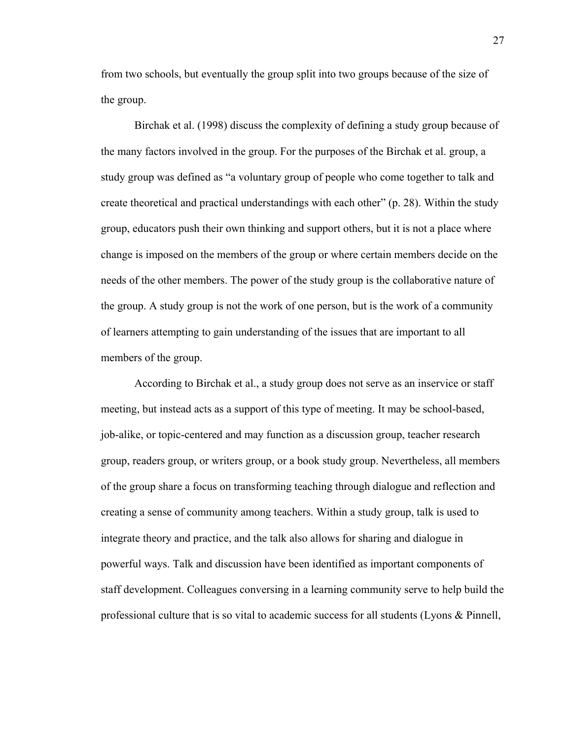from two schools, but eventually the group split into two groups because of the size of the group.

Birchak et al. (1998) discuss the complexity of defining a study group because of the many factors involved in the group. For the purposes of the Birchak et al. group, a study group was defined as "a voluntary group of people who come together to talk and create theoretical and practical understandings with each other" (p. 28). Within the study group, educators push their own thinking and support others, but it is not a place where change is imposed on the members of the group or where certain members decide on the needs of the other members. The power of the study group is the collaborative nature of the group. A study group is not the work of one person, but is the work of a community of learners attempting to gain understanding of the issues that are important to all members of the group.

According to Birchak et al., a study group does not serve as an inservice or staff meeting, but instead acts as a support of this type of meeting. It may be school-based, job-alike, or topic-centered and may function as a discussion group, teacher research group, readers group, or writers group, or a book study group. Nevertheless, all members of the group share a focus on transforming teaching through dialogue and reflection and creating a sense of community among teachers. Within a study group, talk is used to integrate theory and practice, and the talk also allows for sharing and dialogue in powerful ways. Talk and discussion have been identified as important components of staff development. Colleagues conversing in a learning community serve to help build the professional culture that is so vital to academic success for all students (Lyons & Pinnell,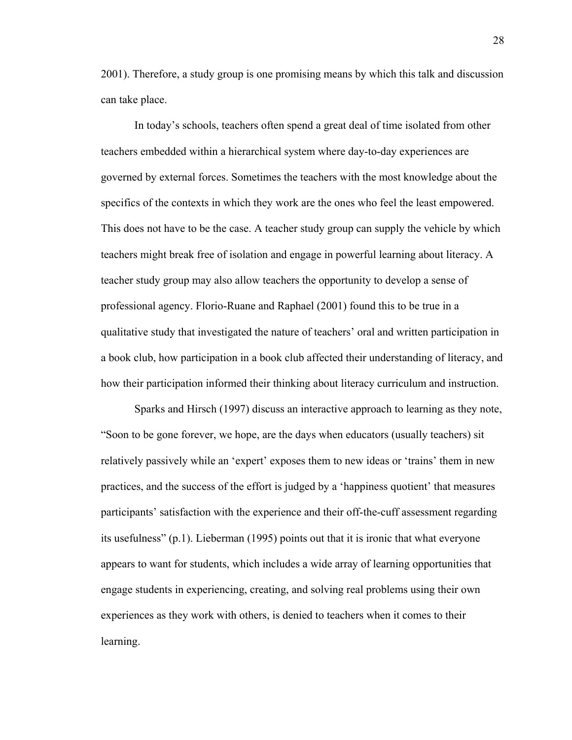2001). Therefore, a study group is one promising means by which this talk and discussion can take place.

In today's schools, teachers often spend a great deal of time isolated from other teachers embedded within a hierarchical system where day-to-day experiences are governed by external forces. Sometimes the teachers with the most knowledge about the specifics of the contexts in which they work are the ones who feel the least empowered. This does not have to be the case. A teacher study group can supply the vehicle by which teachers might break free of isolation and engage in powerful learning about literacy. A teacher study group may also allow teachers the opportunity to develop a sense of professional agency. Florio-Ruane and Raphael (2001) found this to be true in a qualitative study that investigated the nature of teachers' oral and written participation in a book club, how participation in a book club affected their understanding of literacy, and how their participation informed their thinking about literacy curriculum and instruction.

Sparks and Hirsch (1997) discuss an interactive approach to learning as they note, "Soon to be gone forever, we hope, are the days when educators (usually teachers) sit relatively passively while an 'expert' exposes them to new ideas or 'trains' them in new practices, and the success of the effort is judged by a 'happiness quotient' that measures participants' satisfaction with the experience and their off-the-cuff assessment regarding its usefulness" (p.1). Lieberman (1995) points out that it is ironic that what everyone appears to want for students, which includes a wide array of learning opportunities that engage students in experiencing, creating, and solving real problems using their own experiences as they work with others, is denied to teachers when it comes to their learning.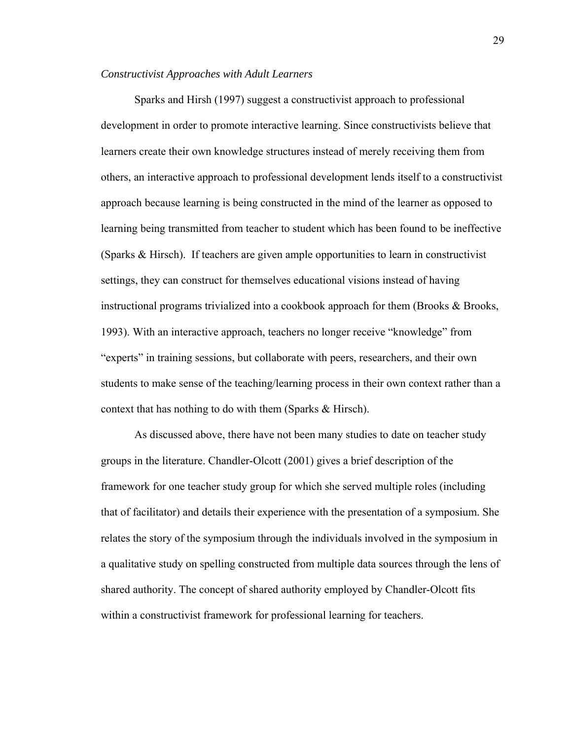#### *Constructivist Approaches with Adult Learners*

Sparks and Hirsh (1997) suggest a constructivist approach to professional development in order to promote interactive learning. Since constructivists believe that learners create their own knowledge structures instead of merely receiving them from others, an interactive approach to professional development lends itself to a constructivist approach because learning is being constructed in the mind of the learner as opposed to learning being transmitted from teacher to student which has been found to be ineffective (Sparks & Hirsch). If teachers are given ample opportunities to learn in constructivist settings, they can construct for themselves educational visions instead of having instructional programs trivialized into a cookbook approach for them (Brooks & Brooks, 1993). With an interactive approach, teachers no longer receive "knowledge" from "experts" in training sessions, but collaborate with peers, researchers, and their own students to make sense of the teaching/learning process in their own context rather than a context that has nothing to do with them (Sparks & Hirsch).

As discussed above, there have not been many studies to date on teacher study groups in the literature. Chandler-Olcott (2001) gives a brief description of the framework for one teacher study group for which she served multiple roles (including that of facilitator) and details their experience with the presentation of a symposium. She relates the story of the symposium through the individuals involved in the symposium in a qualitative study on spelling constructed from multiple data sources through the lens of shared authority. The concept of shared authority employed by Chandler-Olcott fits within a constructivist framework for professional learning for teachers.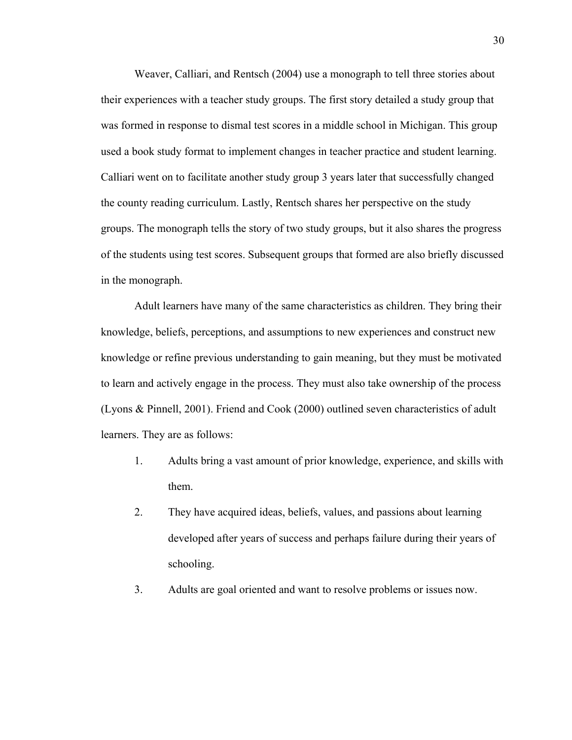Weaver, Calliari, and Rentsch (2004) use a monograph to tell three stories about their experiences with a teacher study groups. The first story detailed a study group that was formed in response to dismal test scores in a middle school in Michigan. This group used a book study format to implement changes in teacher practice and student learning. Calliari went on to facilitate another study group 3 years later that successfully changed the county reading curriculum. Lastly, Rentsch shares her perspective on the study groups. The monograph tells the story of two study groups, but it also shares the progress of the students using test scores. Subsequent groups that formed are also briefly discussed in the monograph.

Adult learners have many of the same characteristics as children. They bring their knowledge, beliefs, perceptions, and assumptions to new experiences and construct new knowledge or refine previous understanding to gain meaning, but they must be motivated to learn and actively engage in the process. They must also take ownership of the process (Lyons & Pinnell, 2001). Friend and Cook (2000) outlined seven characteristics of adult learners. They are as follows:

- 1. Adults bring a vast amount of prior knowledge, experience, and skills with them.
- 2. They have acquired ideas, beliefs, values, and passions about learning developed after years of success and perhaps failure during their years of schooling.
- 3. Adults are goal oriented and want to resolve problems or issues now.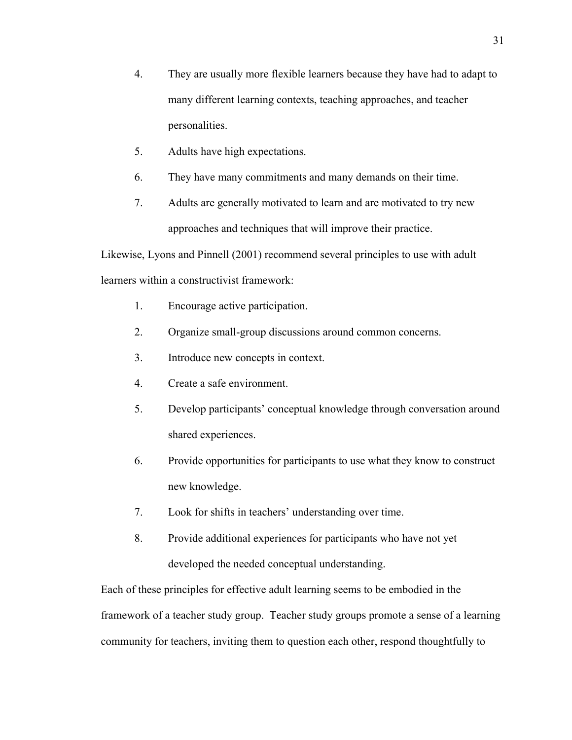- 4. They are usually more flexible learners because they have had to adapt to many different learning contexts, teaching approaches, and teacher personalities.
- 5. Adults have high expectations.
- 6. They have many commitments and many demands on their time.
- 7. Adults are generally motivated to learn and are motivated to try new approaches and techniques that will improve their practice.

Likewise, Lyons and Pinnell (2001) recommend several principles to use with adult learners within a constructivist framework:

- 1. Encourage active participation.
- 2. Organize small-group discussions around common concerns.
- 3. Introduce new concepts in context.
- 4. Create a safe environment.
- 5. Develop participants' conceptual knowledge through conversation around shared experiences.
- 6. Provide opportunities for participants to use what they know to construct new knowledge.
- 7. Look for shifts in teachers' understanding over time.
- 8. Provide additional experiences for participants who have not yet developed the needed conceptual understanding.

Each of these principles for effective adult learning seems to be embodied in the framework of a teacher study group. Teacher study groups promote a sense of a learning community for teachers, inviting them to question each other, respond thoughtfully to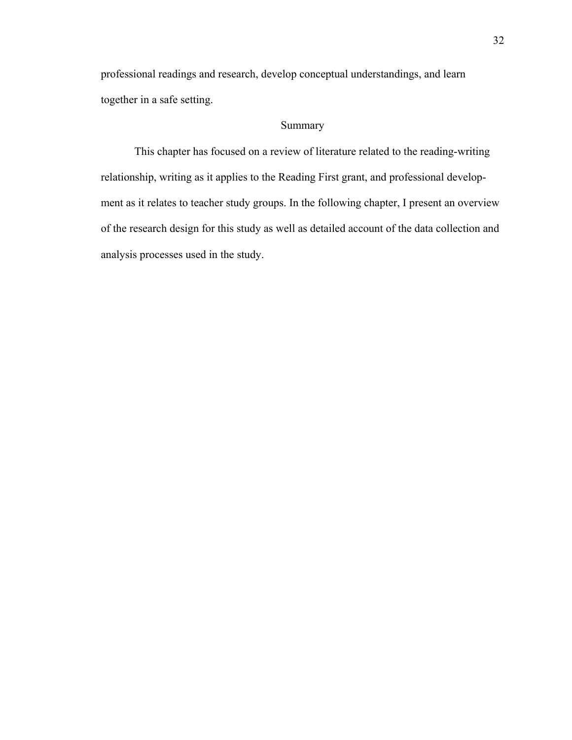professional readings and research, develop conceptual understandings, and learn together in a safe setting.

# Summary

This chapter has focused on a review of literature related to the reading-writing relationship, writing as it applies to the Reading First grant, and professional development as it relates to teacher study groups. In the following chapter, I present an overview of the research design for this study as well as detailed account of the data collection and analysis processes used in the study.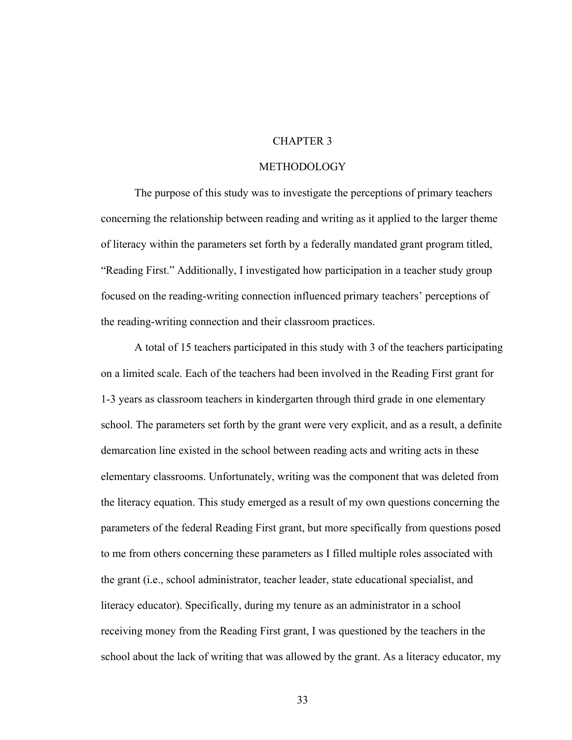## CHAPTER 3

#### METHODOLOGY

 The purpose of this study was to investigate the perceptions of primary teachers concerning the relationship between reading and writing as it applied to the larger theme of literacy within the parameters set forth by a federally mandated grant program titled, "Reading First." Additionally, I investigated how participation in a teacher study group focused on the reading-writing connection influenced primary teachers' perceptions of the reading-writing connection and their classroom practices.

A total of 15 teachers participated in this study with 3 of the teachers participating on a limited scale. Each of the teachers had been involved in the Reading First grant for 1-3 years as classroom teachers in kindergarten through third grade in one elementary school. The parameters set forth by the grant were very explicit, and as a result, a definite demarcation line existed in the school between reading acts and writing acts in these elementary classrooms. Unfortunately, writing was the component that was deleted from the literacy equation. This study emerged as a result of my own questions concerning the parameters of the federal Reading First grant, but more specifically from questions posed to me from others concerning these parameters as I filled multiple roles associated with the grant (i.e., school administrator, teacher leader, state educational specialist, and literacy educator). Specifically, during my tenure as an administrator in a school receiving money from the Reading First grant, I was questioned by the teachers in the school about the lack of writing that was allowed by the grant. As a literacy educator, my

33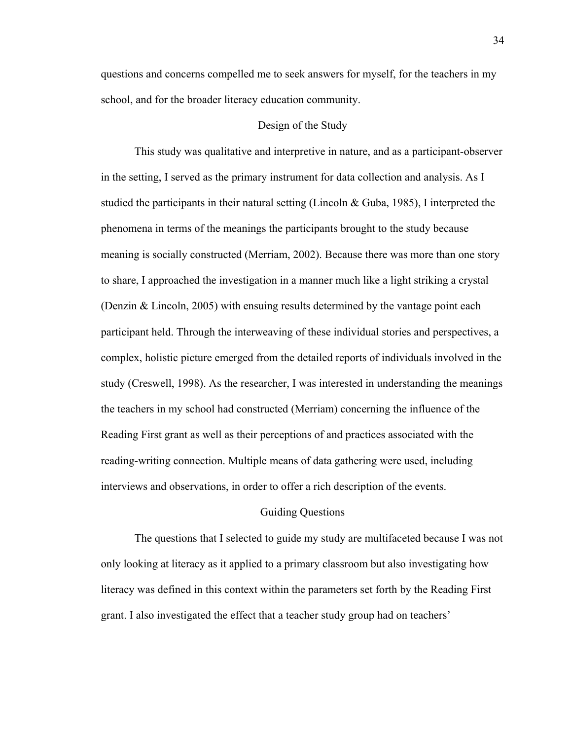questions and concerns compelled me to seek answers for myself, for the teachers in my school, and for the broader literacy education community.

# Design of the Study

 This study was qualitative and interpretive in nature, and as a participant-observer in the setting, I served as the primary instrument for data collection and analysis. As I studied the participants in their natural setting (Lincoln & Guba, 1985), I interpreted the phenomena in terms of the meanings the participants brought to the study because meaning is socially constructed (Merriam, 2002). Because there was more than one story to share, I approached the investigation in a manner much like a light striking a crystal (Denzin & Lincoln, 2005) with ensuing results determined by the vantage point each participant held. Through the interweaving of these individual stories and perspectives, a complex, holistic picture emerged from the detailed reports of individuals involved in the study (Creswell, 1998). As the researcher, I was interested in understanding the meanings the teachers in my school had constructed (Merriam) concerning the influence of the Reading First grant as well as their perceptions of and practices associated with the reading-writing connection. Multiple means of data gathering were used, including interviews and observations, in order to offer a rich description of the events.

#### Guiding Questions

 The questions that I selected to guide my study are multifaceted because I was not only looking at literacy as it applied to a primary classroom but also investigating how literacy was defined in this context within the parameters set forth by the Reading First grant. I also investigated the effect that a teacher study group had on teachers'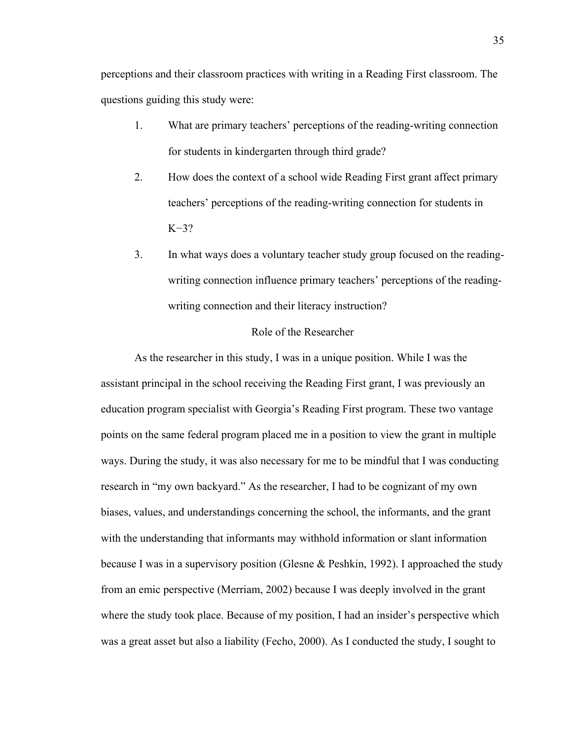perceptions and their classroom practices with writing in a Reading First classroom. The questions guiding this study were:

- 1. What are primary teachers' perceptions of the reading-writing connection for students in kindergarten through third grade?
- 2. How does the context of a school wide Reading First grant affect primary teachers' perceptions of the reading-writing connection for students in K−3?
- 3. In what ways does a voluntary teacher study group focused on the readingwriting connection influence primary teachers' perceptions of the readingwriting connection and their literacy instruction?

#### Role of the Researcher

As the researcher in this study, I was in a unique position. While I was the assistant principal in the school receiving the Reading First grant, I was previously an education program specialist with Georgia's Reading First program. These two vantage points on the same federal program placed me in a position to view the grant in multiple ways. During the study, it was also necessary for me to be mindful that I was conducting research in "my own backyard." As the researcher, I had to be cognizant of my own biases, values, and understandings concerning the school, the informants, and the grant with the understanding that informants may withhold information or slant information because I was in a supervisory position (Glesne & Peshkin, 1992). I approached the study from an emic perspective (Merriam, 2002) because I was deeply involved in the grant where the study took place. Because of my position, I had an insider's perspective which was a great asset but also a liability (Fecho, 2000). As I conducted the study, I sought to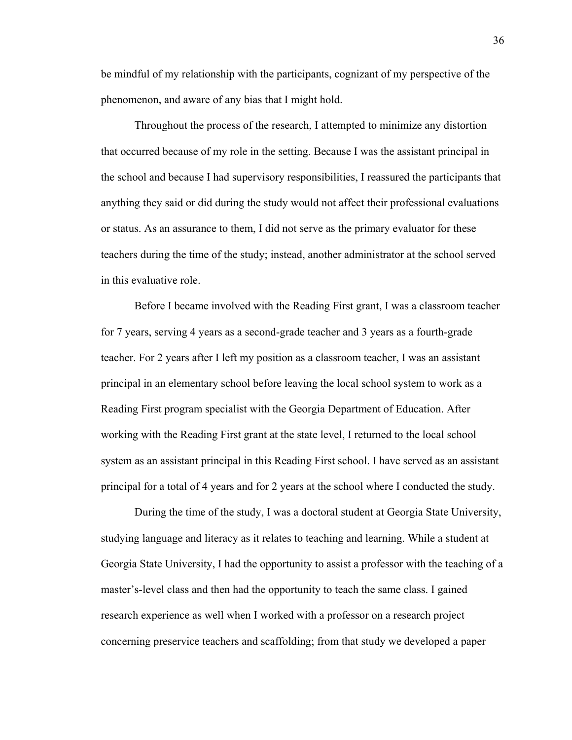be mindful of my relationship with the participants, cognizant of my perspective of the phenomenon, and aware of any bias that I might hold.

Throughout the process of the research, I attempted to minimize any distortion that occurred because of my role in the setting. Because I was the assistant principal in the school and because I had supervisory responsibilities, I reassured the participants that anything they said or did during the study would not affect their professional evaluations or status. As an assurance to them, I did not serve as the primary evaluator for these teachers during the time of the study; instead, another administrator at the school served in this evaluative role.

Before I became involved with the Reading First grant, I was a classroom teacher for 7 years, serving 4 years as a second-grade teacher and 3 years as a fourth-grade teacher. For 2 years after I left my position as a classroom teacher, I was an assistant principal in an elementary school before leaving the local school system to work as a Reading First program specialist with the Georgia Department of Education. After working with the Reading First grant at the state level, I returned to the local school system as an assistant principal in this Reading First school. I have served as an assistant principal for a total of 4 years and for 2 years at the school where I conducted the study.

 During the time of the study, I was a doctoral student at Georgia State University, studying language and literacy as it relates to teaching and learning. While a student at Georgia State University, I had the opportunity to assist a professor with the teaching of a master's-level class and then had the opportunity to teach the same class. I gained research experience as well when I worked with a professor on a research project concerning preservice teachers and scaffolding; from that study we developed a paper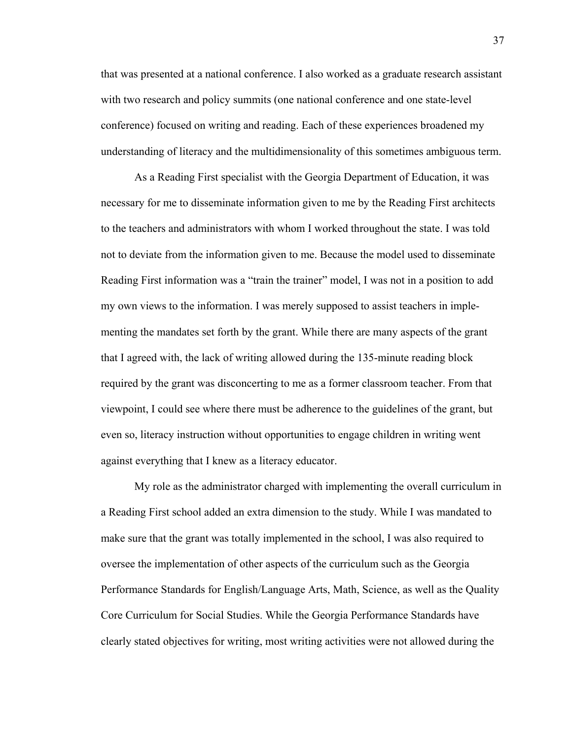that was presented at a national conference. I also worked as a graduate research assistant with two research and policy summits (one national conference and one state-level conference) focused on writing and reading. Each of these experiences broadened my understanding of literacy and the multidimensionality of this sometimes ambiguous term.

As a Reading First specialist with the Georgia Department of Education, it was necessary for me to disseminate information given to me by the Reading First architects to the teachers and administrators with whom I worked throughout the state. I was told not to deviate from the information given to me. Because the model used to disseminate Reading First information was a "train the trainer" model, I was not in a position to add my own views to the information. I was merely supposed to assist teachers in implementing the mandates set forth by the grant. While there are many aspects of the grant that I agreed with, the lack of writing allowed during the 135-minute reading block required by the grant was disconcerting to me as a former classroom teacher. From that viewpoint, I could see where there must be adherence to the guidelines of the grant, but even so, literacy instruction without opportunities to engage children in writing went against everything that I knew as a literacy educator.

 My role as the administrator charged with implementing the overall curriculum in a Reading First school added an extra dimension to the study. While I was mandated to make sure that the grant was totally implemented in the school, I was also required to oversee the implementation of other aspects of the curriculum such as the Georgia Performance Standards for English/Language Arts, Math, Science, as well as the Quality Core Curriculum for Social Studies. While the Georgia Performance Standards have clearly stated objectives for writing, most writing activities were not allowed during the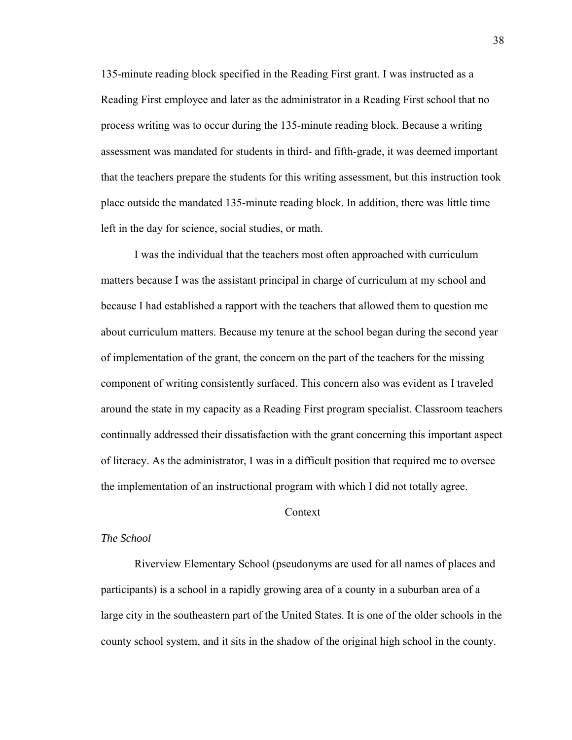135-minute reading block specified in the Reading First grant. I was instructed as a Reading First employee and later as the administrator in a Reading First school that no process writing was to occur during the 135-minute reading block. Because a writing assessment was mandated for students in third- and fifth-grade, it was deemed important that the teachers prepare the students for this writing assessment, but this instruction took place outside the mandated 135-minute reading block. In addition, there was little time left in the day for science, social studies, or math.

I was the individual that the teachers most often approached with curriculum matters because I was the assistant principal in charge of curriculum at my school and because I had established a rapport with the teachers that allowed them to question me about curriculum matters. Because my tenure at the school began during the second year of implementation of the grant, the concern on the part of the teachers for the missing component of writing consistently surfaced. This concern also was evident as I traveled around the state in my capacity as a Reading First program specialist. Classroom teachers continually addressed their dissatisfaction with the grant concerning this important aspect of literacy. As the administrator, I was in a difficult position that required me to oversee the implementation of an instructional program with which I did not totally agree.

## Context

#### *The School*

 Riverview Elementary School (pseudonyms are used for all names of places and participants) is a school in a rapidly growing area of a county in a suburban area of a large city in the southeastern part of the United States. It is one of the older schools in the county school system, and it sits in the shadow of the original high school in the county.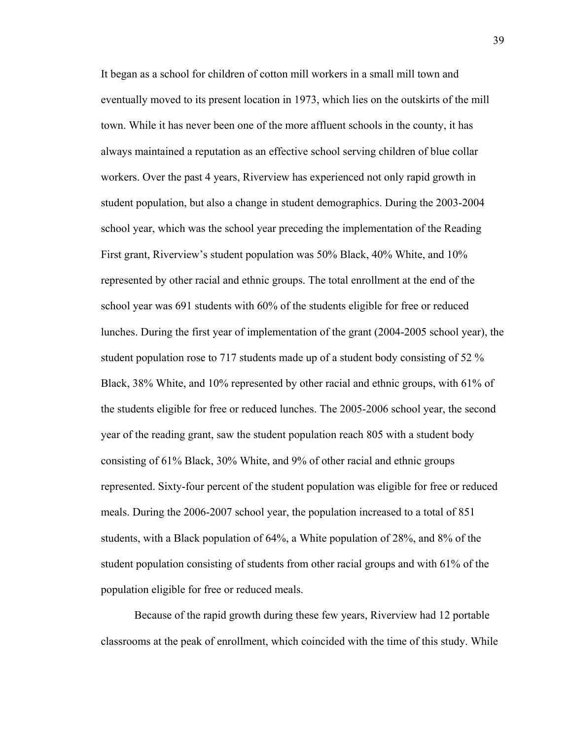It began as a school for children of cotton mill workers in a small mill town and eventually moved to its present location in 1973, which lies on the outskirts of the mill town. While it has never been one of the more affluent schools in the county, it has always maintained a reputation as an effective school serving children of blue collar workers. Over the past 4 years, Riverview has experienced not only rapid growth in student population, but also a change in student demographics. During the 2003-2004 school year, which was the school year preceding the implementation of the Reading First grant, Riverview's student population was 50% Black, 40% White, and 10% represented by other racial and ethnic groups. The total enrollment at the end of the school year was 691 students with 60% of the students eligible for free or reduced lunches. During the first year of implementation of the grant (2004-2005 school year), the student population rose to 717 students made up of a student body consisting of 52 % Black, 38% White, and 10% represented by other racial and ethnic groups, with 61% of the students eligible for free or reduced lunches. The 2005-2006 school year, the second year of the reading grant, saw the student population reach 805 with a student body consisting of 61% Black, 30% White, and 9% of other racial and ethnic groups represented. Sixty-four percent of the student population was eligible for free or reduced meals. During the 2006-2007 school year, the population increased to a total of 851 students, with a Black population of 64%, a White population of 28%, and 8% of the student population consisting of students from other racial groups and with 61% of the population eligible for free or reduced meals.

Because of the rapid growth during these few years, Riverview had 12 portable classrooms at the peak of enrollment, which coincided with the time of this study. While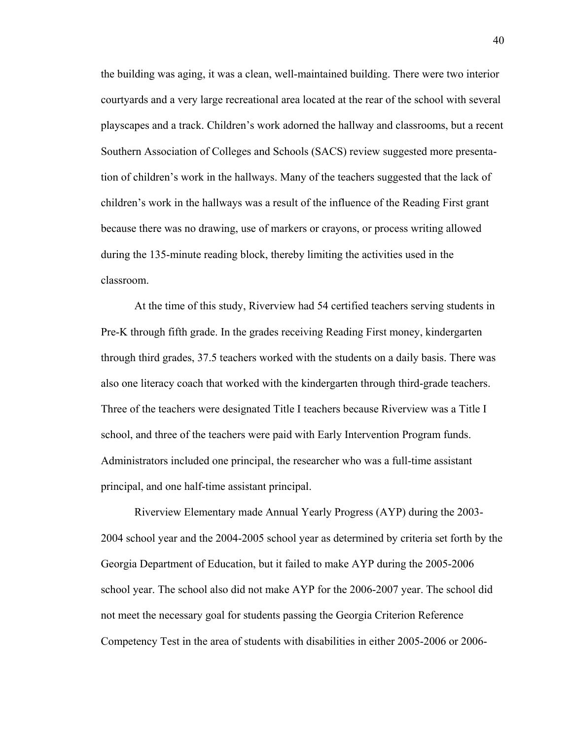the building was aging, it was a clean, well-maintained building. There were two interior courtyards and a very large recreational area located at the rear of the school with several playscapes and a track. Children's work adorned the hallway and classrooms, but a recent Southern Association of Colleges and Schools (SACS) review suggested more presentation of children's work in the hallways. Many of the teachers suggested that the lack of children's work in the hallways was a result of the influence of the Reading First grant because there was no drawing, use of markers or crayons, or process writing allowed during the 135-minute reading block, thereby limiting the activities used in the classroom.

 At the time of this study, Riverview had 54 certified teachers serving students in Pre-K through fifth grade. In the grades receiving Reading First money, kindergarten through third grades, 37.5 teachers worked with the students on a daily basis. There was also one literacy coach that worked with the kindergarten through third-grade teachers. Three of the teachers were designated Title I teachers because Riverview was a Title I school, and three of the teachers were paid with Early Intervention Program funds. Administrators included one principal, the researcher who was a full-time assistant principal, and one half-time assistant principal.

Riverview Elementary made Annual Yearly Progress (AYP) during the 2003- 2004 school year and the 2004-2005 school year as determined by criteria set forth by the Georgia Department of Education, but it failed to make AYP during the 2005-2006 school year. The school also did not make AYP for the 2006-2007 year. The school did not meet the necessary goal for students passing the Georgia Criterion Reference Competency Test in the area of students with disabilities in either 2005-2006 or 2006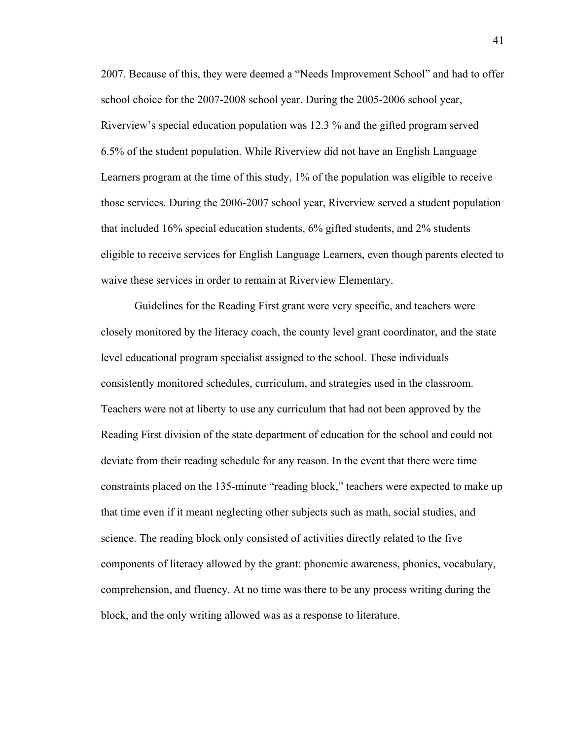2007. Because of this, they were deemed a "Needs Improvement School" and had to offer school choice for the 2007-2008 school year. During the 2005-2006 school year, Riverview's special education population was 12.3 % and the gifted program served 6.5% of the student population. While Riverview did not have an English Language Learners program at the time of this study, 1% of the population was eligible to receive those services. During the 2006-2007 school year, Riverview served a student population that included 16% special education students, 6% gifted students, and 2% students eligible to receive services for English Language Learners, even though parents elected to waive these services in order to remain at Riverview Elementary.

 Guidelines for the Reading First grant were very specific, and teachers were closely monitored by the literacy coach, the county level grant coordinator, and the state level educational program specialist assigned to the school. These individuals consistently monitored schedules, curriculum, and strategies used in the classroom. Teachers were not at liberty to use any curriculum that had not been approved by the Reading First division of the state department of education for the school and could not deviate from their reading schedule for any reason. In the event that there were time constraints placed on the 135-minute "reading block," teachers were expected to make up that time even if it meant neglecting other subjects such as math, social studies, and science. The reading block only consisted of activities directly related to the five components of literacy allowed by the grant: phonemic awareness, phonics, vocabulary, comprehension, and fluency. At no time was there to be any process writing during the block, and the only writing allowed was as a response to literature.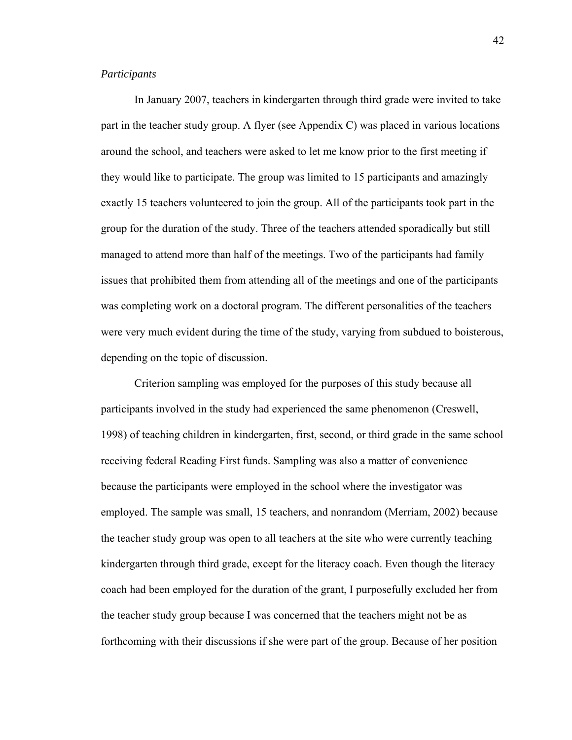## *Participants*

In January 2007, teachers in kindergarten through third grade were invited to take part in the teacher study group. A flyer (see Appendix C) was placed in various locations around the school, and teachers were asked to let me know prior to the first meeting if they would like to participate. The group was limited to 15 participants and amazingly exactly 15 teachers volunteered to join the group. All of the participants took part in the group for the duration of the study. Three of the teachers attended sporadically but still managed to attend more than half of the meetings. Two of the participants had family issues that prohibited them from attending all of the meetings and one of the participants was completing work on a doctoral program. The different personalities of the teachers were very much evident during the time of the study, varying from subdued to boisterous, depending on the topic of discussion.

 Criterion sampling was employed for the purposes of this study because all participants involved in the study had experienced the same phenomenon (Creswell, 1998) of teaching children in kindergarten, first, second, or third grade in the same school receiving federal Reading First funds. Sampling was also a matter of convenience because the participants were employed in the school where the investigator was employed. The sample was small, 15 teachers, and nonrandom (Merriam, 2002) because the teacher study group was open to all teachers at the site who were currently teaching kindergarten through third grade, except for the literacy coach. Even though the literacy coach had been employed for the duration of the grant, I purposefully excluded her from the teacher study group because I was concerned that the teachers might not be as forthcoming with their discussions if she were part of the group. Because of her position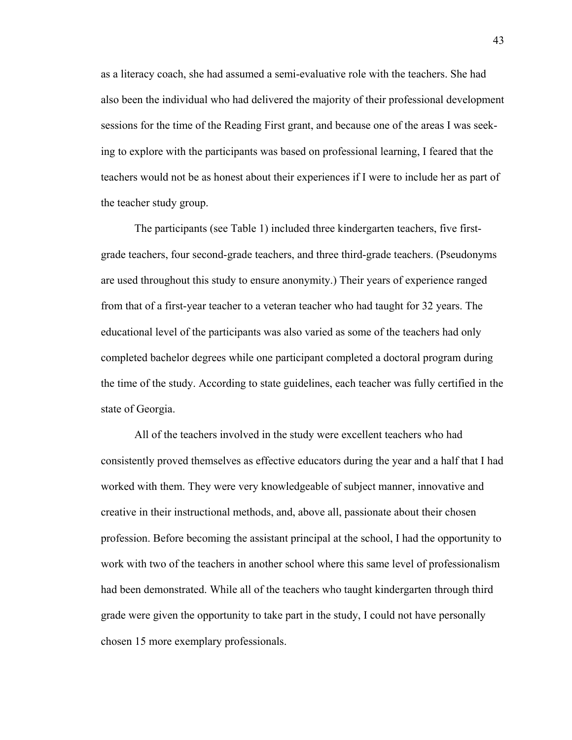as a literacy coach, she had assumed a semi-evaluative role with the teachers. She had also been the individual who had delivered the majority of their professional development sessions for the time of the Reading First grant, and because one of the areas I was seeking to explore with the participants was based on professional learning, I feared that the teachers would not be as honest about their experiences if I were to include her as part of the teacher study group.

The participants (see Table 1) included three kindergarten teachers, five firstgrade teachers, four second-grade teachers, and three third-grade teachers. (Pseudonyms are used throughout this study to ensure anonymity.) Their years of experience ranged from that of a first-year teacher to a veteran teacher who had taught for 32 years. The educational level of the participants was also varied as some of the teachers had only completed bachelor degrees while one participant completed a doctoral program during the time of the study. According to state guidelines, each teacher was fully certified in the state of Georgia.

All of the teachers involved in the study were excellent teachers who had consistently proved themselves as effective educators during the year and a half that I had worked with them. They were very knowledgeable of subject manner, innovative and creative in their instructional methods, and, above all, passionate about their chosen profession. Before becoming the assistant principal at the school, I had the opportunity to work with two of the teachers in another school where this same level of professionalism had been demonstrated. While all of the teachers who taught kindergarten through third grade were given the opportunity to take part in the study, I could not have personally chosen 15 more exemplary professionals.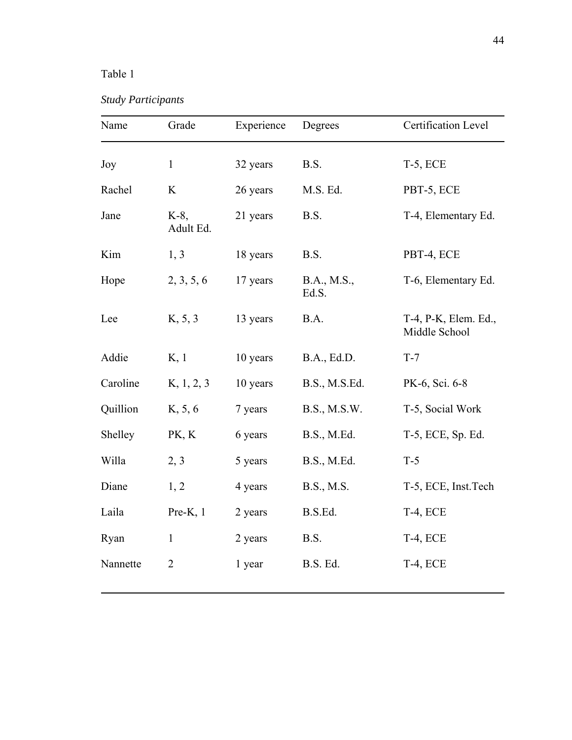# Table 1

*Study Participants* 

| Name     | Grade                | Experience | Degrees              | Certification Level                   |
|----------|----------------------|------------|----------------------|---------------------------------------|
| Joy      | $\mathbf{1}$         | 32 years   | B.S.                 | <b>T-5, ECE</b>                       |
| Rachel   | $\rm K$              | 26 years   | M.S. Ed.             | PBT-5, ECE                            |
| Jane     | $K-8$ ,<br>Adult Ed. | 21 years   | B.S.                 | T-4, Elementary Ed.                   |
| Kim      | 1, 3                 | 18 years   | B.S.                 | PBT-4, ECE                            |
| Hope     | 2, 3, 5, 6           | 17 years   | B.A., M.S.,<br>Ed.S. | T-6, Elementary Ed.                   |
| Lee      | K, 5, 3              | 13 years   | B.A.                 | T-4, P-K, Elem. Ed.,<br>Middle School |
| Addie    | K, 1                 | 10 years   | B.A., Ed.D.          | $T-7$                                 |
| Caroline | K, 1, 2, 3           | 10 years   | B.S., M.S.Ed.        | PK-6, Sci. 6-8                        |
| Quillion | K, 5, 6              | 7 years    | B.S., M.S.W.         | T-5, Social Work                      |
| Shelley  | PK, K                | 6 years    | B.S., M.Ed.          | T-5, ECE, Sp. Ed.                     |
| Willa    | 2, 3                 | 5 years    | B.S., M.Ed.          | $T-5$                                 |
| Diane    | 1, 2                 | 4 years    | B.S., M.S.           | T-5, ECE, Inst. Tech                  |
| Laila    | $Pre-K$ , 1          | 2 years    | B.S.Ed.              | T-4, ECE                              |
| Ryan     | $\mathbf{1}$         | 2 years    | B.S.                 | T-4, ECE                              |
| Nannette | $\overline{2}$       | 1 year     | B.S. Ed.             | <b>T-4, ECE</b>                       |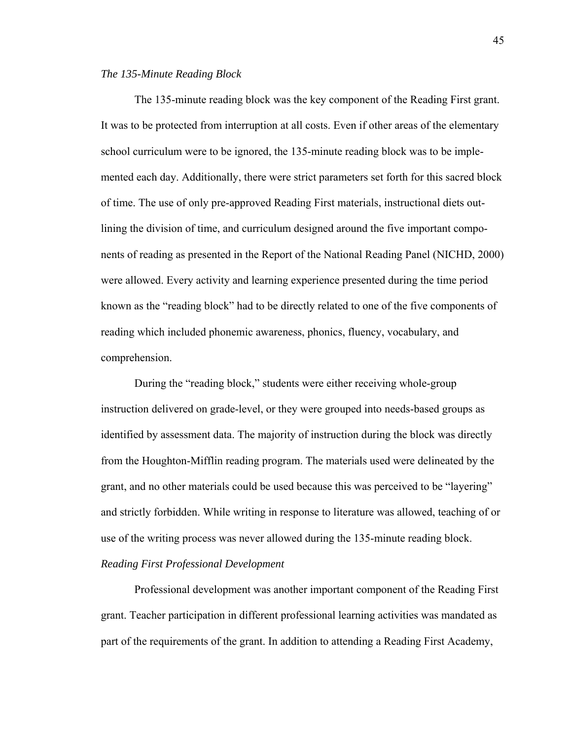#### *The 135-Minute Reading Block*

 The 135-minute reading block was the key component of the Reading First grant. It was to be protected from interruption at all costs. Even if other areas of the elementary school curriculum were to be ignored, the 135-minute reading block was to be implemented each day. Additionally, there were strict parameters set forth for this sacred block of time. The use of only pre-approved Reading First materials, instructional diets outlining the division of time, and curriculum designed around the five important components of reading as presented in the Report of the National Reading Panel (NICHD, 2000) were allowed. Every activity and learning experience presented during the time period known as the "reading block" had to be directly related to one of the five components of reading which included phonemic awareness, phonics, fluency, vocabulary, and comprehension.

During the "reading block," students were either receiving whole-group instruction delivered on grade-level, or they were grouped into needs-based groups as identified by assessment data. The majority of instruction during the block was directly from the Houghton-Mifflin reading program. The materials used were delineated by the grant, and no other materials could be used because this was perceived to be "layering" and strictly forbidden. While writing in response to literature was allowed, teaching of or use of the writing process was never allowed during the 135-minute reading block.

# *Reading First Professional Development*

 Professional development was another important component of the Reading First grant. Teacher participation in different professional learning activities was mandated as part of the requirements of the grant. In addition to attending a Reading First Academy,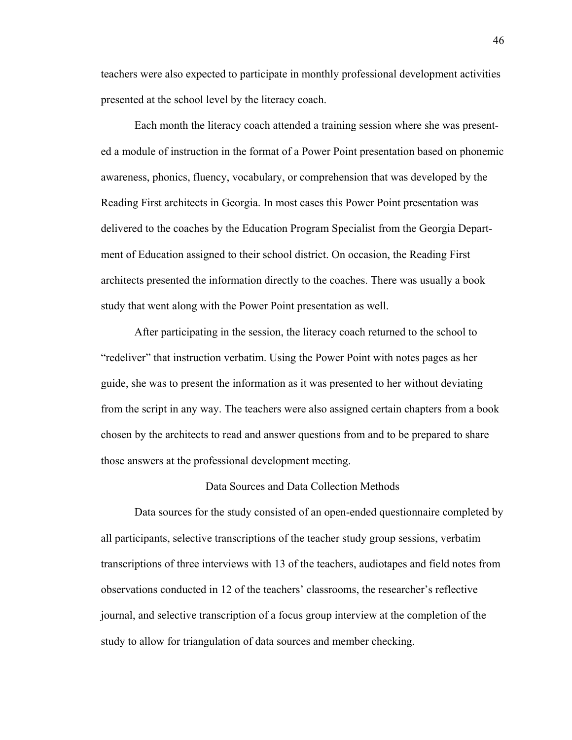teachers were also expected to participate in monthly professional development activities presented at the school level by the literacy coach.

Each month the literacy coach attended a training session where she was presented a module of instruction in the format of a Power Point presentation based on phonemic awareness, phonics, fluency, vocabulary, or comprehension that was developed by the Reading First architects in Georgia. In most cases this Power Point presentation was delivered to the coaches by the Education Program Specialist from the Georgia Department of Education assigned to their school district. On occasion, the Reading First architects presented the information directly to the coaches. There was usually a book study that went along with the Power Point presentation as well.

After participating in the session, the literacy coach returned to the school to "redeliver" that instruction verbatim. Using the Power Point with notes pages as her guide, she was to present the information as it was presented to her without deviating from the script in any way. The teachers were also assigned certain chapters from a book chosen by the architects to read and answer questions from and to be prepared to share those answers at the professional development meeting.

#### Data Sources and Data Collection Methods

Data sources for the study consisted of an open-ended questionnaire completed by all participants, selective transcriptions of the teacher study group sessions, verbatim transcriptions of three interviews with 13 of the teachers, audiotapes and field notes from observations conducted in 12 of the teachers' classrooms, the researcher's reflective journal, and selective transcription of a focus group interview at the completion of the study to allow for triangulation of data sources and member checking.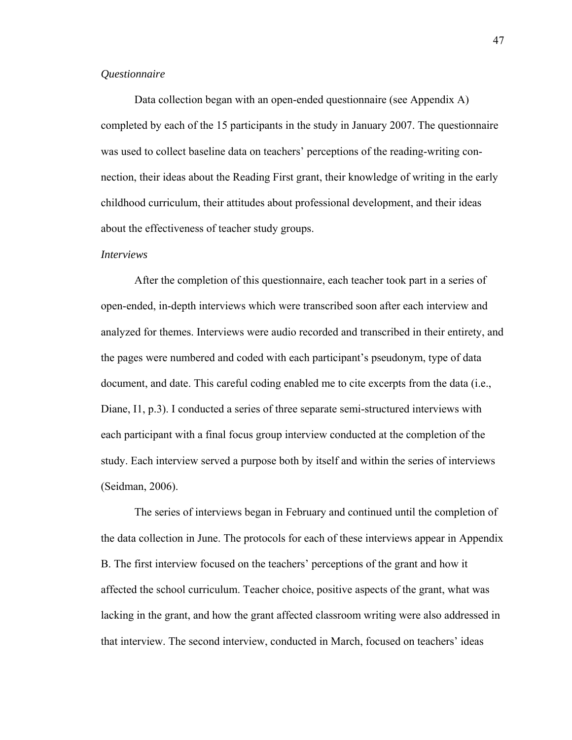#### *Questionnaire*

 Data collection began with an open-ended questionnaire (see Appendix A) completed by each of the 15 participants in the study in January 2007. The questionnaire was used to collect baseline data on teachers' perceptions of the reading-writing connection, their ideas about the Reading First grant, their knowledge of writing in the early childhood curriculum, their attitudes about professional development, and their ideas about the effectiveness of teacher study groups.

#### *Interviews*

After the completion of this questionnaire, each teacher took part in a series of open-ended, in-depth interviews which were transcribed soon after each interview and analyzed for themes. Interviews were audio recorded and transcribed in their entirety, and the pages were numbered and coded with each participant's pseudonym, type of data document, and date. This careful coding enabled me to cite excerpts from the data (i.e., Diane, I1, p.3). I conducted a series of three separate semi-structured interviews with each participant with a final focus group interview conducted at the completion of the study. Each interview served a purpose both by itself and within the series of interviews (Seidman, 2006).

The series of interviews began in February and continued until the completion of the data collection in June. The protocols for each of these interviews appear in Appendix B. The first interview focused on the teachers' perceptions of the grant and how it affected the school curriculum. Teacher choice, positive aspects of the grant, what was lacking in the grant, and how the grant affected classroom writing were also addressed in that interview. The second interview, conducted in March, focused on teachers' ideas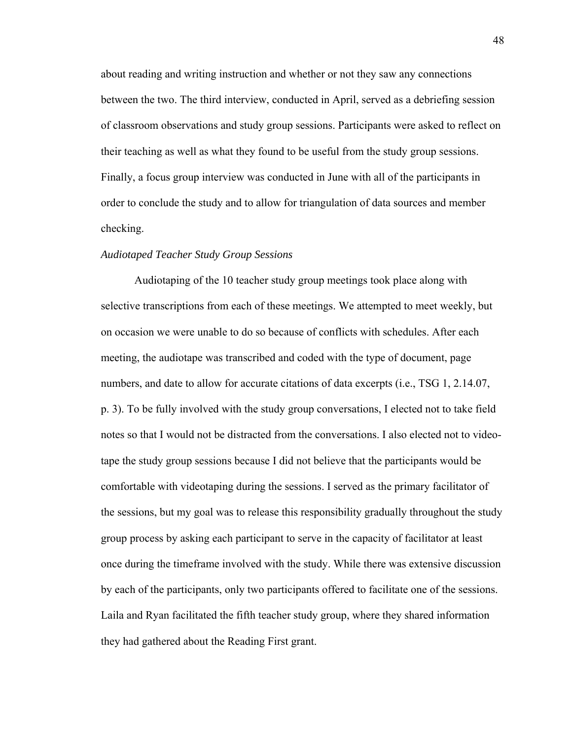about reading and writing instruction and whether or not they saw any connections between the two. The third interview, conducted in April, served as a debriefing session of classroom observations and study group sessions. Participants were asked to reflect on their teaching as well as what they found to be useful from the study group sessions. Finally, a focus group interview was conducted in June with all of the participants in order to conclude the study and to allow for triangulation of data sources and member checking.

#### *Audiotaped Teacher Study Group Sessions*

Audiotaping of the 10 teacher study group meetings took place along with selective transcriptions from each of these meetings. We attempted to meet weekly, but on occasion we were unable to do so because of conflicts with schedules. After each meeting, the audiotape was transcribed and coded with the type of document, page numbers, and date to allow for accurate citations of data excerpts (i.e., TSG 1, 2.14.07, p. 3). To be fully involved with the study group conversations, I elected not to take field notes so that I would not be distracted from the conversations. I also elected not to videotape the study group sessions because I did not believe that the participants would be comfortable with videotaping during the sessions. I served as the primary facilitator of the sessions, but my goal was to release this responsibility gradually throughout the study group process by asking each participant to serve in the capacity of facilitator at least once during the timeframe involved with the study. While there was extensive discussion by each of the participants, only two participants offered to facilitate one of the sessions. Laila and Ryan facilitated the fifth teacher study group, where they shared information they had gathered about the Reading First grant.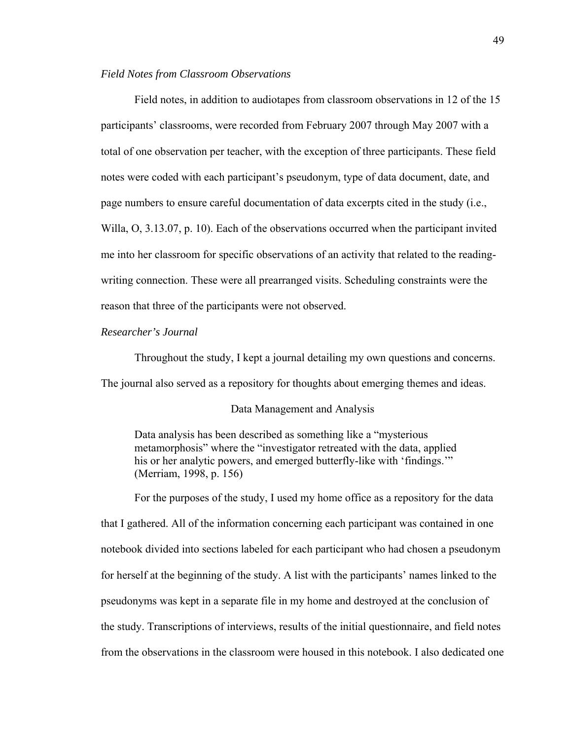#### *Field Notes from Classroom Observations*

Field notes, in addition to audiotapes from classroom observations in 12 of the 15 participants' classrooms, were recorded from February 2007 through May 2007 with a total of one observation per teacher, with the exception of three participants. These field notes were coded with each participant's pseudonym, type of data document, date, and page numbers to ensure careful documentation of data excerpts cited in the study (i.e., Willa, O, 3.13.07, p. 10). Each of the observations occurred when the participant invited me into her classroom for specific observations of an activity that related to the readingwriting connection. These were all prearranged visits. Scheduling constraints were the reason that three of the participants were not observed.

#### *Researcher's Journal*

Throughout the study, I kept a journal detailing my own questions and concerns.

The journal also served as a repository for thoughts about emerging themes and ideas.

#### Data Management and Analysis

Data analysis has been described as something like a "mysterious metamorphosis" where the "investigator retreated with the data, applied his or her analytic powers, and emerged butterfly-like with 'findings.'" (Merriam, 1998, p. 156)

 For the purposes of the study, I used my home office as a repository for the data that I gathered. All of the information concerning each participant was contained in one notebook divided into sections labeled for each participant who had chosen a pseudonym for herself at the beginning of the study. A list with the participants' names linked to the pseudonyms was kept in a separate file in my home and destroyed at the conclusion of the study. Transcriptions of interviews, results of the initial questionnaire, and field notes from the observations in the classroom were housed in this notebook. I also dedicated one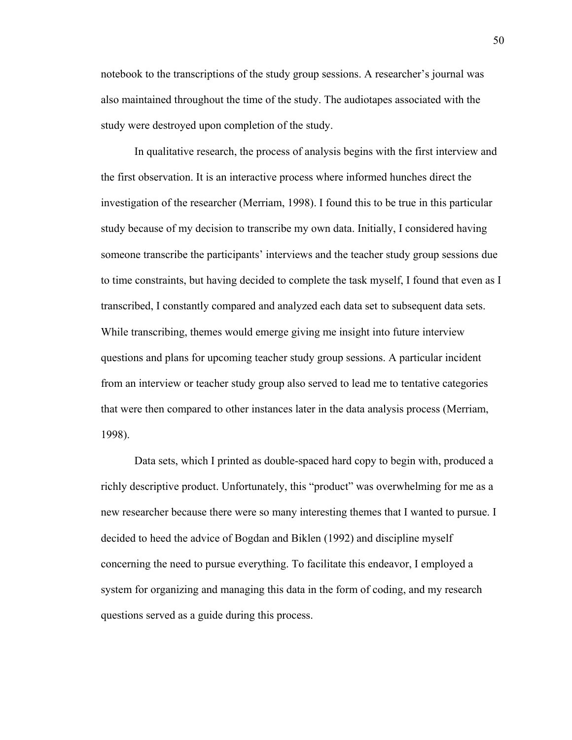notebook to the transcriptions of the study group sessions. A researcher's journal was also maintained throughout the time of the study. The audiotapes associated with the study were destroyed upon completion of the study.

 In qualitative research, the process of analysis begins with the first interview and the first observation. It is an interactive process where informed hunches direct the investigation of the researcher (Merriam, 1998). I found this to be true in this particular study because of my decision to transcribe my own data. Initially, I considered having someone transcribe the participants' interviews and the teacher study group sessions due to time constraints, but having decided to complete the task myself, I found that even as I transcribed, I constantly compared and analyzed each data set to subsequent data sets. While transcribing, themes would emerge giving me insight into future interview questions and plans for upcoming teacher study group sessions. A particular incident from an interview or teacher study group also served to lead me to tentative categories that were then compared to other instances later in the data analysis process (Merriam, 1998).

Data sets, which I printed as double-spaced hard copy to begin with, produced a richly descriptive product. Unfortunately, this "product" was overwhelming for me as a new researcher because there were so many interesting themes that I wanted to pursue. I decided to heed the advice of Bogdan and Biklen (1992) and discipline myself concerning the need to pursue everything. To facilitate this endeavor, I employed a system for organizing and managing this data in the form of coding, and my research questions served as a guide during this process.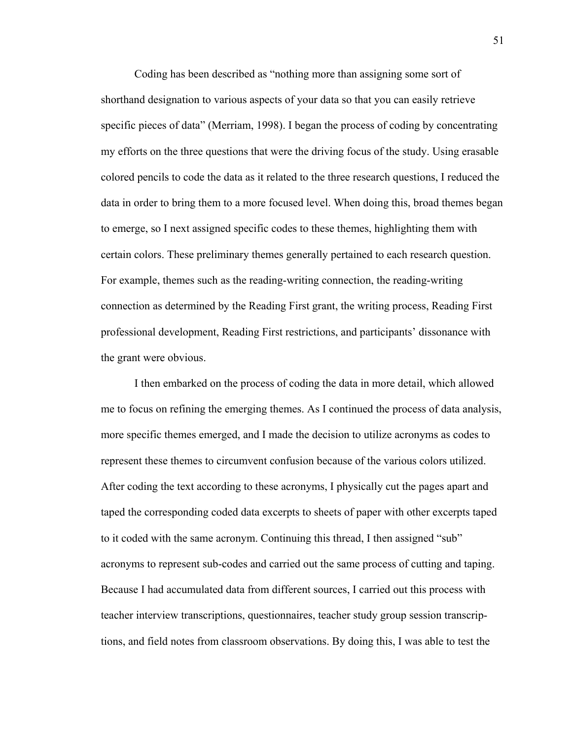Coding has been described as "nothing more than assigning some sort of shorthand designation to various aspects of your data so that you can easily retrieve specific pieces of data" (Merriam, 1998). I began the process of coding by concentrating my efforts on the three questions that were the driving focus of the study. Using erasable colored pencils to code the data as it related to the three research questions, I reduced the data in order to bring them to a more focused level. When doing this, broad themes began to emerge, so I next assigned specific codes to these themes, highlighting them with certain colors. These preliminary themes generally pertained to each research question. For example, themes such as the reading-writing connection, the reading-writing connection as determined by the Reading First grant, the writing process, Reading First professional development, Reading First restrictions, and participants' dissonance with the grant were obvious.

I then embarked on the process of coding the data in more detail, which allowed me to focus on refining the emerging themes. As I continued the process of data analysis, more specific themes emerged, and I made the decision to utilize acronyms as codes to represent these themes to circumvent confusion because of the various colors utilized. After coding the text according to these acronyms, I physically cut the pages apart and taped the corresponding coded data excerpts to sheets of paper with other excerpts taped to it coded with the same acronym. Continuing this thread, I then assigned "sub" acronyms to represent sub-codes and carried out the same process of cutting and taping. Because I had accumulated data from different sources, I carried out this process with teacher interview transcriptions, questionnaires, teacher study group session transcriptions, and field notes from classroom observations. By doing this, I was able to test the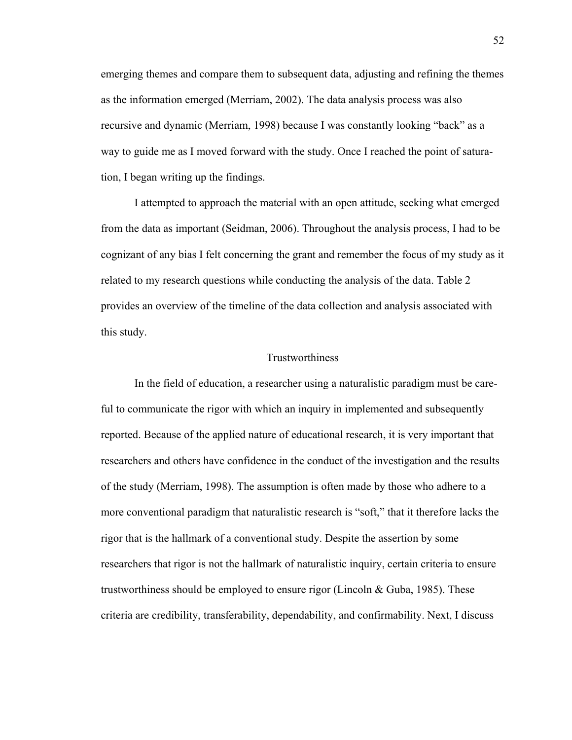emerging themes and compare them to subsequent data, adjusting and refining the themes as the information emerged (Merriam, 2002). The data analysis process was also recursive and dynamic (Merriam, 1998) because I was constantly looking "back" as a way to guide me as I moved forward with the study. Once I reached the point of saturation, I began writing up the findings.

I attempted to approach the material with an open attitude, seeking what emerged from the data as important (Seidman, 2006). Throughout the analysis process, I had to be cognizant of any bias I felt concerning the grant and remember the focus of my study as it related to my research questions while conducting the analysis of the data. Table 2 provides an overview of the timeline of the data collection and analysis associated with this study.

#### Trustworthiness

In the field of education, a researcher using a naturalistic paradigm must be careful to communicate the rigor with which an inquiry in implemented and subsequently reported. Because of the applied nature of educational research, it is very important that researchers and others have confidence in the conduct of the investigation and the results of the study (Merriam, 1998). The assumption is often made by those who adhere to a more conventional paradigm that naturalistic research is "soft," that it therefore lacks the rigor that is the hallmark of a conventional study. Despite the assertion by some researchers that rigor is not the hallmark of naturalistic inquiry, certain criteria to ensure trustworthiness should be employed to ensure rigor (Lincoln & Guba, 1985). These criteria are credibility, transferability, dependability, and confirmability. Next, I discuss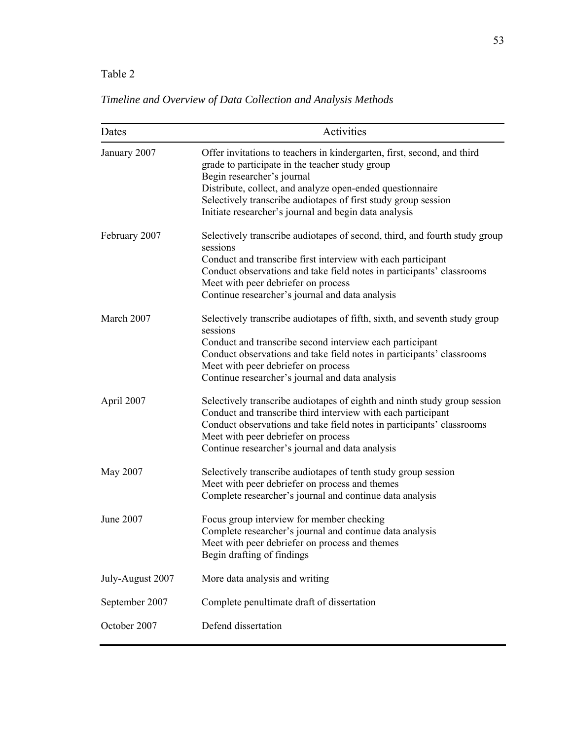# Table 2

# *Timeline and Overview of Data Collection and Analysis Methods*

| Dates            | Activities                                                                                                                                                                                                                                                                                                                                       |
|------------------|--------------------------------------------------------------------------------------------------------------------------------------------------------------------------------------------------------------------------------------------------------------------------------------------------------------------------------------------------|
| January 2007     | Offer invitations to teachers in kindergarten, first, second, and third<br>grade to participate in the teacher study group<br>Begin researcher's journal<br>Distribute, collect, and analyze open-ended questionnaire<br>Selectively transcribe audiotapes of first study group session<br>Initiate researcher's journal and begin data analysis |
| February 2007    | Selectively transcribe audiotapes of second, third, and fourth study group<br>sessions<br>Conduct and transcribe first interview with each participant<br>Conduct observations and take field notes in participants' classrooms<br>Meet with peer debriefer on process<br>Continue researcher's journal and data analysis                        |
| March 2007       | Selectively transcribe audiotapes of fifth, sixth, and seventh study group<br>sessions<br>Conduct and transcribe second interview each participant<br>Conduct observations and take field notes in participants' classrooms<br>Meet with peer debriefer on process<br>Continue researcher's journal and data analysis                            |
| April 2007       | Selectively transcribe audiotapes of eighth and ninth study group session<br>Conduct and transcribe third interview with each participant<br>Conduct observations and take field notes in participants' classrooms<br>Meet with peer debriefer on process<br>Continue researcher's journal and data analysis                                     |
| May 2007         | Selectively transcribe audiotapes of tenth study group session<br>Meet with peer debriefer on process and themes<br>Complete researcher's journal and continue data analysis                                                                                                                                                                     |
| June 2007        | Focus group interview for member checking<br>Complete researcher's journal and continue data analysis<br>Meet with peer debriefer on process and themes<br>Begin drafting of findings                                                                                                                                                            |
| July-August 2007 | More data analysis and writing                                                                                                                                                                                                                                                                                                                   |
| September 2007   | Complete penultimate draft of dissertation                                                                                                                                                                                                                                                                                                       |
| October 2007     | Defend dissertation                                                                                                                                                                                                                                                                                                                              |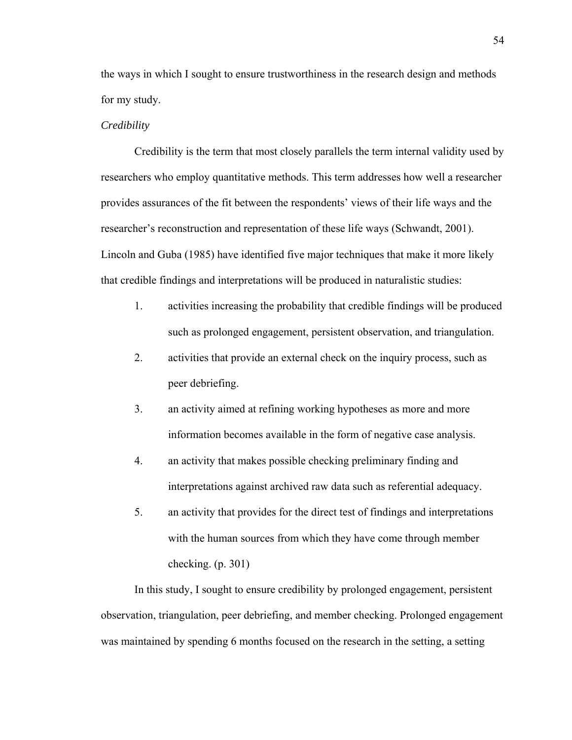the ways in which I sought to ensure trustworthiness in the research design and methods for my study.

#### *Credibility*

 Credibility is the term that most closely parallels the term internal validity used by researchers who employ quantitative methods. This term addresses how well a researcher provides assurances of the fit between the respondents' views of their life ways and the researcher's reconstruction and representation of these life ways (Schwandt, 2001). Lincoln and Guba (1985) have identified five major techniques that make it more likely that credible findings and interpretations will be produced in naturalistic studies:

- 1. activities increasing the probability that credible findings will be produced such as prolonged engagement, persistent observation, and triangulation.
- 2. activities that provide an external check on the inquiry process, such as peer debriefing.
- 3. an activity aimed at refining working hypotheses as more and more information becomes available in the form of negative case analysis.
- 4. an activity that makes possible checking preliminary finding and interpretations against archived raw data such as referential adequacy.
- 5. an activity that provides for the direct test of findings and interpretations with the human sources from which they have come through member checking. (p. 301)

In this study, I sought to ensure credibility by prolonged engagement, persistent observation, triangulation, peer debriefing, and member checking. Prolonged engagement was maintained by spending 6 months focused on the research in the setting, a setting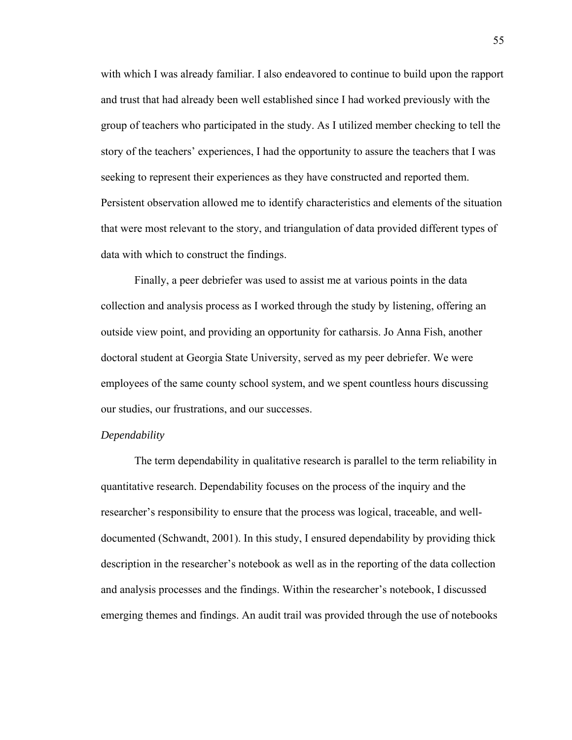with which I was already familiar. I also endeavored to continue to build upon the rapport and trust that had already been well established since I had worked previously with the group of teachers who participated in the study. As I utilized member checking to tell the story of the teachers' experiences, I had the opportunity to assure the teachers that I was seeking to represent their experiences as they have constructed and reported them. Persistent observation allowed me to identify characteristics and elements of the situation that were most relevant to the story, and triangulation of data provided different types of data with which to construct the findings.

Finally, a peer debriefer was used to assist me at various points in the data collection and analysis process as I worked through the study by listening, offering an outside view point, and providing an opportunity for catharsis. Jo Anna Fish, another doctoral student at Georgia State University, served as my peer debriefer. We were employees of the same county school system, and we spent countless hours discussing our studies, our frustrations, and our successes.

#### *Dependability*

 The term dependability in qualitative research is parallel to the term reliability in quantitative research. Dependability focuses on the process of the inquiry and the researcher's responsibility to ensure that the process was logical, traceable, and welldocumented (Schwandt, 2001). In this study, I ensured dependability by providing thick description in the researcher's notebook as well as in the reporting of the data collection and analysis processes and the findings. Within the researcher's notebook, I discussed emerging themes and findings. An audit trail was provided through the use of notebooks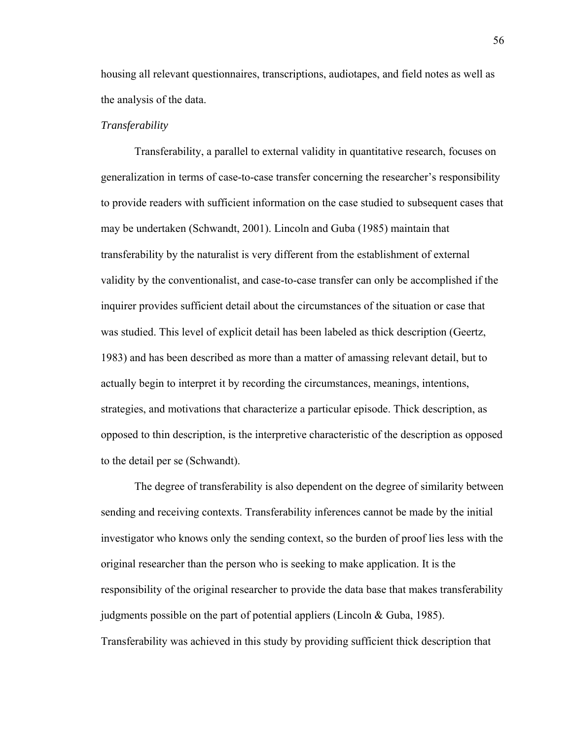housing all relevant questionnaires, transcriptions, audiotapes, and field notes as well as the analysis of the data.

#### *Transferability*

Transferability, a parallel to external validity in quantitative research, focuses on generalization in terms of case-to-case transfer concerning the researcher's responsibility to provide readers with sufficient information on the case studied to subsequent cases that may be undertaken (Schwandt, 2001). Lincoln and Guba (1985) maintain that transferability by the naturalist is very different from the establishment of external validity by the conventionalist, and case-to-case transfer can only be accomplished if the inquirer provides sufficient detail about the circumstances of the situation or case that was studied. This level of explicit detail has been labeled as thick description (Geertz, 1983) and has been described as more than a matter of amassing relevant detail, but to actually begin to interpret it by recording the circumstances, meanings, intentions, strategies, and motivations that characterize a particular episode. Thick description, as opposed to thin description, is the interpretive characteristic of the description as opposed to the detail per se (Schwandt).

The degree of transferability is also dependent on the degree of similarity between sending and receiving contexts. Transferability inferences cannot be made by the initial investigator who knows only the sending context, so the burden of proof lies less with the original researcher than the person who is seeking to make application. It is the responsibility of the original researcher to provide the data base that makes transferability judgments possible on the part of potential appliers (Lincoln & Guba, 1985). Transferability was achieved in this study by providing sufficient thick description that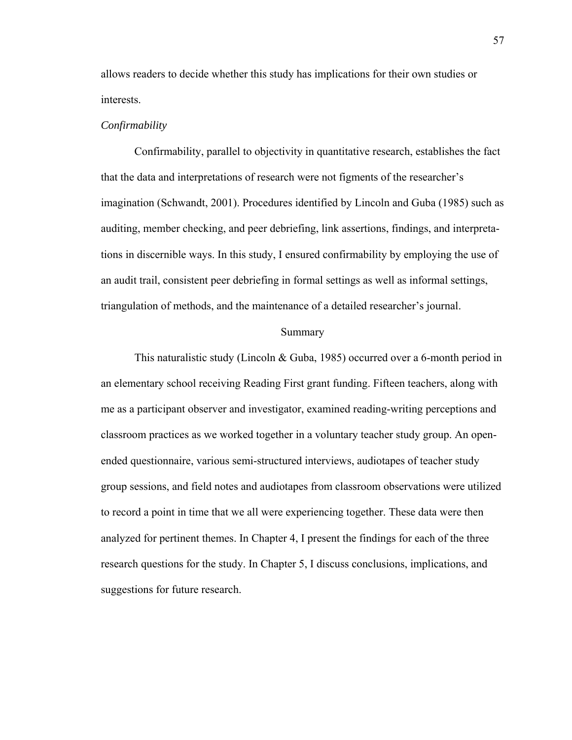allows readers to decide whether this study has implications for their own studies or interests.

#### *Confirmability*

Confirmability, parallel to objectivity in quantitative research, establishes the fact that the data and interpretations of research were not figments of the researcher's imagination (Schwandt, 2001). Procedures identified by Lincoln and Guba (1985) such as auditing, member checking, and peer debriefing, link assertions, findings, and interpretations in discernible ways. In this study, I ensured confirmability by employing the use of an audit trail, consistent peer debriefing in formal settings as well as informal settings, triangulation of methods, and the maintenance of a detailed researcher's journal.

#### Summary

This naturalistic study (Lincoln & Guba, 1985) occurred over a 6-month period in an elementary school receiving Reading First grant funding. Fifteen teachers, along with me as a participant observer and investigator, examined reading-writing perceptions and classroom practices as we worked together in a voluntary teacher study group. An openended questionnaire, various semi-structured interviews, audiotapes of teacher study group sessions, and field notes and audiotapes from classroom observations were utilized to record a point in time that we all were experiencing together. These data were then analyzed for pertinent themes. In Chapter 4, I present the findings for each of the three research questions for the study. In Chapter 5, I discuss conclusions, implications, and suggestions for future research.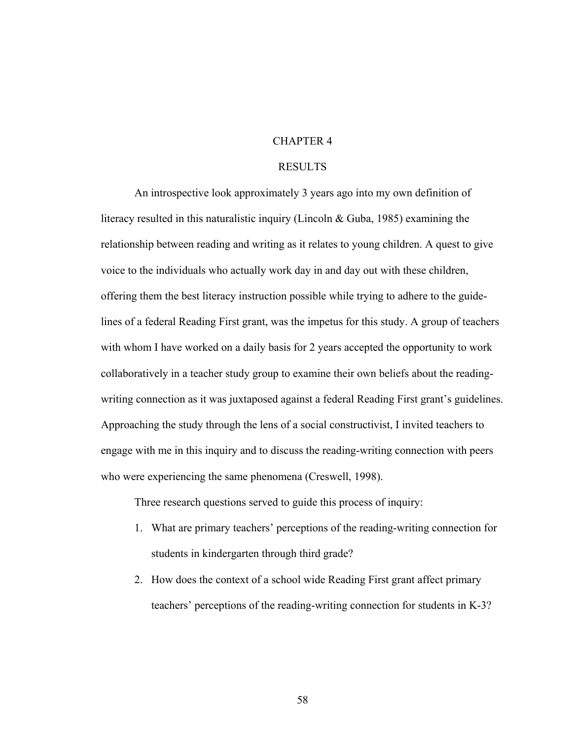### CHAPTER 4

### RESULTS

 An introspective look approximately 3 years ago into my own definition of literacy resulted in this naturalistic inquiry (Lincoln & Guba, 1985) examining the relationship between reading and writing as it relates to young children. A quest to give voice to the individuals who actually work day in and day out with these children, offering them the best literacy instruction possible while trying to adhere to the guidelines of a federal Reading First grant, was the impetus for this study. A group of teachers with whom I have worked on a daily basis for 2 years accepted the opportunity to work collaboratively in a teacher study group to examine their own beliefs about the readingwriting connection as it was juxtaposed against a federal Reading First grant's guidelines. Approaching the study through the lens of a social constructivist, I invited teachers to engage with me in this inquiry and to discuss the reading-writing connection with peers who were experiencing the same phenomena (Creswell, 1998).

Three research questions served to guide this process of inquiry:

- 1. What are primary teachers' perceptions of the reading-writing connection for students in kindergarten through third grade?
- 2. How does the context of a school wide Reading First grant affect primary teachers' perceptions of the reading-writing connection for students in K-3?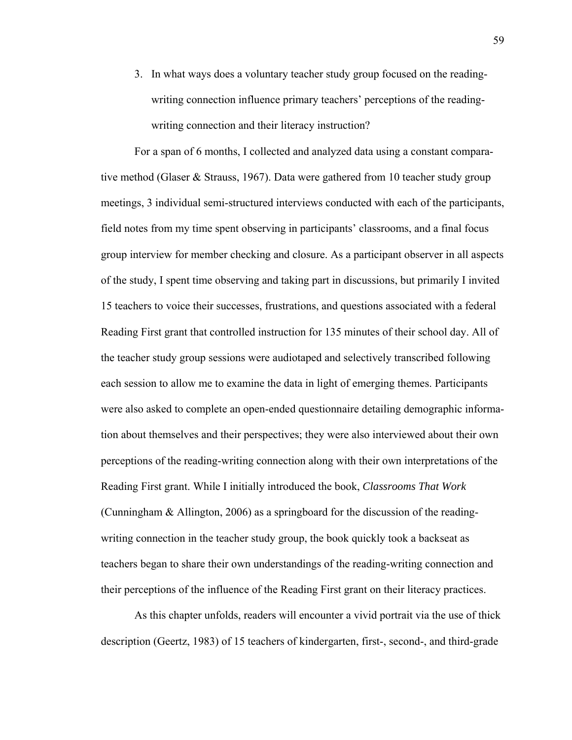3. In what ways does a voluntary teacher study group focused on the readingwriting connection influence primary teachers' perceptions of the readingwriting connection and their literacy instruction?

For a span of 6 months, I collected and analyzed data using a constant comparative method (Glaser & Strauss, 1967). Data were gathered from 10 teacher study group meetings, 3 individual semi-structured interviews conducted with each of the participants, field notes from my time spent observing in participants' classrooms, and a final focus group interview for member checking and closure. As a participant observer in all aspects of the study, I spent time observing and taking part in discussions, but primarily I invited 15 teachers to voice their successes, frustrations, and questions associated with a federal Reading First grant that controlled instruction for 135 minutes of their school day. All of the teacher study group sessions were audiotaped and selectively transcribed following each session to allow me to examine the data in light of emerging themes. Participants were also asked to complete an open-ended questionnaire detailing demographic information about themselves and their perspectives; they were also interviewed about their own perceptions of the reading-writing connection along with their own interpretations of the Reading First grant. While I initially introduced the book, *Classrooms That Work* (Cunningham & Allington, 2006) as a springboard for the discussion of the readingwriting connection in the teacher study group, the book quickly took a backseat as teachers began to share their own understandings of the reading-writing connection and their perceptions of the influence of the Reading First grant on their literacy practices.

As this chapter unfolds, readers will encounter a vivid portrait via the use of thick description (Geertz, 1983) of 15 teachers of kindergarten, first-, second-, and third-grade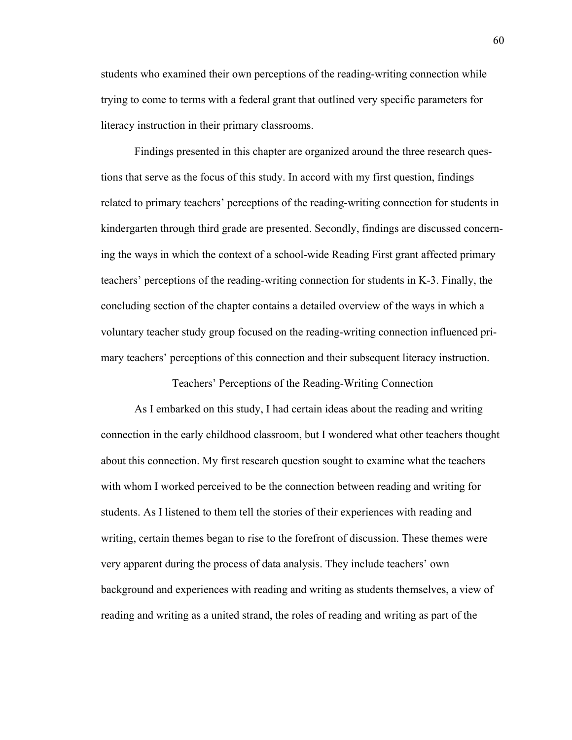students who examined their own perceptions of the reading-writing connection while trying to come to terms with a federal grant that outlined very specific parameters for literacy instruction in their primary classrooms.

Findings presented in this chapter are organized around the three research questions that serve as the focus of this study. In accord with my first question, findings related to primary teachers' perceptions of the reading-writing connection for students in kindergarten through third grade are presented. Secondly, findings are discussed concerning the ways in which the context of a school-wide Reading First grant affected primary teachers' perceptions of the reading-writing connection for students in K-3. Finally, the concluding section of the chapter contains a detailed overview of the ways in which a voluntary teacher study group focused on the reading-writing connection influenced primary teachers' perceptions of this connection and their subsequent literacy instruction.

Teachers' Perceptions of the Reading-Writing Connection

As I embarked on this study, I had certain ideas about the reading and writing connection in the early childhood classroom, but I wondered what other teachers thought about this connection. My first research question sought to examine what the teachers with whom I worked perceived to be the connection between reading and writing for students. As I listened to them tell the stories of their experiences with reading and writing, certain themes began to rise to the forefront of discussion. These themes were very apparent during the process of data analysis. They include teachers' own background and experiences with reading and writing as students themselves, a view of reading and writing as a united strand, the roles of reading and writing as part of the

60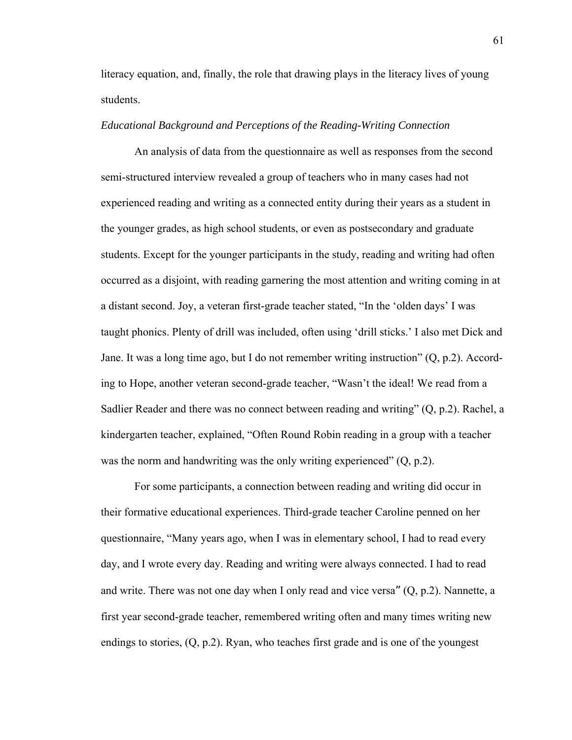literacy equation, and, finally, the role that drawing plays in the literacy lives of young students.

## *Educational Background and Perceptions of the Reading-Writing Connection*

An analysis of data from the questionnaire as well as responses from the second semi-structured interview revealed a group of teachers who in many cases had not experienced reading and writing as a connected entity during their years as a student in the younger grades, as high school students, or even as postsecondary and graduate students. Except for the younger participants in the study, reading and writing had often occurred as a disjoint, with reading garnering the most attention and writing coming in at a distant second. Joy, a veteran first-grade teacher stated, "In the 'olden days' I was taught phonics. Plenty of drill was included, often using 'drill sticks.' I also met Dick and Jane. It was a long time ago, but I do not remember writing instruction" (Q, p.2). According to Hope, another veteran second-grade teacher, "Wasn't the ideal! We read from a Sadlier Reader and there was no connect between reading and writing" (Q, p.2). Rachel, a kindergarten teacher, explained, "Often Round Robin reading in a group with a teacher was the norm and handwriting was the only writing experienced" (Q, p.2).

For some participants, a connection between reading and writing did occur in their formative educational experiences. Third-grade teacher Caroline penned on her questionnaire, "Many years ago, when I was in elementary school, I had to read every day, and I wrote every day. Reading and writing were always connected. I had to read and write. There was not one day when I only read and vice versa" (Q, p.2). Nannette, a first year second-grade teacher, remembered writing often and many times writing new endings to stories, (Q, p.2). Ryan, who teaches first grade and is one of the youngest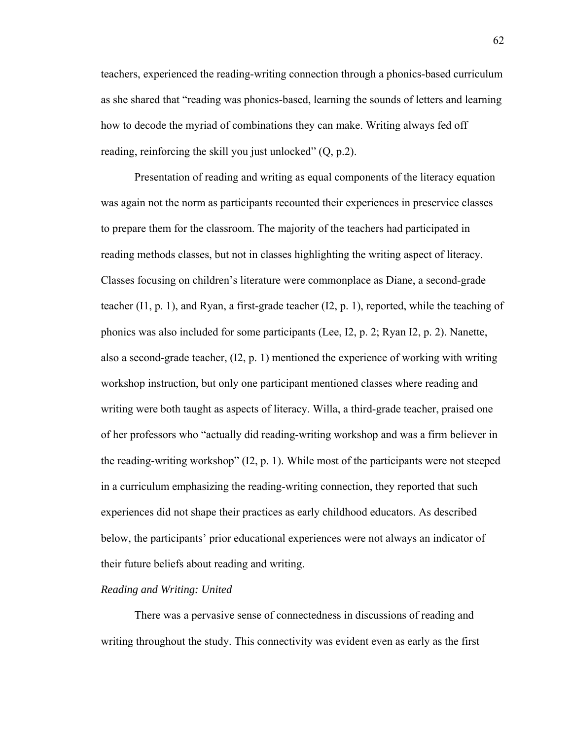teachers, experienced the reading-writing connection through a phonics-based curriculum as she shared that "reading was phonics-based, learning the sounds of letters and learning how to decode the myriad of combinations they can make. Writing always fed off reading, reinforcing the skill you just unlocked"  $(Q, p.2)$ .

 Presentation of reading and writing as equal components of the literacy equation was again not the norm as participants recounted their experiences in preservice classes to prepare them for the classroom. The majority of the teachers had participated in reading methods classes, but not in classes highlighting the writing aspect of literacy. Classes focusing on children's literature were commonplace as Diane, a second-grade teacher (I1, p. 1), and Ryan, a first-grade teacher (I2, p. 1), reported, while the teaching of phonics was also included for some participants (Lee, I2, p. 2; Ryan I2, p. 2). Nanette, also a second-grade teacher,  $(I2, p. 1)$  mentioned the experience of working with writing workshop instruction, but only one participant mentioned classes where reading and writing were both taught as aspects of literacy. Willa, a third-grade teacher, praised one of her professors who "actually did reading-writing workshop and was a firm believer in the reading-writing workshop" (I2, p. 1). While most of the participants were not steeped in a curriculum emphasizing the reading-writing connection, they reported that such experiences did not shape their practices as early childhood educators. As described below, the participants' prior educational experiences were not always an indicator of their future beliefs about reading and writing.

## *Reading and Writing: United*

 There was a pervasive sense of connectedness in discussions of reading and writing throughout the study. This connectivity was evident even as early as the first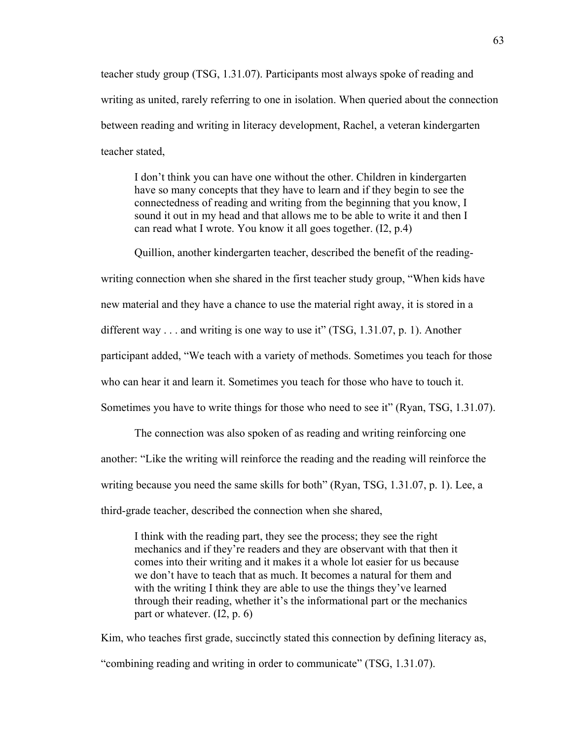teacher study group (TSG, 1.31.07). Participants most always spoke of reading and writing as united, rarely referring to one in isolation. When queried about the connection between reading and writing in literacy development, Rachel, a veteran kindergarten teacher stated,

I don't think you can have one without the other. Children in kindergarten have so many concepts that they have to learn and if they begin to see the connectedness of reading and writing from the beginning that you know, I sound it out in my head and that allows me to be able to write it and then I can read what I wrote. You know it all goes together. (I2, p.4)

Quillion, another kindergarten teacher, described the benefit of the reading-

writing connection when she shared in the first teacher study group, "When kids have

new material and they have a chance to use the material right away, it is stored in a

different way . . . and writing is one way to use it" (TSG, 1.31.07, p. 1). Another

participant added, "We teach with a variety of methods. Sometimes you teach for those

who can hear it and learn it. Sometimes you teach for those who have to touch it.

Sometimes you have to write things for those who need to see it" (Ryan, TSG, 1.31.07).

The connection was also spoken of as reading and writing reinforcing one another: "Like the writing will reinforce the reading and the reading will reinforce the writing because you need the same skills for both" (Ryan, TSG, 1.31.07, p. 1). Lee, a third-grade teacher, described the connection when she shared,

I think with the reading part, they see the process; they see the right mechanics and if they're readers and they are observant with that then it comes into their writing and it makes it a whole lot easier for us because we don't have to teach that as much. It becomes a natural for them and with the writing I think they are able to use the things they've learned through their reading, whether it's the informational part or the mechanics part or whatever. (I2, p. 6)

Kim, who teaches first grade, succinctly stated this connection by defining literacy as, "combining reading and writing in order to communicate" (TSG, 1.31.07).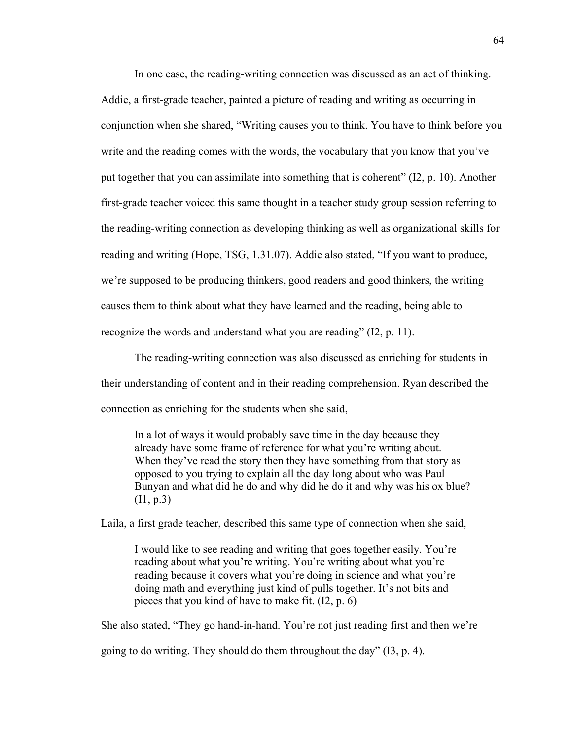In one case, the reading-writing connection was discussed as an act of thinking. Addie, a first-grade teacher, painted a picture of reading and writing as occurring in conjunction when she shared, "Writing causes you to think. You have to think before you write and the reading comes with the words, the vocabulary that you know that you've put together that you can assimilate into something that is coherent" (I2, p. 10). Another first-grade teacher voiced this same thought in a teacher study group session referring to the reading-writing connection as developing thinking as well as organizational skills for reading and writing (Hope, TSG, 1.31.07). Addie also stated, "If you want to produce, we're supposed to be producing thinkers, good readers and good thinkers, the writing causes them to think about what they have learned and the reading, being able to recognize the words and understand what you are reading" (I2, p. 11).

The reading-writing connection was also discussed as enriching for students in their understanding of content and in their reading comprehension. Ryan described the connection as enriching for the students when she said,

In a lot of ways it would probably save time in the day because they already have some frame of reference for what you're writing about. When they've read the story then they have something from that story as opposed to you trying to explain all the day long about who was Paul Bunyan and what did he do and why did he do it and why was his ox blue? (I1, p.3)

Laila, a first grade teacher, described this same type of connection when she said,

I would like to see reading and writing that goes together easily. You're reading about what you're writing. You're writing about what you're reading because it covers what you're doing in science and what you're doing math and everything just kind of pulls together. It's not bits and pieces that you kind of have to make fit. (I2, p. 6)

She also stated, "They go hand-in-hand. You're not just reading first and then we're

going to do writing. They should do them throughout the day" (I3, p. 4).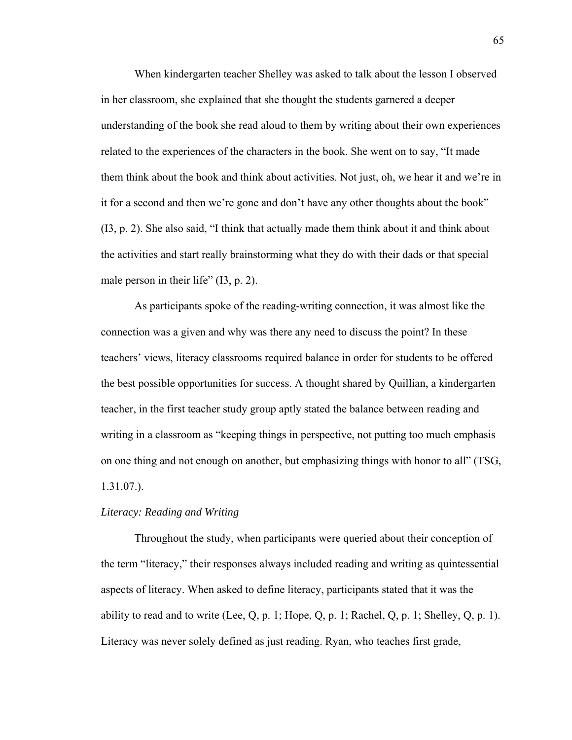When kindergarten teacher Shelley was asked to talk about the lesson I observed in her classroom, she explained that she thought the students garnered a deeper understanding of the book she read aloud to them by writing about their own experiences related to the experiences of the characters in the book. She went on to say, "It made them think about the book and think about activities. Not just, oh, we hear it and we're in it for a second and then we're gone and don't have any other thoughts about the book" (I3, p. 2). She also said, "I think that actually made them think about it and think about the activities and start really brainstorming what they do with their dads or that special male person in their life" (I3, p. 2).

As participants spoke of the reading-writing connection, it was almost like the connection was a given and why was there any need to discuss the point? In these teachers' views, literacy classrooms required balance in order for students to be offered the best possible opportunities for success. A thought shared by Quillian, a kindergarten teacher, in the first teacher study group aptly stated the balance between reading and writing in a classroom as "keeping things in perspective, not putting too much emphasis on one thing and not enough on another, but emphasizing things with honor to all" (TSG, 1.31.07.).

#### *Literacy: Reading and Writing*

 Throughout the study, when participants were queried about their conception of the term "literacy," their responses always included reading and writing as quintessential aspects of literacy. When asked to define literacy, participants stated that it was the ability to read and to write (Lee, Q, p. 1; Hope, Q, p. 1; Rachel, Q, p. 1; Shelley, Q, p. 1). Literacy was never solely defined as just reading. Ryan, who teaches first grade,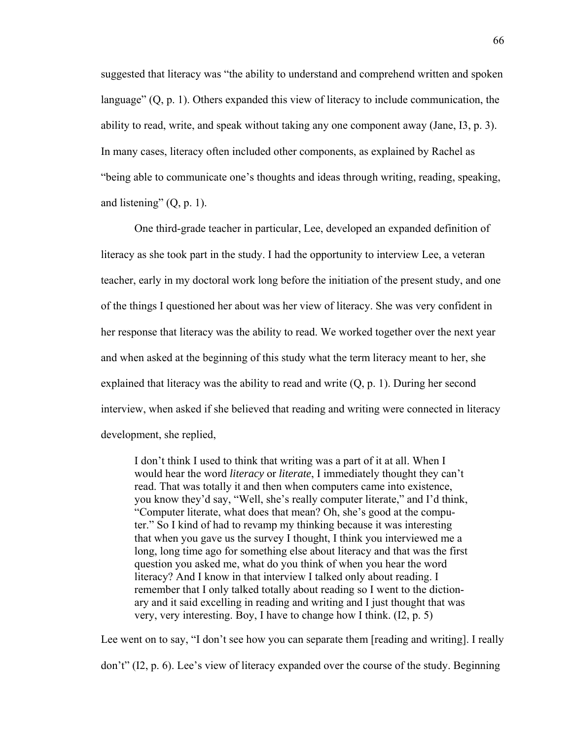suggested that literacy was "the ability to understand and comprehend written and spoken language" (Q, p. 1). Others expanded this view of literacy to include communication, the ability to read, write, and speak without taking any one component away (Jane, I3, p. 3). In many cases, literacy often included other components, as explained by Rachel as "being able to communicate one's thoughts and ideas through writing, reading, speaking, and listening"  $(Q, p. 1)$ .

 One third-grade teacher in particular, Lee, developed an expanded definition of literacy as she took part in the study. I had the opportunity to interview Lee, a veteran teacher, early in my doctoral work long before the initiation of the present study, and one of the things I questioned her about was her view of literacy. She was very confident in her response that literacy was the ability to read. We worked together over the next year and when asked at the beginning of this study what the term literacy meant to her, she explained that literacy was the ability to read and write  $(Q, p, 1)$ . During her second interview, when asked if she believed that reading and writing were connected in literacy development, she replied,

I don't think I used to think that writing was a part of it at all. When I would hear the word *literacy* or *literate*, I immediately thought they can't read. That was totally it and then when computers came into existence, you know they'd say, "Well, she's really computer literate," and I'd think, "Computer literate, what does that mean? Oh, she's good at the computer." So I kind of had to revamp my thinking because it was interesting that when you gave us the survey I thought, I think you interviewed me a long, long time ago for something else about literacy and that was the first question you asked me, what do you think of when you hear the word literacy? And I know in that interview I talked only about reading. I remember that I only talked totally about reading so I went to the dictionary and it said excelling in reading and writing and I just thought that was very, very interesting. Boy, I have to change how I think. (I2, p. 5)

Lee went on to say, "I don't see how you can separate them [reading and writing]. I really don't" (I2, p. 6). Lee's view of literacy expanded over the course of the study. Beginning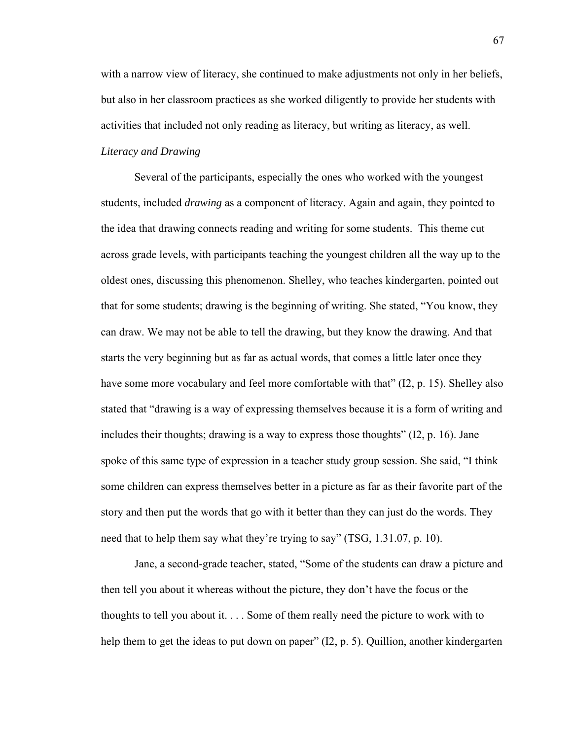with a narrow view of literacy, she continued to make adjustments not only in her beliefs, but also in her classroom practices as she worked diligently to provide her students with activities that included not only reading as literacy, but writing as literacy, as well.

# *Literacy and Drawing*

Several of the participants, especially the ones who worked with the youngest students, included *drawing* as a component of literacy. Again and again, they pointed to the idea that drawing connects reading and writing for some students. This theme cut across grade levels, with participants teaching the youngest children all the way up to the oldest ones, discussing this phenomenon. Shelley, who teaches kindergarten, pointed out that for some students; drawing is the beginning of writing. She stated, "You know, they can draw. We may not be able to tell the drawing, but they know the drawing. And that starts the very beginning but as far as actual words, that comes a little later once they have some more vocabulary and feel more comfortable with that" (I2, p. 15). Shelley also stated that "drawing is a way of expressing themselves because it is a form of writing and includes their thoughts; drawing is a way to express those thoughts" (I2, p. 16). Jane spoke of this same type of expression in a teacher study group session. She said, "I think some children can express themselves better in a picture as far as their favorite part of the story and then put the words that go with it better than they can just do the words. They need that to help them say what they're trying to say" (TSG, 1.31.07, p. 10).

Jane, a second-grade teacher, stated, "Some of the students can draw a picture and then tell you about it whereas without the picture, they don't have the focus or the thoughts to tell you about it. . . . Some of them really need the picture to work with to help them to get the ideas to put down on paper" (I2, p. 5). Quillion, another kindergarten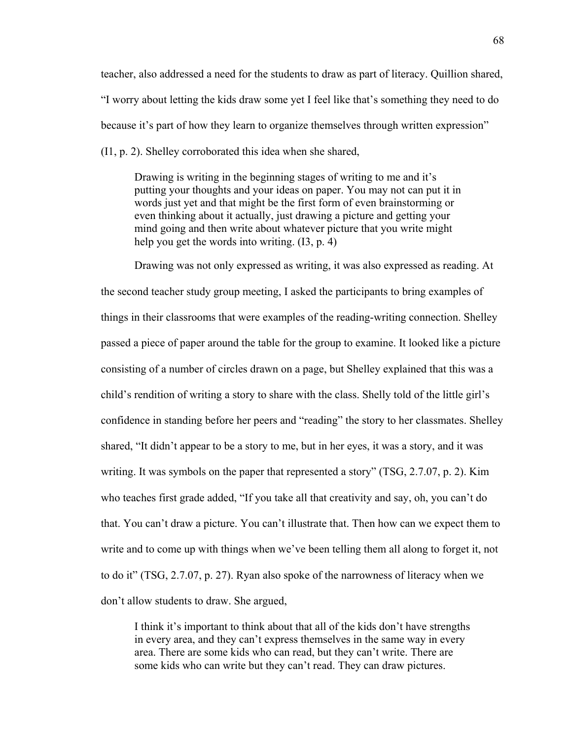teacher, also addressed a need for the students to draw as part of literacy. Quillion shared, "I worry about letting the kids draw some yet I feel like that's something they need to do because it's part of how they learn to organize themselves through written expression" (I1, p. 2). Shelley corroborated this idea when she shared,

Drawing is writing in the beginning stages of writing to me and it's putting your thoughts and your ideas on paper. You may not can put it in words just yet and that might be the first form of even brainstorming or even thinking about it actually, just drawing a picture and getting your mind going and then write about whatever picture that you write might help you get the words into writing.  $(13, p. 4)$ 

Drawing was not only expressed as writing, it was also expressed as reading. At the second teacher study group meeting, I asked the participants to bring examples of things in their classrooms that were examples of the reading-writing connection. Shelley passed a piece of paper around the table for the group to examine. It looked like a picture consisting of a number of circles drawn on a page, but Shelley explained that this was a child's rendition of writing a story to share with the class. Shelly told of the little girl's confidence in standing before her peers and "reading" the story to her classmates. Shelley shared, "It didn't appear to be a story to me, but in her eyes, it was a story, and it was writing. It was symbols on the paper that represented a story" (TSG, 2.7.07, p. 2). Kim who teaches first grade added, "If you take all that creativity and say, oh, you can't do that. You can't draw a picture. You can't illustrate that. Then how can we expect them to write and to come up with things when we've been telling them all along to forget it, not to do it" (TSG, 2.7.07, p. 27). Ryan also spoke of the narrowness of literacy when we don't allow students to draw. She argued,

I think it's important to think about that all of the kids don't have strengths in every area, and they can't express themselves in the same way in every area. There are some kids who can read, but they can't write. There are some kids who can write but they can't read. They can draw pictures.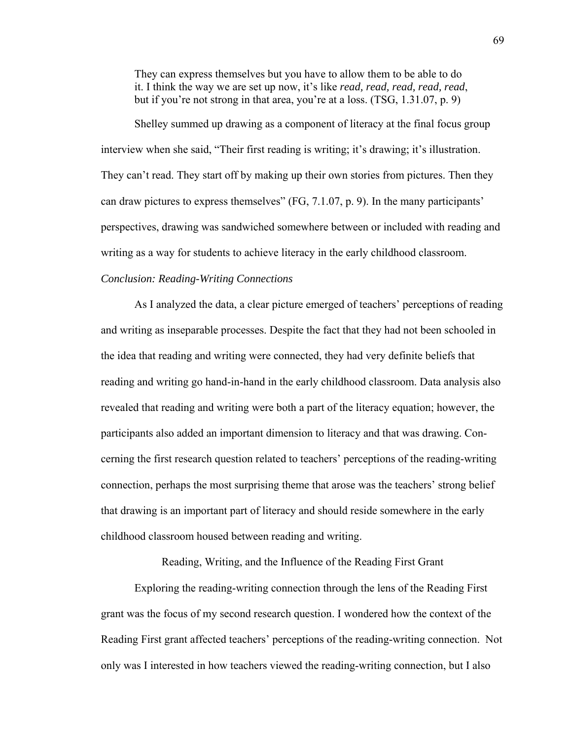They can express themselves but you have to allow them to be able to do it. I think the way we are set up now, it's like *read, read, read, read, read*, but if you're not strong in that area, you're at a loss. (TSG, 1.31.07, p. 9)

Shelley summed up drawing as a component of literacy at the final focus group interview when she said, "Their first reading is writing; it's drawing; it's illustration. They can't read. They start off by making up their own stories from pictures. Then they can draw pictures to express themselves" (FG, 7.1.07, p. 9). In the many participants' perspectives, drawing was sandwiched somewhere between or included with reading and writing as a way for students to achieve literacy in the early childhood classroom.

# *Conclusion: Reading-Writing Connections*

 As I analyzed the data, a clear picture emerged of teachers' perceptions of reading and writing as inseparable processes. Despite the fact that they had not been schooled in the idea that reading and writing were connected, they had very definite beliefs that reading and writing go hand-in-hand in the early childhood classroom. Data analysis also revealed that reading and writing were both a part of the literacy equation; however, the participants also added an important dimension to literacy and that was drawing. Concerning the first research question related to teachers' perceptions of the reading-writing connection, perhaps the most surprising theme that arose was the teachers' strong belief that drawing is an important part of literacy and should reside somewhere in the early childhood classroom housed between reading and writing.

Reading, Writing, and the Influence of the Reading First Grant

 Exploring the reading-writing connection through the lens of the Reading First grant was the focus of my second research question. I wondered how the context of the Reading First grant affected teachers' perceptions of the reading-writing connection. Not only was I interested in how teachers viewed the reading-writing connection, but I also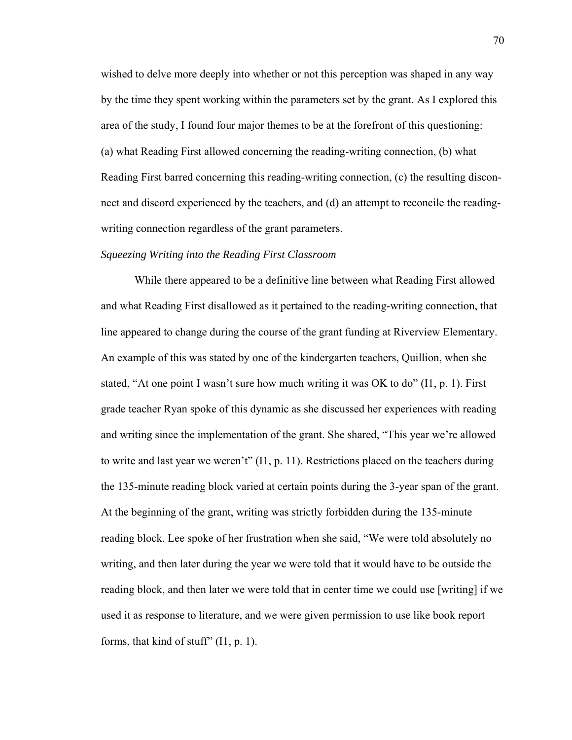wished to delve more deeply into whether or not this perception was shaped in any way by the time they spent working within the parameters set by the grant. As I explored this area of the study, I found four major themes to be at the forefront of this questioning: (a) what Reading First allowed concerning the reading-writing connection, (b) what Reading First barred concerning this reading-writing connection, (c) the resulting disconnect and discord experienced by the teachers, and (d) an attempt to reconcile the readingwriting connection regardless of the grant parameters.

#### *Squeezing Writing into the Reading First Classroom*

While there appeared to be a definitive line between what Reading First allowed and what Reading First disallowed as it pertained to the reading-writing connection, that line appeared to change during the course of the grant funding at Riverview Elementary. An example of this was stated by one of the kindergarten teachers, Quillion, when she stated, "At one point I wasn't sure how much writing it was OK to do" (I1, p. 1). First grade teacher Ryan spoke of this dynamic as she discussed her experiences with reading and writing since the implementation of the grant. She shared, "This year we're allowed to write and last year we weren't" (I1, p. 11). Restrictions placed on the teachers during the 135-minute reading block varied at certain points during the 3-year span of the grant. At the beginning of the grant, writing was strictly forbidden during the 135-minute reading block. Lee spoke of her frustration when she said, "We were told absolutely no writing, and then later during the year we were told that it would have to be outside the reading block, and then later we were told that in center time we could use [writing] if we used it as response to literature, and we were given permission to use like book report forms, that kind of stuff" (I1, p. 1).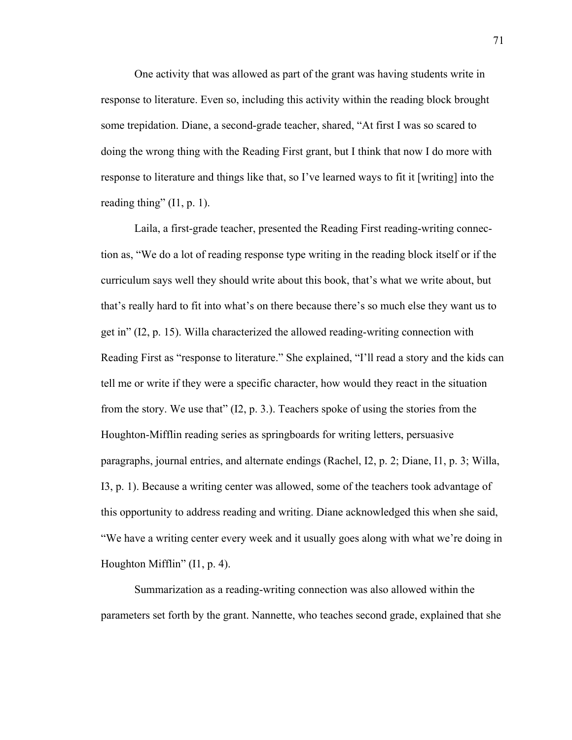One activity that was allowed as part of the grant was having students write in response to literature. Even so, including this activity within the reading block brought some trepidation. Diane, a second-grade teacher, shared, "At first I was so scared to doing the wrong thing with the Reading First grant, but I think that now I do more with response to literature and things like that, so I've learned ways to fit it [writing] into the reading thing" (I1, p. 1).

Laila, a first-grade teacher, presented the Reading First reading-writing connection as, "We do a lot of reading response type writing in the reading block itself or if the curriculum says well they should write about this book, that's what we write about, but that's really hard to fit into what's on there because there's so much else they want us to get in" (I2, p. 15). Willa characterized the allowed reading-writing connection with Reading First as "response to literature." She explained, "I'll read a story and the kids can tell me or write if they were a specific character, how would they react in the situation from the story. We use that" (I2, p. 3.). Teachers spoke of using the stories from the Houghton-Mifflin reading series as springboards for writing letters, persuasive paragraphs, journal entries, and alternate endings (Rachel, I2, p. 2; Diane, I1, p. 3; Willa, I3, p. 1). Because a writing center was allowed, some of the teachers took advantage of this opportunity to address reading and writing. Diane acknowledged this when she said, "We have a writing center every week and it usually goes along with what we're doing in Houghton Mifflin" (I1, p. 4).

 Summarization as a reading-writing connection was also allowed within the parameters set forth by the grant. Nannette, who teaches second grade, explained that she

71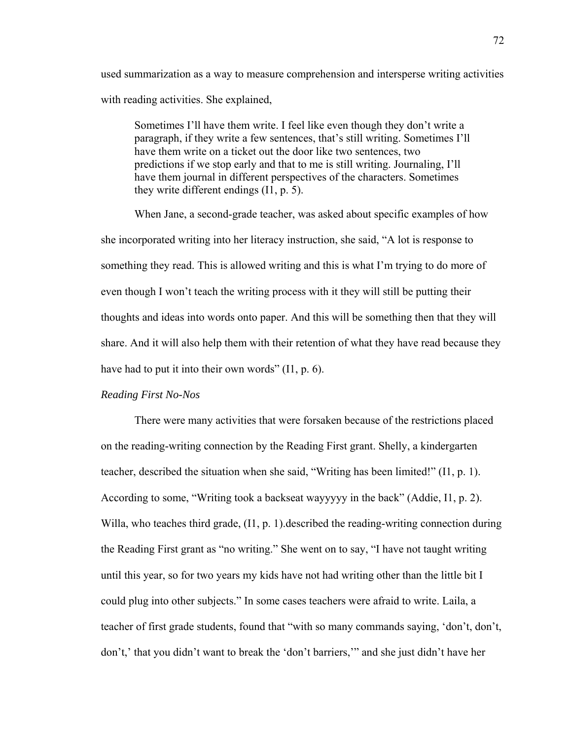used summarization as a way to measure comprehension and intersperse writing activities with reading activities. She explained,

Sometimes I'll have them write. I feel like even though they don't write a paragraph, if they write a few sentences, that's still writing. Sometimes I'll have them write on a ticket out the door like two sentences, two predictions if we stop early and that to me is still writing. Journaling, I'll have them journal in different perspectives of the characters. Sometimes they write different endings (I1, p. 5).

When Jane, a second-grade teacher, was asked about specific examples of how she incorporated writing into her literacy instruction, she said, "A lot is response to something they read. This is allowed writing and this is what I'm trying to do more of even though I won't teach the writing process with it they will still be putting their thoughts and ideas into words onto paper. And this will be something then that they will share. And it will also help them with their retention of what they have read because they have had to put it into their own words" (I1, p. 6).

#### *Reading First No-Nos*

There were many activities that were forsaken because of the restrictions placed on the reading-writing connection by the Reading First grant. Shelly, a kindergarten teacher, described the situation when she said, "Writing has been limited!" (I1, p. 1). According to some, "Writing took a backseat wayyyyy in the back" (Addie, I1, p. 2). Willa, who teaches third grade, (I1, p. 1).described the reading-writing connection during the Reading First grant as "no writing." She went on to say, "I have not taught writing until this year, so for two years my kids have not had writing other than the little bit I could plug into other subjects." In some cases teachers were afraid to write. Laila, a teacher of first grade students, found that "with so many commands saying, 'don't, don't, don't,' that you didn't want to break the 'don't barriers,'" and she just didn't have her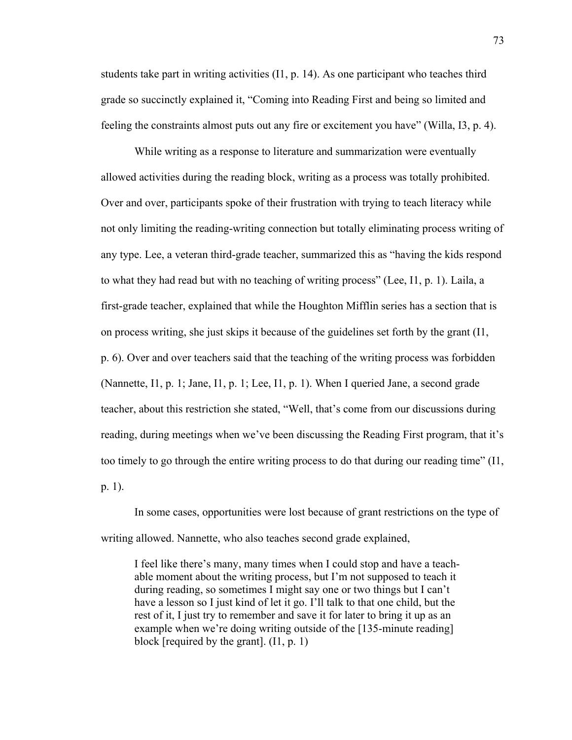students take part in writing activities (I1, p. 14). As one participant who teaches third grade so succinctly explained it, "Coming into Reading First and being so limited and feeling the constraints almost puts out any fire or excitement you have" (Willa, I3, p. 4).

While writing as a response to literature and summarization were eventually allowed activities during the reading block, writing as a process was totally prohibited. Over and over, participants spoke of their frustration with trying to teach literacy while not only limiting the reading-writing connection but totally eliminating process writing of any type. Lee, a veteran third-grade teacher, summarized this as "having the kids respond to what they had read but with no teaching of writing process" (Lee, I1, p. 1). Laila, a first-grade teacher, explained that while the Houghton Mifflin series has a section that is on process writing, she just skips it because of the guidelines set forth by the grant (I1, p. 6). Over and over teachers said that the teaching of the writing process was forbidden (Nannette, I1, p. 1; Jane, I1, p. 1; Lee, I1, p. 1). When I queried Jane, a second grade teacher, about this restriction she stated, "Well, that's come from our discussions during reading, during meetings when we've been discussing the Reading First program, that it's too timely to go through the entire writing process to do that during our reading time" (I1, p. 1).

In some cases, opportunities were lost because of grant restrictions on the type of writing allowed. Nannette, who also teaches second grade explained,

I feel like there's many, many times when I could stop and have a teachable moment about the writing process, but I'm not supposed to teach it during reading, so sometimes I might say one or two things but I can't have a lesson so I just kind of let it go. I'll talk to that one child, but the rest of it, I just try to remember and save it for later to bring it up as an example when we're doing writing outside of the [135-minute reading] block [required by the grant]. (I1, p. 1)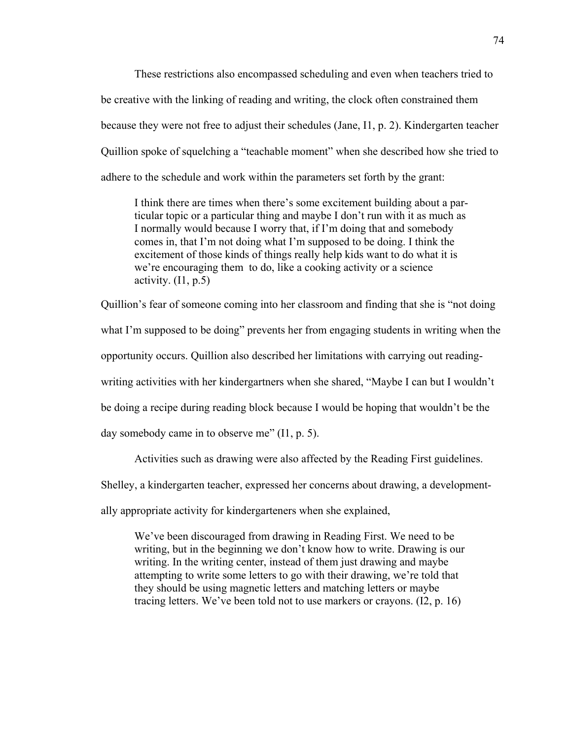These restrictions also encompassed scheduling and even when teachers tried to be creative with the linking of reading and writing, the clock often constrained them because they were not free to adjust their schedules (Jane, I1, p. 2). Kindergarten teacher Quillion spoke of squelching a "teachable moment" when she described how she tried to adhere to the schedule and work within the parameters set forth by the grant:

I think there are times when there's some excitement building about a particular topic or a particular thing and maybe I don't run with it as much as I normally would because I worry that, if I'm doing that and somebody comes in, that I'm not doing what I'm supposed to be doing. I think the excitement of those kinds of things really help kids want to do what it is we're encouraging them to do, like a cooking activity or a science activity.  $(11, p.5)$ 

Quillion's fear of someone coming into her classroom and finding that she is "not doing what I'm supposed to be doing" prevents her from engaging students in writing when the opportunity occurs. Quillion also described her limitations with carrying out readingwriting activities with her kindergartners when she shared, "Maybe I can but I wouldn't be doing a recipe during reading block because I would be hoping that wouldn't be the day somebody came in to observe me" (I1, p. 5).

Activities such as drawing were also affected by the Reading First guidelines.

Shelley, a kindergarten teacher, expressed her concerns about drawing, a development-

ally appropriate activity for kindergarteners when she explained,

We've been discouraged from drawing in Reading First. We need to be writing, but in the beginning we don't know how to write. Drawing is our writing. In the writing center, instead of them just drawing and maybe attempting to write some letters to go with their drawing, we're told that they should be using magnetic letters and matching letters or maybe tracing letters. We've been told not to use markers or crayons. (I2, p. 16)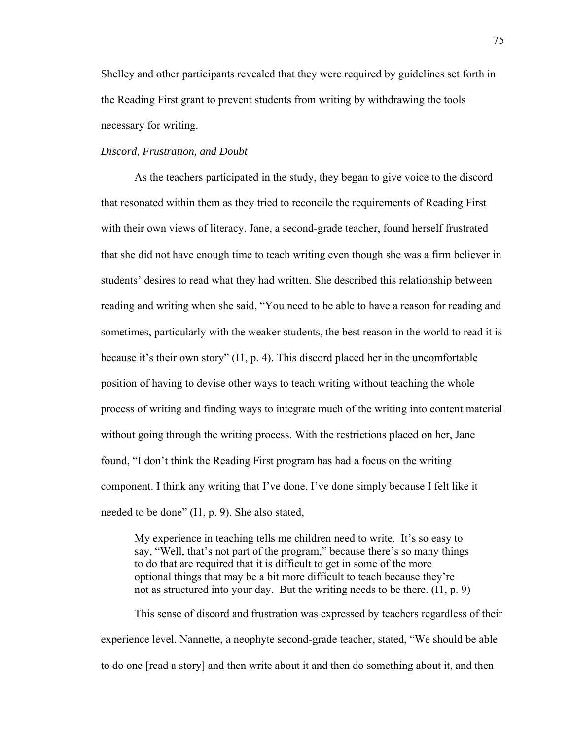Shelley and other participants revealed that they were required by guidelines set forth in the Reading First grant to prevent students from writing by withdrawing the tools necessary for writing.

### *Discord, Frustration, and Doubt*

 As the teachers participated in the study, they began to give voice to the discord that resonated within them as they tried to reconcile the requirements of Reading First with their own views of literacy. Jane, a second-grade teacher, found herself frustrated that she did not have enough time to teach writing even though she was a firm believer in students' desires to read what they had written. She described this relationship between reading and writing when she said, "You need to be able to have a reason for reading and sometimes, particularly with the weaker students, the best reason in the world to read it is because it's their own story"  $(11, p. 4)$ . This discord placed her in the uncomfortable position of having to devise other ways to teach writing without teaching the whole process of writing and finding ways to integrate much of the writing into content material without going through the writing process. With the restrictions placed on her, Jane found, "I don't think the Reading First program has had a focus on the writing component. I think any writing that I've done, I've done simply because I felt like it needed to be done" (I1, p. 9). She also stated,

My experience in teaching tells me children need to write. It's so easy to say, "Well, that's not part of the program," because there's so many things to do that are required that it is difficult to get in some of the more optional things that may be a bit more difficult to teach because they're not as structured into your day. But the writing needs to be there. (I1, p. 9)

This sense of discord and frustration was expressed by teachers regardless of their experience level. Nannette, a neophyte second-grade teacher, stated, "We should be able to do one [read a story] and then write about it and then do something about it, and then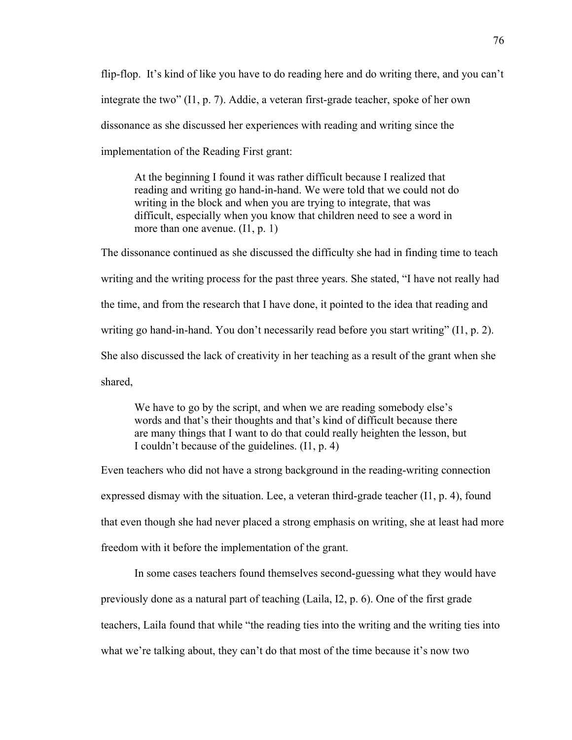flip-flop. It's kind of like you have to do reading here and do writing there, and you can't integrate the two" (I1, p. 7). Addie, a veteran first-grade teacher, spoke of her own dissonance as she discussed her experiences with reading and writing since the implementation of the Reading First grant:

At the beginning I found it was rather difficult because I realized that reading and writing go hand-in-hand. We were told that we could not do writing in the block and when you are trying to integrate, that was difficult, especially when you know that children need to see a word in more than one avenue. (I1, p. 1)

The dissonance continued as she discussed the difficulty she had in finding time to teach writing and the writing process for the past three years. She stated, "I have not really had the time, and from the research that I have done, it pointed to the idea that reading and writing go hand-in-hand. You don't necessarily read before you start writing" (I1, p. 2). She also discussed the lack of creativity in her teaching as a result of the grant when she shared,

We have to go by the script, and when we are reading somebody else's words and that's their thoughts and that's kind of difficult because there are many things that I want to do that could really heighten the lesson, but I couldn't because of the guidelines. (I1, p. 4)

Even teachers who did not have a strong background in the reading-writing connection expressed dismay with the situation. Lee, a veteran third-grade teacher  $(11, p. 4)$ , found that even though she had never placed a strong emphasis on writing, she at least had more freedom with it before the implementation of the grant.

In some cases teachers found themselves second-guessing what they would have previously done as a natural part of teaching (Laila, I2, p. 6). One of the first grade teachers, Laila found that while "the reading ties into the writing and the writing ties into what we're talking about, they can't do that most of the time because it's now two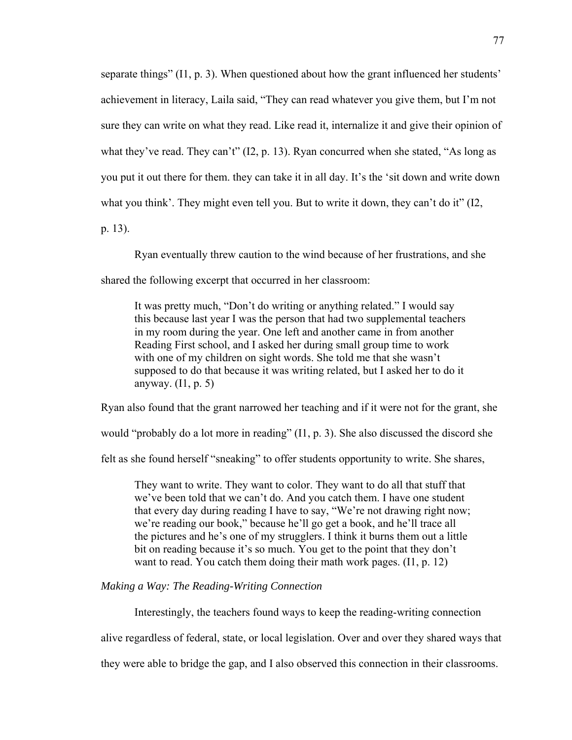separate things" (I1, p. 3). When questioned about how the grant influenced her students' achievement in literacy, Laila said, "They can read whatever you give them, but I'm not sure they can write on what they read. Like read it, internalize it and give their opinion of what they've read. They can't" (I2, p. 13). Ryan concurred when she stated, "As long as you put it out there for them. they can take it in all day. It's the 'sit down and write down what you think'. They might even tell you. But to write it down, they can't do it" (I2,

p. 13).

Ryan eventually threw caution to the wind because of her frustrations, and she

shared the following excerpt that occurred in her classroom:

It was pretty much, "Don't do writing or anything related." I would say this because last year I was the person that had two supplemental teachers in my room during the year. One left and another came in from another Reading First school, and I asked her during small group time to work with one of my children on sight words. She told me that she wasn't supposed to do that because it was writing related, but I asked her to do it anyway.  $(11, p. 5)$ 

Ryan also found that the grant narrowed her teaching and if it were not for the grant, she

would "probably do a lot more in reading" (I1, p. 3). She also discussed the discord she

felt as she found herself "sneaking" to offer students opportunity to write. She shares,

They want to write. They want to color. They want to do all that stuff that we've been told that we can't do. And you catch them. I have one student that every day during reading I have to say, "We're not drawing right now; we're reading our book," because he'll go get a book, and he'll trace all the pictures and he's one of my strugglers. I think it burns them out a little bit on reading because it's so much. You get to the point that they don't want to read. You catch them doing their math work pages. (I1, p. 12)

*Making a Way: The Reading-Writing Connection* 

Interestingly, the teachers found ways to keep the reading-writing connection

alive regardless of federal, state, or local legislation. Over and over they shared ways that

they were able to bridge the gap, and I also observed this connection in their classrooms.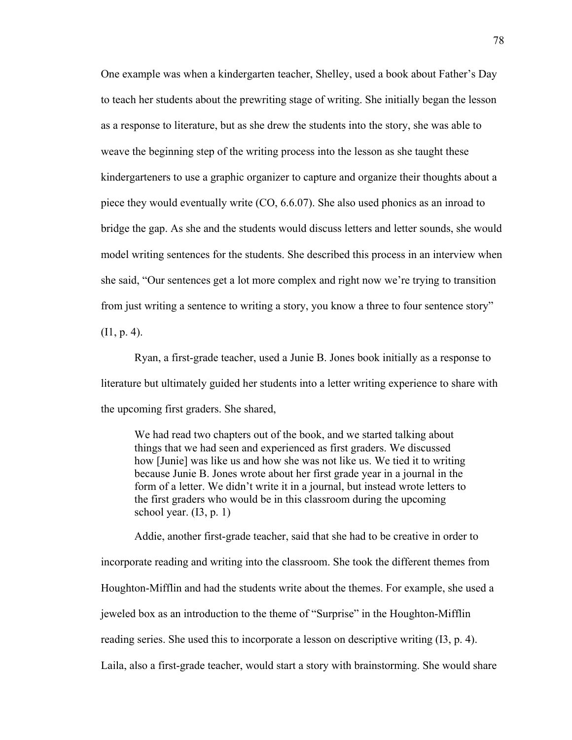One example was when a kindergarten teacher, Shelley, used a book about Father's Day to teach her students about the prewriting stage of writing. She initially began the lesson as a response to literature, but as she drew the students into the story, she was able to weave the beginning step of the writing process into the lesson as she taught these kindergarteners to use a graphic organizer to capture and organize their thoughts about a piece they would eventually write (CO, 6.6.07). She also used phonics as an inroad to bridge the gap. As she and the students would discuss letters and letter sounds, she would model writing sentences for the students. She described this process in an interview when she said, "Our sentences get a lot more complex and right now we're trying to transition from just writing a sentence to writing a story, you know a three to four sentence story"  $(11, p. 4)$ .

 Ryan, a first-grade teacher, used a Junie B. Jones book initially as a response to literature but ultimately guided her students into a letter writing experience to share with the upcoming first graders. She shared,

We had read two chapters out of the book, and we started talking about things that we had seen and experienced as first graders. We discussed how [Junie] was like us and how she was not like us. We tied it to writing because Junie B. Jones wrote about her first grade year in a journal in the form of a letter. We didn't write it in a journal, but instead wrote letters to the first graders who would be in this classroom during the upcoming school year.  $(13, p. 1)$ 

Addie, another first-grade teacher, said that she had to be creative in order to incorporate reading and writing into the classroom. She took the different themes from Houghton-Mifflin and had the students write about the themes. For example, she used a jeweled box as an introduction to the theme of "Surprise" in the Houghton-Mifflin reading series. She used this to incorporate a lesson on descriptive writing (I3, p. 4). Laila, also a first-grade teacher, would start a story with brainstorming. She would share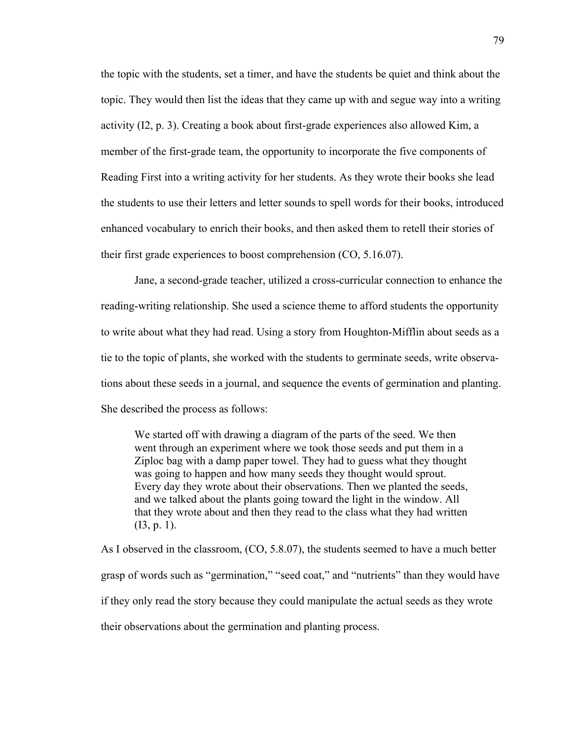the topic with the students, set a timer, and have the students be quiet and think about the topic. They would then list the ideas that they came up with and segue way into a writing activity (I2, p. 3). Creating a book about first-grade experiences also allowed Kim, a member of the first-grade team, the opportunity to incorporate the five components of Reading First into a writing activity for her students. As they wrote their books she lead the students to use their letters and letter sounds to spell words for their books, introduced enhanced vocabulary to enrich their books, and then asked them to retell their stories of their first grade experiences to boost comprehension (CO, 5.16.07).

 Jane, a second-grade teacher, utilized a cross-curricular connection to enhance the reading-writing relationship. She used a science theme to afford students the opportunity to write about what they had read. Using a story from Houghton-Mifflin about seeds as a tie to the topic of plants, she worked with the students to germinate seeds, write observations about these seeds in a journal, and sequence the events of germination and planting. She described the process as follows:

We started off with drawing a diagram of the parts of the seed. We then went through an experiment where we took those seeds and put them in a Ziploc bag with a damp paper towel. They had to guess what they thought was going to happen and how many seeds they thought would sprout. Every day they wrote about their observations. Then we planted the seeds, and we talked about the plants going toward the light in the window. All that they wrote about and then they read to the class what they had written (I3, p. 1).

As I observed in the classroom, (CO, 5.8.07), the students seemed to have a much better grasp of words such as "germination," "seed coat," and "nutrients" than they would have if they only read the story because they could manipulate the actual seeds as they wrote their observations about the germination and planting process.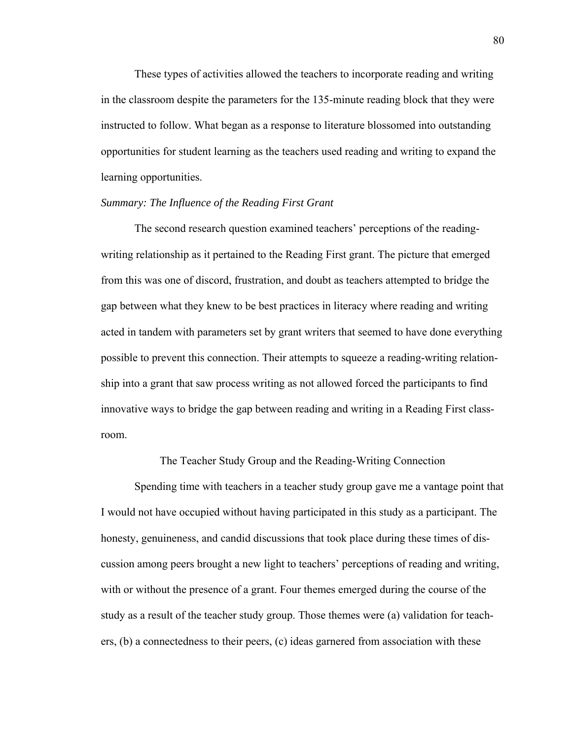These types of activities allowed the teachers to incorporate reading and writing in the classroom despite the parameters for the 135-minute reading block that they were instructed to follow. What began as a response to literature blossomed into outstanding opportunities for student learning as the teachers used reading and writing to expand the learning opportunities.

### *Summary: The Influence of the Reading First Grant*

 The second research question examined teachers' perceptions of the readingwriting relationship as it pertained to the Reading First grant. The picture that emerged from this was one of discord, frustration, and doubt as teachers attempted to bridge the gap between what they knew to be best practices in literacy where reading and writing acted in tandem with parameters set by grant writers that seemed to have done everything possible to prevent this connection. Their attempts to squeeze a reading-writing relationship into a grant that saw process writing as not allowed forced the participants to find innovative ways to bridge the gap between reading and writing in a Reading First classroom.

The Teacher Study Group and the Reading-Writing Connection

 Spending time with teachers in a teacher study group gave me a vantage point that I would not have occupied without having participated in this study as a participant. The honesty, genuineness, and candid discussions that took place during these times of discussion among peers brought a new light to teachers' perceptions of reading and writing, with or without the presence of a grant. Four themes emerged during the course of the study as a result of the teacher study group. Those themes were (a) validation for teachers, (b) a connectedness to their peers, (c) ideas garnered from association with these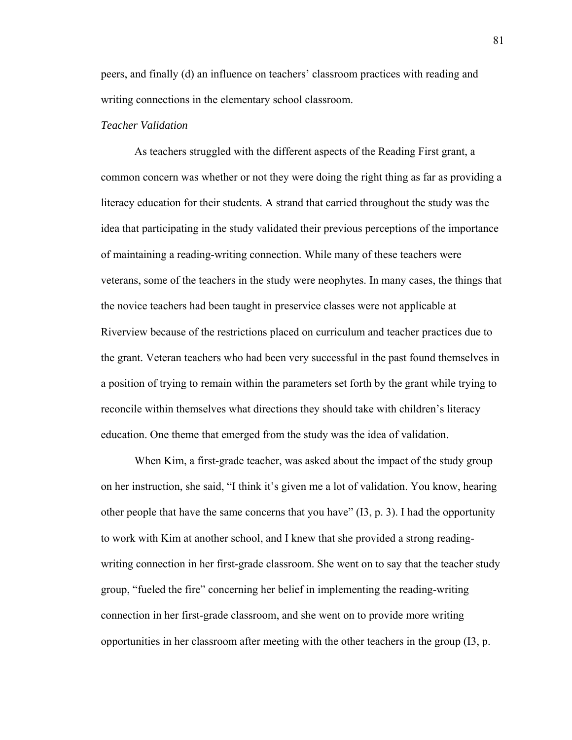peers, and finally (d) an influence on teachers' classroom practices with reading and writing connections in the elementary school classroom.

#### *Teacher Validation*

 As teachers struggled with the different aspects of the Reading First grant, a common concern was whether or not they were doing the right thing as far as providing a literacy education for their students. A strand that carried throughout the study was the idea that participating in the study validated their previous perceptions of the importance of maintaining a reading-writing connection. While many of these teachers were veterans, some of the teachers in the study were neophytes. In many cases, the things that the novice teachers had been taught in preservice classes were not applicable at Riverview because of the restrictions placed on curriculum and teacher practices due to the grant. Veteran teachers who had been very successful in the past found themselves in a position of trying to remain within the parameters set forth by the grant while trying to reconcile within themselves what directions they should take with children's literacy education. One theme that emerged from the study was the idea of validation.

 When Kim, a first-grade teacher, was asked about the impact of the study group on her instruction, she said, "I think it's given me a lot of validation. You know, hearing other people that have the same concerns that you have" (I3, p. 3). I had the opportunity to work with Kim at another school, and I knew that she provided a strong readingwriting connection in her first-grade classroom. She went on to say that the teacher study group, "fueled the fire" concerning her belief in implementing the reading-writing connection in her first-grade classroom, and she went on to provide more writing opportunities in her classroom after meeting with the other teachers in the group (I3, p.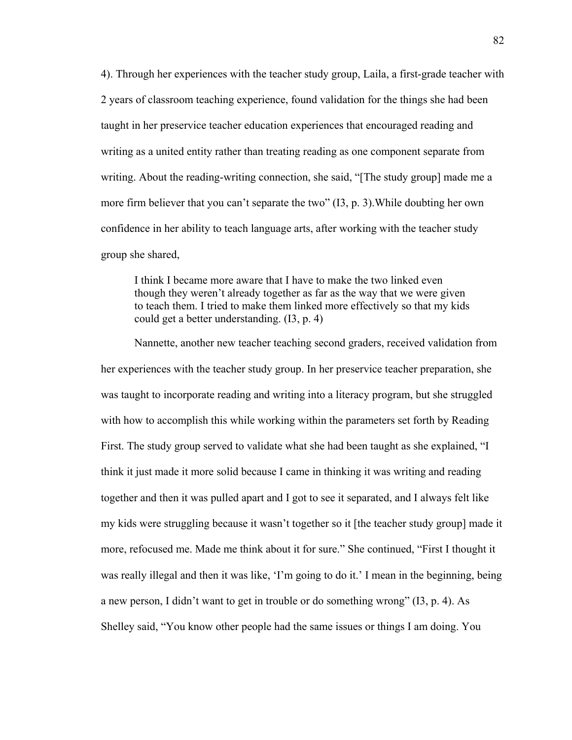4). Through her experiences with the teacher study group, Laila, a first-grade teacher with 2 years of classroom teaching experience, found validation for the things she had been taught in her preservice teacher education experiences that encouraged reading and writing as a united entity rather than treating reading as one component separate from writing. About the reading-writing connection, she said, "[The study group] made me a more firm believer that you can't separate the two" (I3, p. 3).While doubting her own confidence in her ability to teach language arts, after working with the teacher study group she shared,

I think I became more aware that I have to make the two linked even though they weren't already together as far as the way that we were given to teach them. I tried to make them linked more effectively so that my kids could get a better understanding. (I3, p. 4)

Nannette, another new teacher teaching second graders, received validation from her experiences with the teacher study group. In her preservice teacher preparation, she was taught to incorporate reading and writing into a literacy program, but she struggled with how to accomplish this while working within the parameters set forth by Reading First. The study group served to validate what she had been taught as she explained, "I think it just made it more solid because I came in thinking it was writing and reading together and then it was pulled apart and I got to see it separated, and I always felt like my kids were struggling because it wasn't together so it [the teacher study group] made it more, refocused me. Made me think about it for sure." She continued, "First I thought it was really illegal and then it was like, 'I'm going to do it.' I mean in the beginning, being a new person, I didn't want to get in trouble or do something wrong" (I3, p. 4). As Shelley said, "You know other people had the same issues or things I am doing. You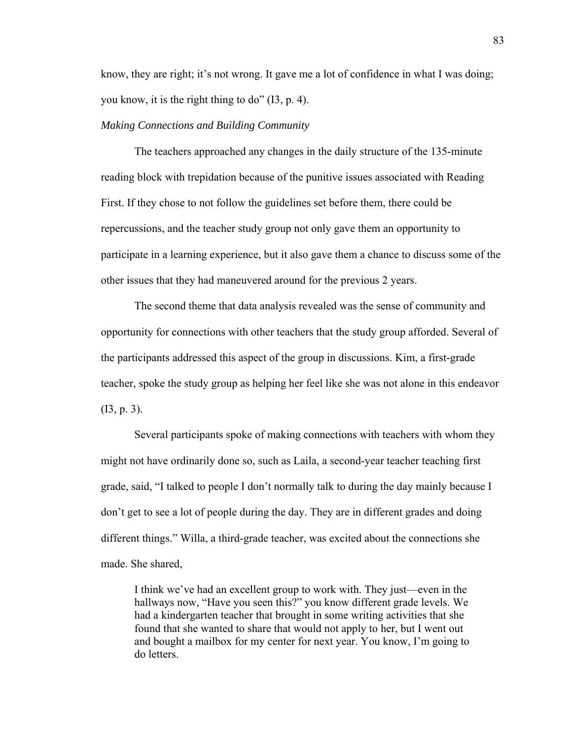know, they are right; it's not wrong. It gave me a lot of confidence in what I was doing; you know, it is the right thing to do" (I3, p. 4).

#### *Making Connections and Building Community*

 The teachers approached any changes in the daily structure of the 135-minute reading block with trepidation because of the punitive issues associated with Reading First. If they chose to not follow the guidelines set before them, there could be repercussions, and the teacher study group not only gave them an opportunity to participate in a learning experience, but it also gave them a chance to discuss some of the other issues that they had maneuvered around for the previous 2 years.

 The second theme that data analysis revealed was the sense of community and opportunity for connections with other teachers that the study group afforded. Several of the participants addressed this aspect of the group in discussions. Kim, a first-grade teacher, spoke the study group as helping her feel like she was not alone in this endeavor (I3, p. 3).

 Several participants spoke of making connections with teachers with whom they might not have ordinarily done so, such as Laila, a second-year teacher teaching first grade, said, "I talked to people I don't normally talk to during the day mainly because I don't get to see a lot of people during the day. They are in different grades and doing different things." Willa, a third-grade teacher, was excited about the connections she made. She shared,

I think we've had an excellent group to work with. They just—even in the hallways now, "Have you seen this?" you know different grade levels. We had a kindergarten teacher that brought in some writing activities that she found that she wanted to share that would not apply to her, but I went out and bought a mailbox for my center for next year. You know, I'm going to do letters.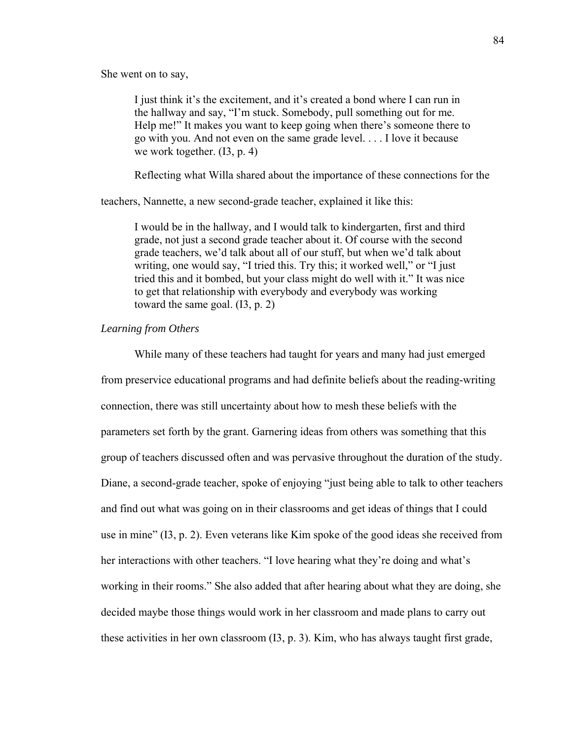She went on to say,

I just think it's the excitement, and it's created a bond where I can run in the hallway and say, "I'm stuck. Somebody, pull something out for me. Help me!" It makes you want to keep going when there's someone there to go with you. And not even on the same grade level. . . . I love it because we work together. (I3, p. 4)

Reflecting what Willa shared about the importance of these connections for the

teachers, Nannette, a new second-grade teacher, explained it like this:

I would be in the hallway, and I would talk to kindergarten, first and third grade, not just a second grade teacher about it. Of course with the second grade teachers, we'd talk about all of our stuff, but when we'd talk about writing, one would say, "I tried this. Try this; it worked well," or "I just tried this and it bombed, but your class might do well with it." It was nice to get that relationship with everybody and everybody was working toward the same goal. (I3, p. 2)

# *Learning from Others*

 While many of these teachers had taught for years and many had just emerged from preservice educational programs and had definite beliefs about the reading-writing connection, there was still uncertainty about how to mesh these beliefs with the parameters set forth by the grant. Garnering ideas from others was something that this group of teachers discussed often and was pervasive throughout the duration of the study. Diane, a second-grade teacher, spoke of enjoying "just being able to talk to other teachers and find out what was going on in their classrooms and get ideas of things that I could use in mine" (I3, p. 2). Even veterans like Kim spoke of the good ideas she received from her interactions with other teachers. "I love hearing what they're doing and what's working in their rooms." She also added that after hearing about what they are doing, she decided maybe those things would work in her classroom and made plans to carry out these activities in her own classroom (I3, p. 3). Kim, who has always taught first grade,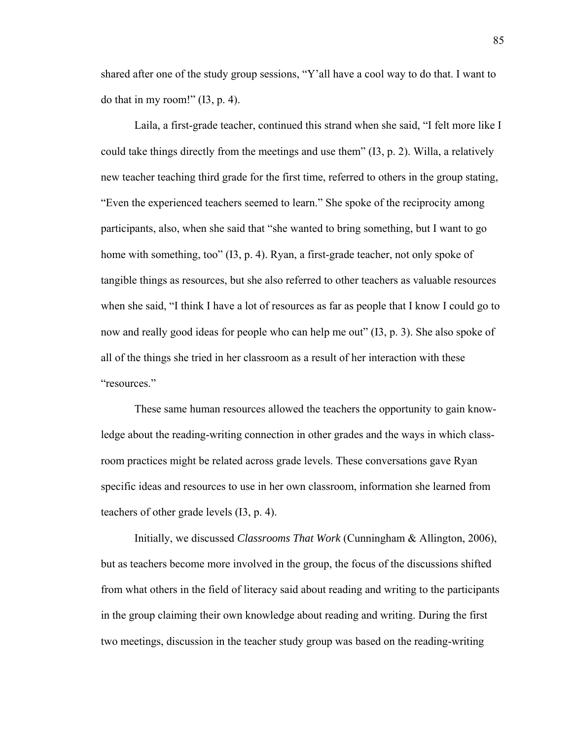shared after one of the study group sessions, "Y'all have a cool way to do that. I want to do that in my room!"  $(13, p. 4)$ .

Laila, a first-grade teacher, continued this strand when she said, "I felt more like I could take things directly from the meetings and use them" (I3, p. 2). Willa, a relatively new teacher teaching third grade for the first time, referred to others in the group stating, "Even the experienced teachers seemed to learn." She spoke of the reciprocity among participants, also, when she said that "she wanted to bring something, but I want to go home with something, too" (I3, p. 4). Ryan, a first-grade teacher, not only spoke of tangible things as resources, but she also referred to other teachers as valuable resources when she said, "I think I have a lot of resources as far as people that I know I could go to now and really good ideas for people who can help me out" (I3, p. 3). She also spoke of all of the things she tried in her classroom as a result of her interaction with these "resources."

These same human resources allowed the teachers the opportunity to gain knowledge about the reading-writing connection in other grades and the ways in which classroom practices might be related across grade levels. These conversations gave Ryan specific ideas and resources to use in her own classroom, information she learned from teachers of other grade levels (I3, p. 4).

Initially, we discussed *Classrooms That Work* (Cunningham & Allington, 2006), but as teachers become more involved in the group, the focus of the discussions shifted from what others in the field of literacy said about reading and writing to the participants in the group claiming their own knowledge about reading and writing. During the first two meetings, discussion in the teacher study group was based on the reading-writing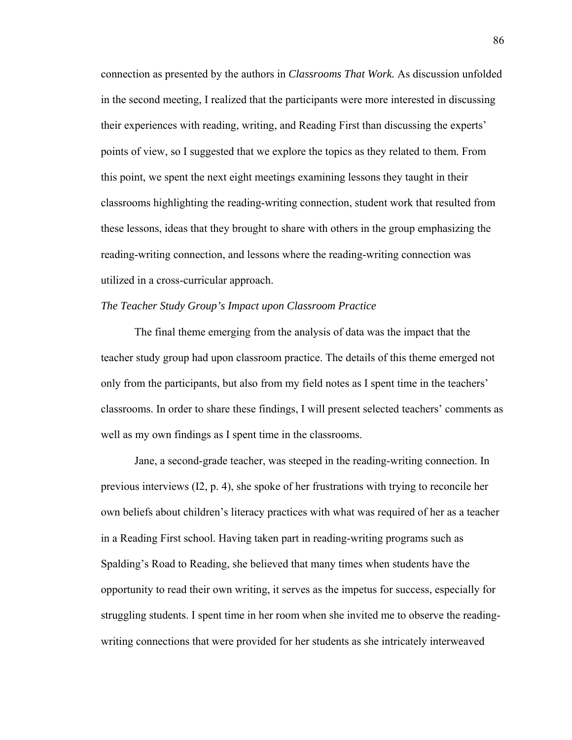connection as presented by the authors in *Classrooms That Work.* As discussion unfolded in the second meeting, I realized that the participants were more interested in discussing their experiences with reading, writing, and Reading First than discussing the experts' points of view, so I suggested that we explore the topics as they related to them. From this point, we spent the next eight meetings examining lessons they taught in their classrooms highlighting the reading-writing connection, student work that resulted from these lessons, ideas that they brought to share with others in the group emphasizing the reading-writing connection, and lessons where the reading-writing connection was utilized in a cross-curricular approach.

# *The Teacher Study Group's Impact upon Classroom Practice*

 The final theme emerging from the analysis of data was the impact that the teacher study group had upon classroom practice. The details of this theme emerged not only from the participants, but also from my field notes as I spent time in the teachers' classrooms. In order to share these findings, I will present selected teachers' comments as well as my own findings as I spent time in the classrooms.

 Jane, a second-grade teacher, was steeped in the reading-writing connection. In previous interviews (I2, p. 4), she spoke of her frustrations with trying to reconcile her own beliefs about children's literacy practices with what was required of her as a teacher in a Reading First school. Having taken part in reading-writing programs such as Spalding's Road to Reading, she believed that many times when students have the opportunity to read their own writing, it serves as the impetus for success, especially for struggling students. I spent time in her room when she invited me to observe the readingwriting connections that were provided for her students as she intricately interweaved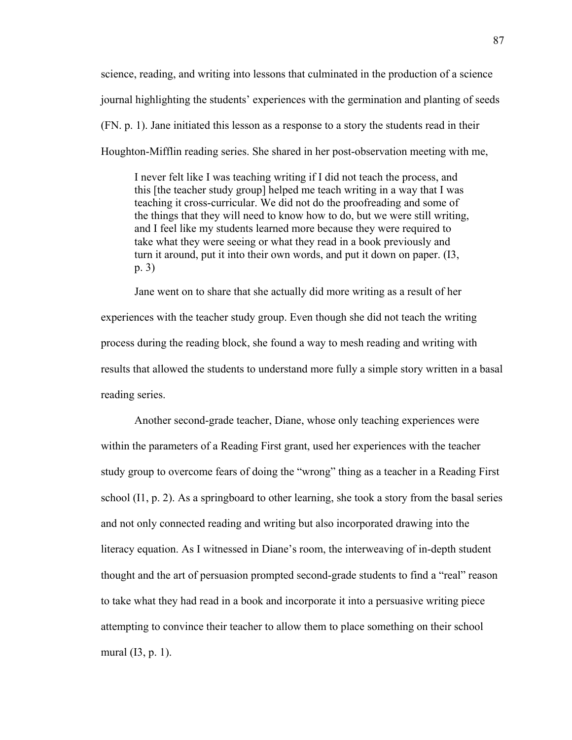science, reading, and writing into lessons that culminated in the production of a science journal highlighting the students' experiences with the germination and planting of seeds (FN. p. 1). Jane initiated this lesson as a response to a story the students read in their Houghton-Mifflin reading series. She shared in her post-observation meeting with me,

I never felt like I was teaching writing if I did not teach the process, and this [the teacher study group] helped me teach writing in a way that I was teaching it cross-curricular. We did not do the proofreading and some of the things that they will need to know how to do, but we were still writing, and I feel like my students learned more because they were required to take what they were seeing or what they read in a book previously and turn it around, put it into their own words, and put it down on paper. (I3, p. 3)

Jane went on to share that she actually did more writing as a result of her experiences with the teacher study group. Even though she did not teach the writing process during the reading block, she found a way to mesh reading and writing with results that allowed the students to understand more fully a simple story written in a basal reading series.

Another second-grade teacher, Diane, whose only teaching experiences were within the parameters of a Reading First grant, used her experiences with the teacher study group to overcome fears of doing the "wrong" thing as a teacher in a Reading First school  $(11, p. 2)$ . As a springboard to other learning, she took a story from the basal series and not only connected reading and writing but also incorporated drawing into the literacy equation. As I witnessed in Diane's room, the interweaving of in-depth student thought and the art of persuasion prompted second-grade students to find a "real" reason to take what they had read in a book and incorporate it into a persuasive writing piece attempting to convince their teacher to allow them to place something on their school mural (I3, p. 1).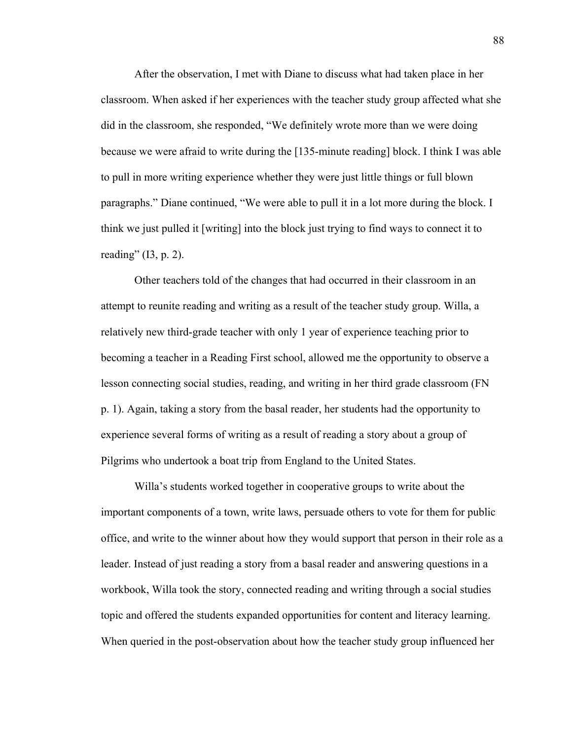After the observation, I met with Diane to discuss what had taken place in her classroom. When asked if her experiences with the teacher study group affected what she did in the classroom, she responded, "We definitely wrote more than we were doing because we were afraid to write during the [135-minute reading] block. I think I was able to pull in more writing experience whether they were just little things or full blown paragraphs." Diane continued, "We were able to pull it in a lot more during the block. I think we just pulled it [writing] into the block just trying to find ways to connect it to reading"  $(13, p. 2)$ .

Other teachers told of the changes that had occurred in their classroom in an attempt to reunite reading and writing as a result of the teacher study group. Willa, a relatively new third-grade teacher with only 1 year of experience teaching prior to becoming a teacher in a Reading First school, allowed me the opportunity to observe a lesson connecting social studies, reading, and writing in her third grade classroom (FN p. 1). Again, taking a story from the basal reader, her students had the opportunity to experience several forms of writing as a result of reading a story about a group of Pilgrims who undertook a boat trip from England to the United States.

Willa's students worked together in cooperative groups to write about the important components of a town, write laws, persuade others to vote for them for public office, and write to the winner about how they would support that person in their role as a leader. Instead of just reading a story from a basal reader and answering questions in a workbook, Willa took the story, connected reading and writing through a social studies topic and offered the students expanded opportunities for content and literacy learning. When queried in the post-observation about how the teacher study group influenced her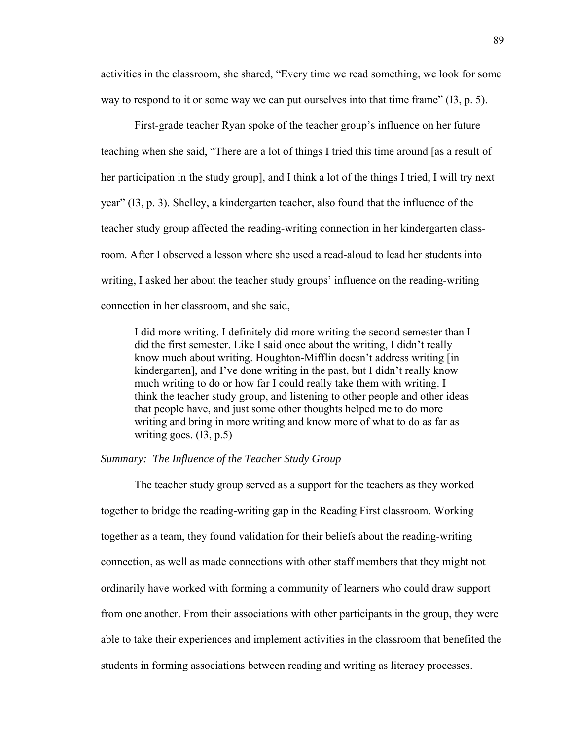activities in the classroom, she shared, "Every time we read something, we look for some way to respond to it or some way we can put ourselves into that time frame"  $(13, p. 5)$ .

First-grade teacher Ryan spoke of the teacher group's influence on her future teaching when she said, "There are a lot of things I tried this time around [as a result of her participation in the study group], and I think a lot of the things I tried, I will try next year" (I3, p. 3). Shelley, a kindergarten teacher, also found that the influence of the teacher study group affected the reading-writing connection in her kindergarten classroom. After I observed a lesson where she used a read-aloud to lead her students into writing, I asked her about the teacher study groups' influence on the reading-writing connection in her classroom, and she said,

I did more writing. I definitely did more writing the second semester than I did the first semester. Like I said once about the writing, I didn't really know much about writing. Houghton-Mifflin doesn't address writing [in kindergarten], and I've done writing in the past, but I didn't really know much writing to do or how far I could really take them with writing. I think the teacher study group, and listening to other people and other ideas that people have, and just some other thoughts helped me to do more writing and bring in more writing and know more of what to do as far as writing goes.  $(13, p.5)$ 

# *Summary: The Influence of the Teacher Study Group*

 The teacher study group served as a support for the teachers as they worked together to bridge the reading-writing gap in the Reading First classroom. Working together as a team, they found validation for their beliefs about the reading-writing connection, as well as made connections with other staff members that they might not ordinarily have worked with forming a community of learners who could draw support from one another. From their associations with other participants in the group, they were able to take their experiences and implement activities in the classroom that benefited the students in forming associations between reading and writing as literacy processes.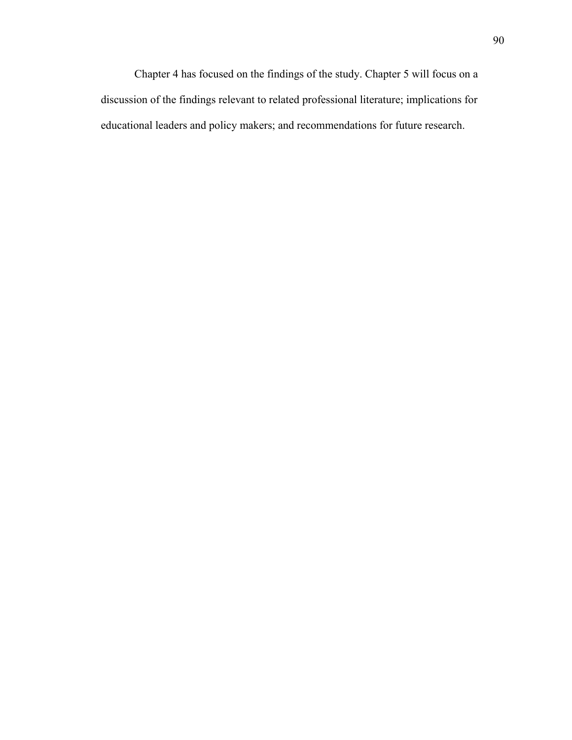Chapter 4 has focused on the findings of the study. Chapter 5 will focus on a discussion of the findings relevant to related professional literature; implications for educational leaders and policy makers; and recommendations for future research.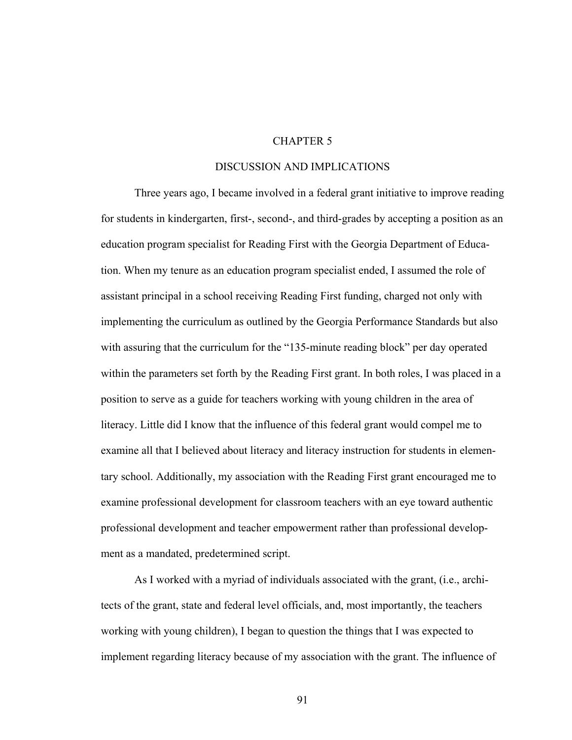# CHAPTER 5

### DISCUSSION AND IMPLICATIONS

Three years ago, I became involved in a federal grant initiative to improve reading for students in kindergarten, first-, second-, and third-grades by accepting a position as an education program specialist for Reading First with the Georgia Department of Education. When my tenure as an education program specialist ended, I assumed the role of assistant principal in a school receiving Reading First funding, charged not only with implementing the curriculum as outlined by the Georgia Performance Standards but also with assuring that the curriculum for the "135-minute reading block" per day operated within the parameters set forth by the Reading First grant. In both roles, I was placed in a position to serve as a guide for teachers working with young children in the area of literacy. Little did I know that the influence of this federal grant would compel me to examine all that I believed about literacy and literacy instruction for students in elementary school. Additionally, my association with the Reading First grant encouraged me to examine professional development for classroom teachers with an eye toward authentic professional development and teacher empowerment rather than professional development as a mandated, predetermined script.

As I worked with a myriad of individuals associated with the grant, (i.e., architects of the grant, state and federal level officials, and, most importantly, the teachers working with young children), I began to question the things that I was expected to implement regarding literacy because of my association with the grant. The influence of

91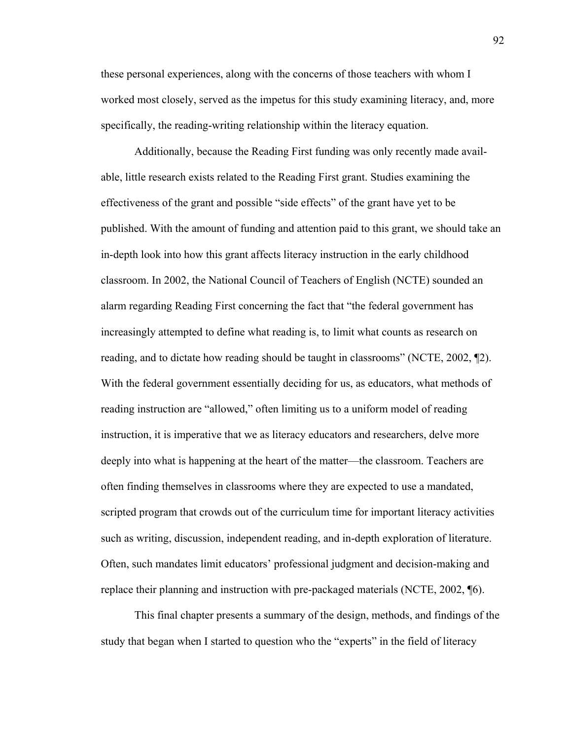these personal experiences, along with the concerns of those teachers with whom I worked most closely, served as the impetus for this study examining literacy, and, more specifically, the reading-writing relationship within the literacy equation.

Additionally, because the Reading First funding was only recently made available, little research exists related to the Reading First grant. Studies examining the effectiveness of the grant and possible "side effects" of the grant have yet to be published. With the amount of funding and attention paid to this grant, we should take an in-depth look into how this grant affects literacy instruction in the early childhood classroom. In 2002, the National Council of Teachers of English (NCTE) sounded an alarm regarding Reading First concerning the fact that "the federal government has increasingly attempted to define what reading is, to limit what counts as research on reading, and to dictate how reading should be taught in classrooms" (NCTE, 2002, ¶2). With the federal government essentially deciding for us, as educators, what methods of reading instruction are "allowed," often limiting us to a uniform model of reading instruction, it is imperative that we as literacy educators and researchers, delve more deeply into what is happening at the heart of the matter—the classroom. Teachers are often finding themselves in classrooms where they are expected to use a mandated, scripted program that crowds out of the curriculum time for important literacy activities such as writing, discussion, independent reading, and in-depth exploration of literature. Often, such mandates limit educators' professional judgment and decision-making and replace their planning and instruction with pre-packaged materials (NCTE, 2002, ¶6).

This final chapter presents a summary of the design, methods, and findings of the study that began when I started to question who the "experts" in the field of literacy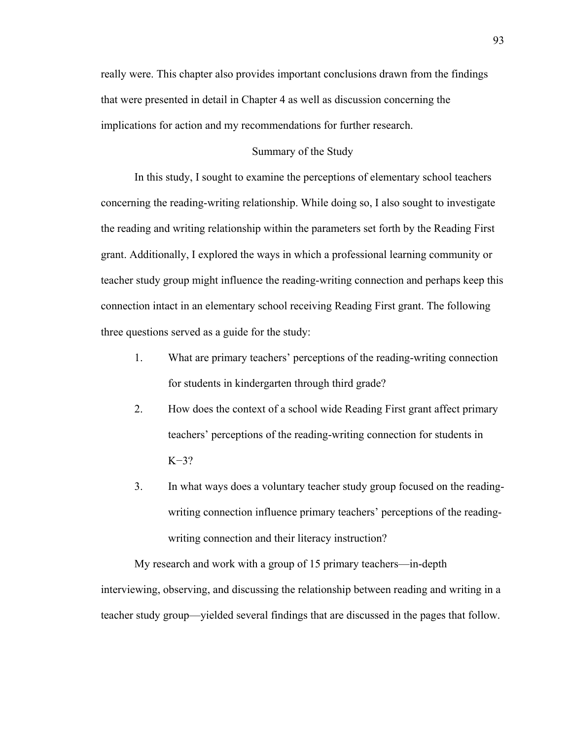really were. This chapter also provides important conclusions drawn from the findings that were presented in detail in Chapter 4 as well as discussion concerning the implications for action and my recommendations for further research.

### Summary of the Study

In this study, I sought to examine the perceptions of elementary school teachers concerning the reading-writing relationship. While doing so, I also sought to investigate the reading and writing relationship within the parameters set forth by the Reading First grant. Additionally, I explored the ways in which a professional learning community or teacher study group might influence the reading-writing connection and perhaps keep this connection intact in an elementary school receiving Reading First grant. The following three questions served as a guide for the study:

- 1. What are primary teachers' perceptions of the reading-writing connection for students in kindergarten through third grade?
- 2. How does the context of a school wide Reading First grant affect primary teachers' perceptions of the reading-writing connection for students in K−3?
- 3. In what ways does a voluntary teacher study group focused on the readingwriting connection influence primary teachers' perceptions of the readingwriting connection and their literacy instruction?

My research and work with a group of 15 primary teachers—in-depth interviewing, observing, and discussing the relationship between reading and writing in a teacher study group—yielded several findings that are discussed in the pages that follow.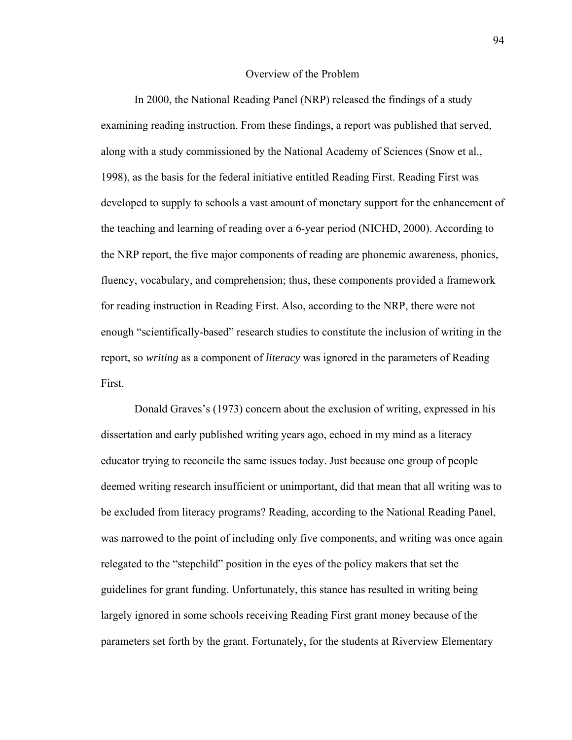#### Overview of the Problem

In 2000, the National Reading Panel (NRP) released the findings of a study examining reading instruction. From these findings, a report was published that served, along with a study commissioned by the National Academy of Sciences (Snow et al., 1998), as the basis for the federal initiative entitled Reading First. Reading First was developed to supply to schools a vast amount of monetary support for the enhancement of the teaching and learning of reading over a 6-year period (NICHD, 2000). According to the NRP report, the five major components of reading are phonemic awareness, phonics, fluency, vocabulary, and comprehension; thus, these components provided a framework for reading instruction in Reading First. Also, according to the NRP, there were not enough "scientifically-based" research studies to constitute the inclusion of writing in the report, so *writing* as a component of *literacy* was ignored in the parameters of Reading First.

Donald Graves's (1973) concern about the exclusion of writing, expressed in his dissertation and early published writing years ago, echoed in my mind as a literacy educator trying to reconcile the same issues today. Just because one group of people deemed writing research insufficient or unimportant, did that mean that all writing was to be excluded from literacy programs? Reading, according to the National Reading Panel, was narrowed to the point of including only five components, and writing was once again relegated to the "stepchild" position in the eyes of the policy makers that set the guidelines for grant funding. Unfortunately, this stance has resulted in writing being largely ignored in some schools receiving Reading First grant money because of the parameters set forth by the grant. Fortunately, for the students at Riverview Elementary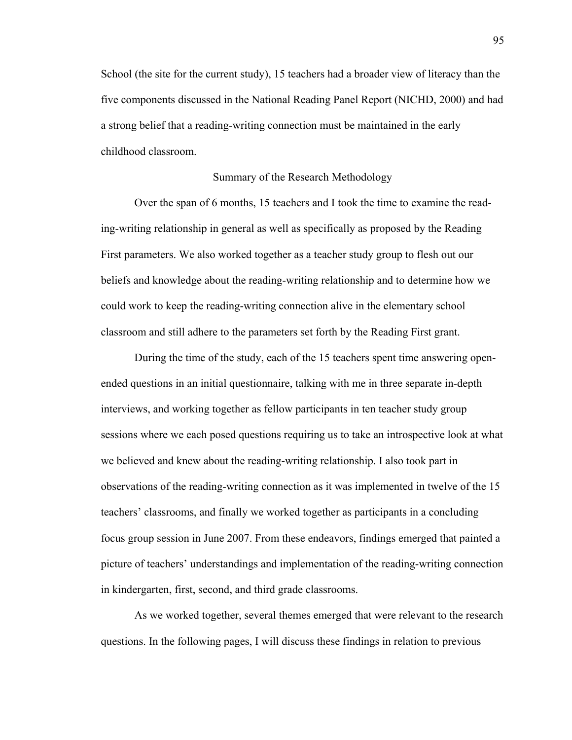School (the site for the current study), 15 teachers had a broader view of literacy than the five components discussed in the National Reading Panel Report (NICHD, 2000) and had a strong belief that a reading-writing connection must be maintained in the early childhood classroom.

### Summary of the Research Methodology

 Over the span of 6 months, 15 teachers and I took the time to examine the reading-writing relationship in general as well as specifically as proposed by the Reading First parameters. We also worked together as a teacher study group to flesh out our beliefs and knowledge about the reading-writing relationship and to determine how we could work to keep the reading-writing connection alive in the elementary school classroom and still adhere to the parameters set forth by the Reading First grant.

During the time of the study, each of the 15 teachers spent time answering openended questions in an initial questionnaire, talking with me in three separate in-depth interviews, and working together as fellow participants in ten teacher study group sessions where we each posed questions requiring us to take an introspective look at what we believed and knew about the reading-writing relationship. I also took part in observations of the reading-writing connection as it was implemented in twelve of the 15 teachers' classrooms, and finally we worked together as participants in a concluding focus group session in June 2007. From these endeavors, findings emerged that painted a picture of teachers' understandings and implementation of the reading-writing connection in kindergarten, first, second, and third grade classrooms.

 As we worked together, several themes emerged that were relevant to the research questions. In the following pages, I will discuss these findings in relation to previous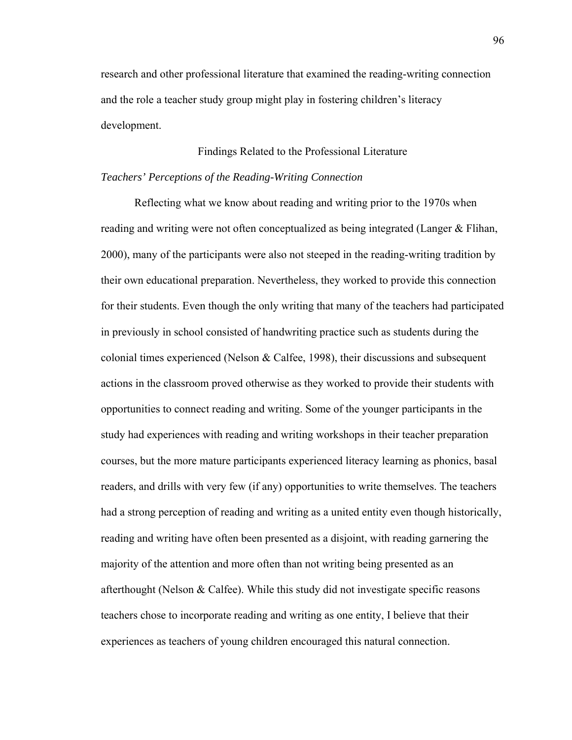research and other professional literature that examined the reading-writing connection and the role a teacher study group might play in fostering children's literacy development.

## Findings Related to the Professional Literature

### *Teachers' Perceptions of the Reading-Writing Connection*

Reflecting what we know about reading and writing prior to the 1970s when reading and writing were not often conceptualized as being integrated (Langer & Flihan, 2000), many of the participants were also not steeped in the reading-writing tradition by their own educational preparation. Nevertheless, they worked to provide this connection for their students. Even though the only writing that many of the teachers had participated in previously in school consisted of handwriting practice such as students during the colonial times experienced (Nelson & Calfee, 1998), their discussions and subsequent actions in the classroom proved otherwise as they worked to provide their students with opportunities to connect reading and writing. Some of the younger participants in the study had experiences with reading and writing workshops in their teacher preparation courses, but the more mature participants experienced literacy learning as phonics, basal readers, and drills with very few (if any) opportunities to write themselves. The teachers had a strong perception of reading and writing as a united entity even though historically, reading and writing have often been presented as a disjoint, with reading garnering the majority of the attention and more often than not writing being presented as an afterthought (Nelson & Calfee). While this study did not investigate specific reasons teachers chose to incorporate reading and writing as one entity, I believe that their experiences as teachers of young children encouraged this natural connection.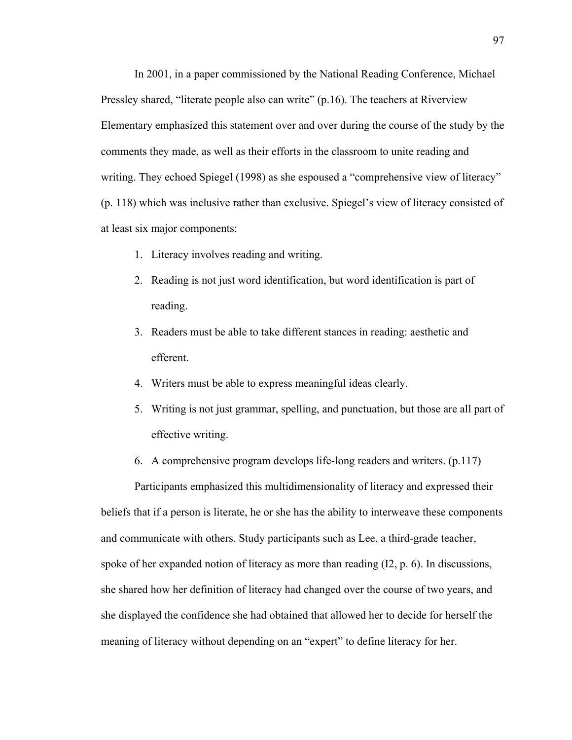In 2001, in a paper commissioned by the National Reading Conference, Michael Pressley shared, "literate people also can write" (p.16). The teachers at Riverview Elementary emphasized this statement over and over during the course of the study by the comments they made, as well as their efforts in the classroom to unite reading and writing. They echoed Spiegel (1998) as she espoused a "comprehensive view of literacy" (p. 118) which was inclusive rather than exclusive. Spiegel's view of literacy consisted of at least six major components:

- 1. Literacy involves reading and writing.
- 2. Reading is not just word identification, but word identification is part of reading.
- 3. Readers must be able to take different stances in reading: aesthetic and efferent.
- 4. Writers must be able to express meaningful ideas clearly.
- 5. Writing is not just grammar, spelling, and punctuation, but those are all part of effective writing.
- 6. A comprehensive program develops life-long readers and writers. (p.117)

Participants emphasized this multidimensionality of literacy and expressed their beliefs that if a person is literate, he or she has the ability to interweave these components and communicate with others. Study participants such as Lee, a third-grade teacher, spoke of her expanded notion of literacy as more than reading (I2, p. 6). In discussions, she shared how her definition of literacy had changed over the course of two years, and she displayed the confidence she had obtained that allowed her to decide for herself the meaning of literacy without depending on an "expert" to define literacy for her.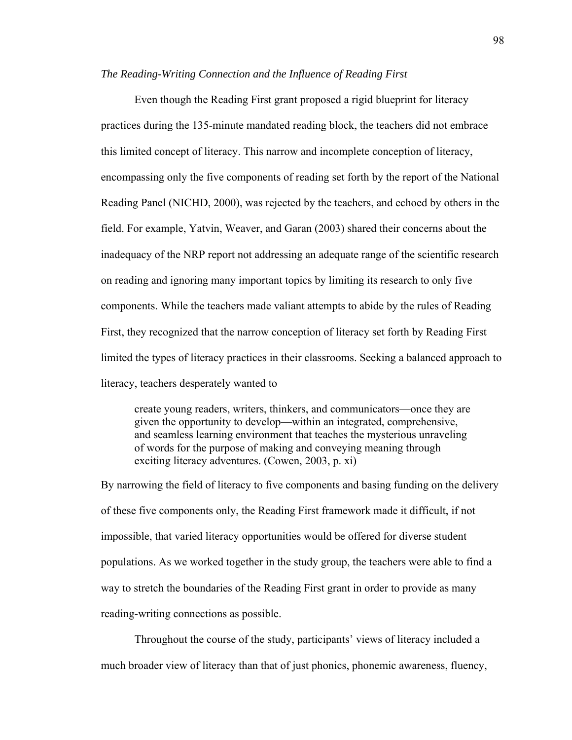### *The Reading-Writing Connection and the Influence of Reading First*

Even though the Reading First grant proposed a rigid blueprint for literacy practices during the 135-minute mandated reading block, the teachers did not embrace this limited concept of literacy. This narrow and incomplete conception of literacy, encompassing only the five components of reading set forth by the report of the National Reading Panel (NICHD, 2000), was rejected by the teachers, and echoed by others in the field. For example, Yatvin, Weaver, and Garan (2003) shared their concerns about the inadequacy of the NRP report not addressing an adequate range of the scientific research on reading and ignoring many important topics by limiting its research to only five components. While the teachers made valiant attempts to abide by the rules of Reading First, they recognized that the narrow conception of literacy set forth by Reading First limited the types of literacy practices in their classrooms. Seeking a balanced approach to literacy, teachers desperately wanted to

create young readers, writers, thinkers, and communicators—once they are given the opportunity to develop—within an integrated, comprehensive, and seamless learning environment that teaches the mysterious unraveling of words for the purpose of making and conveying meaning through exciting literacy adventures. (Cowen, 2003, p. xi)

By narrowing the field of literacy to five components and basing funding on the delivery of these five components only, the Reading First framework made it difficult, if not impossible, that varied literacy opportunities would be offered for diverse student populations. As we worked together in the study group, the teachers were able to find a way to stretch the boundaries of the Reading First grant in order to provide as many reading-writing connections as possible.

Throughout the course of the study, participants' views of literacy included a much broader view of literacy than that of just phonics, phonemic awareness, fluency,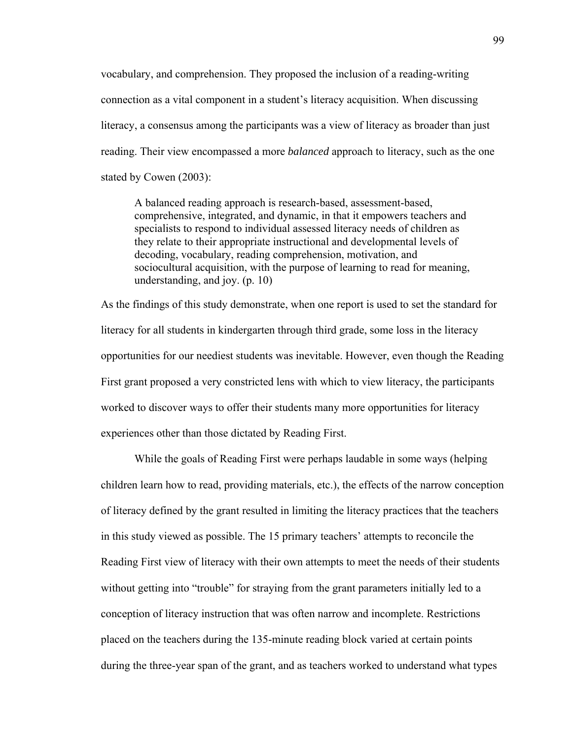vocabulary, and comprehension. They proposed the inclusion of a reading-writing connection as a vital component in a student's literacy acquisition. When discussing literacy, a consensus among the participants was a view of literacy as broader than just reading. Their view encompassed a more *balanced* approach to literacy, such as the one stated by Cowen (2003):

A balanced reading approach is research-based, assessment-based, comprehensive, integrated, and dynamic, in that it empowers teachers and specialists to respond to individual assessed literacy needs of children as they relate to their appropriate instructional and developmental levels of decoding, vocabulary, reading comprehension, motivation, and sociocultural acquisition, with the purpose of learning to read for meaning, understanding, and joy. (p. 10)

As the findings of this study demonstrate, when one report is used to set the standard for literacy for all students in kindergarten through third grade, some loss in the literacy opportunities for our neediest students was inevitable. However, even though the Reading First grant proposed a very constricted lens with which to view literacy, the participants worked to discover ways to offer their students many more opportunities for literacy experiences other than those dictated by Reading First.

While the goals of Reading First were perhaps laudable in some ways (helping children learn how to read, providing materials, etc.), the effects of the narrow conception of literacy defined by the grant resulted in limiting the literacy practices that the teachers in this study viewed as possible. The 15 primary teachers' attempts to reconcile the Reading First view of literacy with their own attempts to meet the needs of their students without getting into "trouble" for straying from the grant parameters initially led to a conception of literacy instruction that was often narrow and incomplete. Restrictions placed on the teachers during the 135-minute reading block varied at certain points during the three-year span of the grant, and as teachers worked to understand what types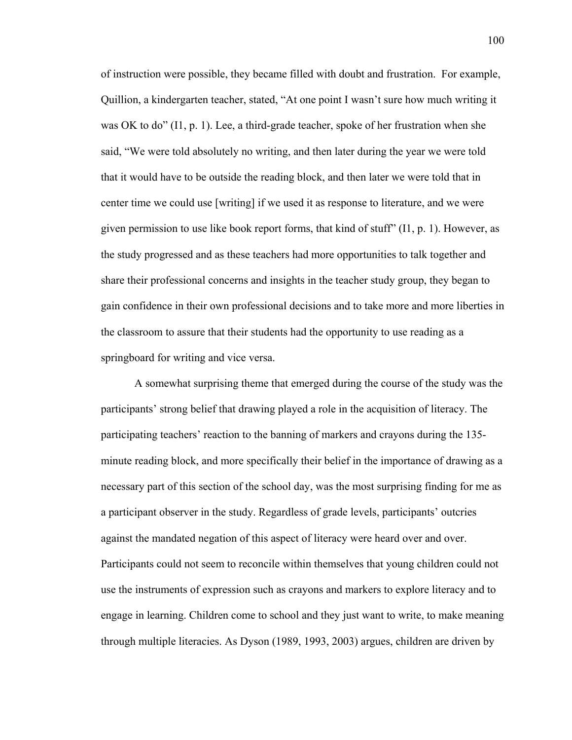of instruction were possible, they became filled with doubt and frustration. For example, Quillion, a kindergarten teacher, stated, "At one point I wasn't sure how much writing it was OK to do" (I1, p. 1). Lee, a third-grade teacher, spoke of her frustration when she said, "We were told absolutely no writing, and then later during the year we were told that it would have to be outside the reading block, and then later we were told that in center time we could use [writing] if we used it as response to literature, and we were given permission to use like book report forms, that kind of stuff"  $(11, p. 1)$ . However, as the study progressed and as these teachers had more opportunities to talk together and share their professional concerns and insights in the teacher study group, they began to gain confidence in their own professional decisions and to take more and more liberties in the classroom to assure that their students had the opportunity to use reading as a springboard for writing and vice versa.

 A somewhat surprising theme that emerged during the course of the study was the participants' strong belief that drawing played a role in the acquisition of literacy. The participating teachers' reaction to the banning of markers and crayons during the 135 minute reading block, and more specifically their belief in the importance of drawing as a necessary part of this section of the school day, was the most surprising finding for me as a participant observer in the study. Regardless of grade levels, participants' outcries against the mandated negation of this aspect of literacy were heard over and over. Participants could not seem to reconcile within themselves that young children could not use the instruments of expression such as crayons and markers to explore literacy and to engage in learning. Children come to school and they just want to write, to make meaning through multiple literacies. As Dyson (1989, 1993, 2003) argues, children are driven by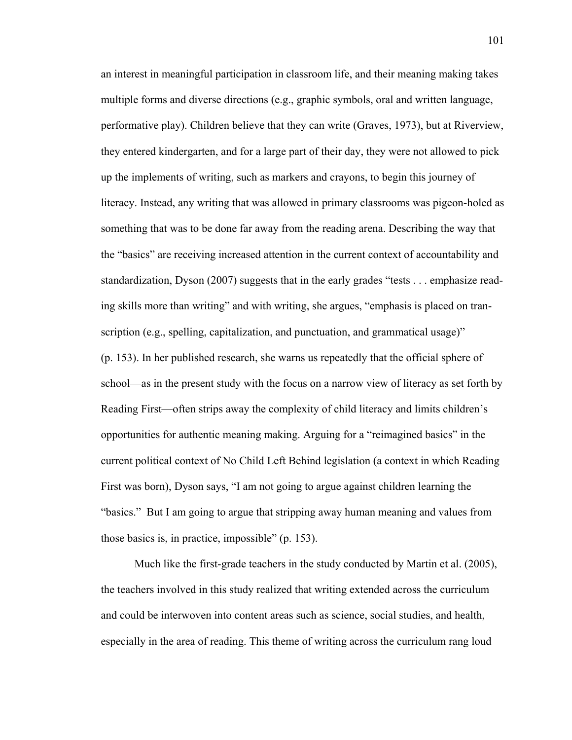an interest in meaningful participation in classroom life, and their meaning making takes multiple forms and diverse directions (e.g., graphic symbols, oral and written language, performative play). Children believe that they can write (Graves, 1973), but at Riverview, they entered kindergarten, and for a large part of their day, they were not allowed to pick up the implements of writing, such as markers and crayons, to begin this journey of literacy. Instead, any writing that was allowed in primary classrooms was pigeon-holed as something that was to be done far away from the reading arena. Describing the way that the "basics" are receiving increased attention in the current context of accountability and standardization, Dyson (2007) suggests that in the early grades "tests . . . emphasize reading skills more than writing" and with writing, she argues, "emphasis is placed on transcription (e.g., spelling, capitalization, and punctuation, and grammatical usage)" (p. 153). In her published research, she warns us repeatedly that the official sphere of school—as in the present study with the focus on a narrow view of literacy as set forth by Reading First—often strips away the complexity of child literacy and limits children's opportunities for authentic meaning making. Arguing for a "reimagined basics" in the current political context of No Child Left Behind legislation (a context in which Reading First was born), Dyson says, "I am not going to argue against children learning the "basics." But I am going to argue that stripping away human meaning and values from those basics is, in practice, impossible" (p. 153).

Much like the first-grade teachers in the study conducted by Martin et al. (2005), the teachers involved in this study realized that writing extended across the curriculum and could be interwoven into content areas such as science, social studies, and health, especially in the area of reading. This theme of writing across the curriculum rang loud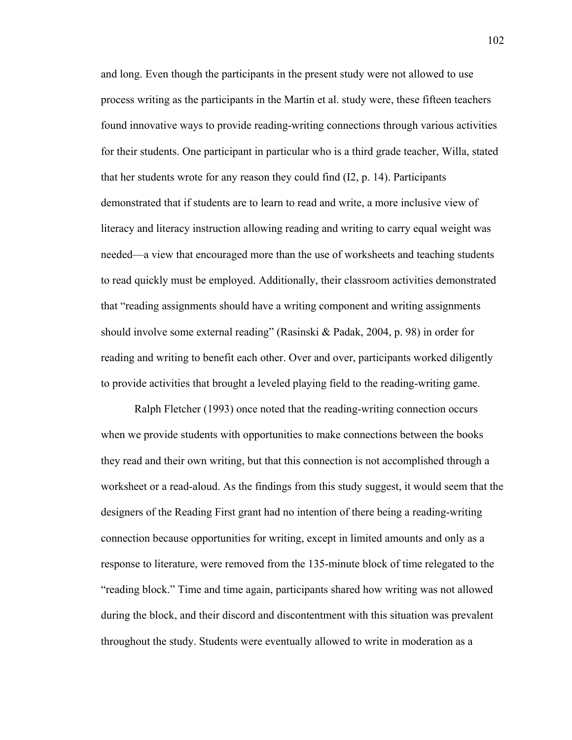and long. Even though the participants in the present study were not allowed to use process writing as the participants in the Martin et al. study were, these fifteen teachers found innovative ways to provide reading-writing connections through various activities for their students. One participant in particular who is a third grade teacher, Willa, stated that her students wrote for any reason they could find (I2, p. 14). Participants demonstrated that if students are to learn to read and write, a more inclusive view of literacy and literacy instruction allowing reading and writing to carry equal weight was needed—a view that encouraged more than the use of worksheets and teaching students to read quickly must be employed. Additionally, their classroom activities demonstrated that "reading assignments should have a writing component and writing assignments should involve some external reading" (Rasinski & Padak, 2004, p. 98) in order for reading and writing to benefit each other. Over and over, participants worked diligently to provide activities that brought a leveled playing field to the reading-writing game.

Ralph Fletcher (1993) once noted that the reading-writing connection occurs when we provide students with opportunities to make connections between the books they read and their own writing, but that this connection is not accomplished through a worksheet or a read-aloud. As the findings from this study suggest, it would seem that the designers of the Reading First grant had no intention of there being a reading-writing connection because opportunities for writing, except in limited amounts and only as a response to literature, were removed from the 135-minute block of time relegated to the "reading block." Time and time again, participants shared how writing was not allowed during the block, and their discord and discontentment with this situation was prevalent throughout the study. Students were eventually allowed to write in moderation as a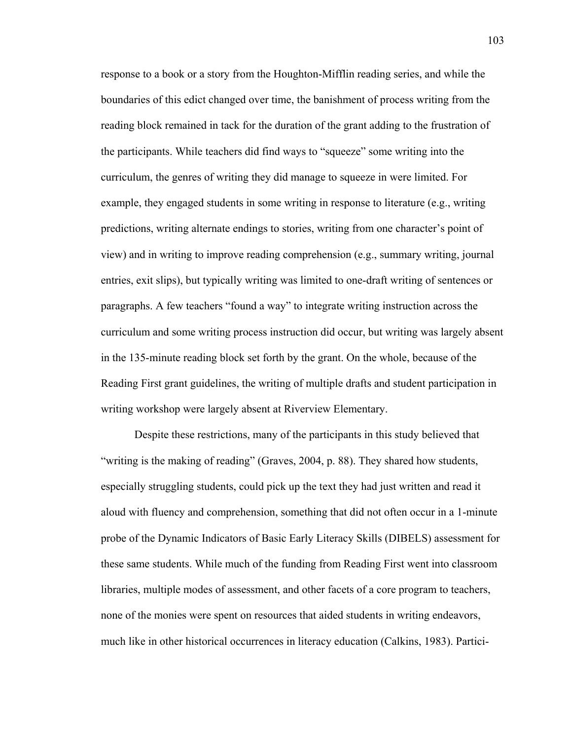response to a book or a story from the Houghton-Mifflin reading series, and while the boundaries of this edict changed over time, the banishment of process writing from the reading block remained in tack for the duration of the grant adding to the frustration of the participants. While teachers did find ways to "squeeze" some writing into the curriculum, the genres of writing they did manage to squeeze in were limited. For example, they engaged students in some writing in response to literature (e.g., writing predictions, writing alternate endings to stories, writing from one character's point of view) and in writing to improve reading comprehension (e.g., summary writing, journal entries, exit slips), but typically writing was limited to one-draft writing of sentences or paragraphs. A few teachers "found a way" to integrate writing instruction across the curriculum and some writing process instruction did occur, but writing was largely absent in the 135-minute reading block set forth by the grant. On the whole, because of the Reading First grant guidelines, the writing of multiple drafts and student participation in writing workshop were largely absent at Riverview Elementary.

Despite these restrictions, many of the participants in this study believed that "writing is the making of reading" (Graves, 2004, p. 88). They shared how students, especially struggling students, could pick up the text they had just written and read it aloud with fluency and comprehension, something that did not often occur in a 1-minute probe of the Dynamic Indicators of Basic Early Literacy Skills (DIBELS) assessment for these same students. While much of the funding from Reading First went into classroom libraries, multiple modes of assessment, and other facets of a core program to teachers, none of the monies were spent on resources that aided students in writing endeavors, much like in other historical occurrences in literacy education (Calkins, 1983). Partici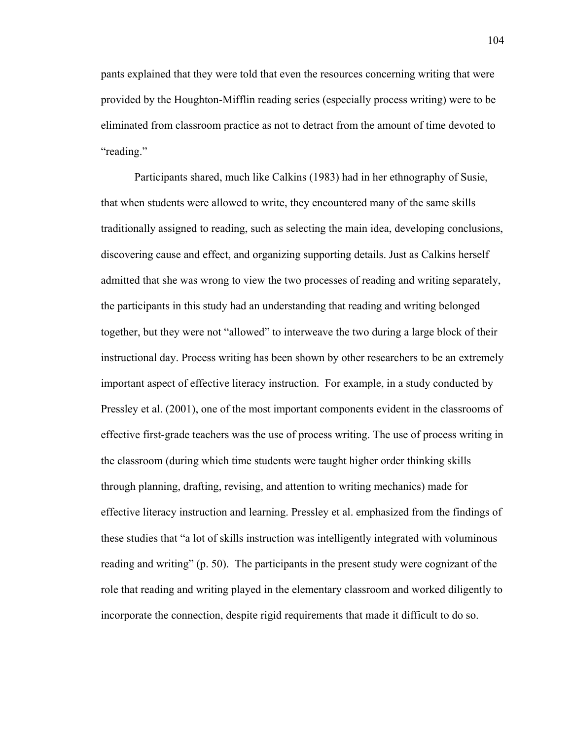pants explained that they were told that even the resources concerning writing that were provided by the Houghton-Mifflin reading series (especially process writing) were to be eliminated from classroom practice as not to detract from the amount of time devoted to "reading."

Participants shared, much like Calkins (1983) had in her ethnography of Susie, that when students were allowed to write, they encountered many of the same skills traditionally assigned to reading, such as selecting the main idea, developing conclusions, discovering cause and effect, and organizing supporting details. Just as Calkins herself admitted that she was wrong to view the two processes of reading and writing separately, the participants in this study had an understanding that reading and writing belonged together, but they were not "allowed" to interweave the two during a large block of their instructional day. Process writing has been shown by other researchers to be an extremely important aspect of effective literacy instruction. For example, in a study conducted by Pressley et al. (2001), one of the most important components evident in the classrooms of effective first-grade teachers was the use of process writing. The use of process writing in the classroom (during which time students were taught higher order thinking skills through planning, drafting, revising, and attention to writing mechanics) made for effective literacy instruction and learning. Pressley et al. emphasized from the findings of these studies that "a lot of skills instruction was intelligently integrated with voluminous reading and writing" (p. 50). The participants in the present study were cognizant of the role that reading and writing played in the elementary classroom and worked diligently to incorporate the connection, despite rigid requirements that made it difficult to do so.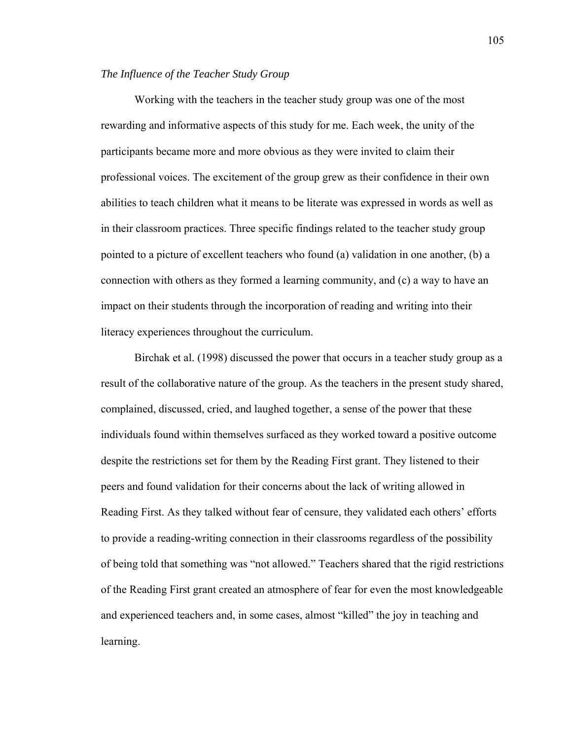#### *The Influence of the Teacher Study Group*

 Working with the teachers in the teacher study group was one of the most rewarding and informative aspects of this study for me. Each week, the unity of the participants became more and more obvious as they were invited to claim their professional voices. The excitement of the group grew as their confidence in their own abilities to teach children what it means to be literate was expressed in words as well as in their classroom practices. Three specific findings related to the teacher study group pointed to a picture of excellent teachers who found (a) validation in one another, (b) a connection with others as they formed a learning community, and (c) a way to have an impact on their students through the incorporation of reading and writing into their literacy experiences throughout the curriculum.

 Birchak et al. (1998) discussed the power that occurs in a teacher study group as a result of the collaborative nature of the group. As the teachers in the present study shared, complained, discussed, cried, and laughed together, a sense of the power that these individuals found within themselves surfaced as they worked toward a positive outcome despite the restrictions set for them by the Reading First grant. They listened to their peers and found validation for their concerns about the lack of writing allowed in Reading First. As they talked without fear of censure, they validated each others' efforts to provide a reading-writing connection in their classrooms regardless of the possibility of being told that something was "not allowed." Teachers shared that the rigid restrictions of the Reading First grant created an atmosphere of fear for even the most knowledgeable and experienced teachers and, in some cases, almost "killed" the joy in teaching and learning.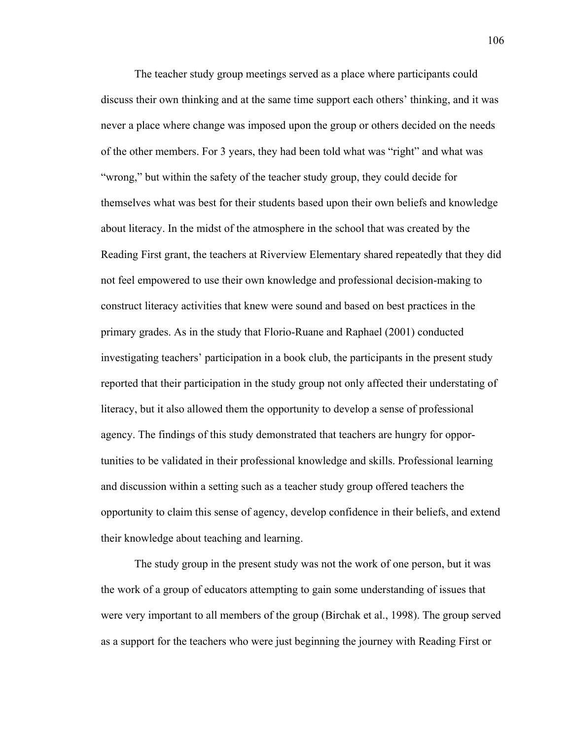The teacher study group meetings served as a place where participants could discuss their own thinking and at the same time support each others' thinking, and it was never a place where change was imposed upon the group or others decided on the needs of the other members. For 3 years, they had been told what was "right" and what was "wrong," but within the safety of the teacher study group, they could decide for themselves what was best for their students based upon their own beliefs and knowledge about literacy. In the midst of the atmosphere in the school that was created by the Reading First grant, the teachers at Riverview Elementary shared repeatedly that they did not feel empowered to use their own knowledge and professional decision-making to construct literacy activities that knew were sound and based on best practices in the primary grades. As in the study that Florio-Ruane and Raphael (2001) conducted investigating teachers' participation in a book club, the participants in the present study reported that their participation in the study group not only affected their understating of literacy, but it also allowed them the opportunity to develop a sense of professional agency. The findings of this study demonstrated that teachers are hungry for opportunities to be validated in their professional knowledge and skills. Professional learning and discussion within a setting such as a teacher study group offered teachers the opportunity to claim this sense of agency, develop confidence in their beliefs, and extend their knowledge about teaching and learning.

The study group in the present study was not the work of one person, but it was the work of a group of educators attempting to gain some understanding of issues that were very important to all members of the group (Birchak et al., 1998). The group served as a support for the teachers who were just beginning the journey with Reading First or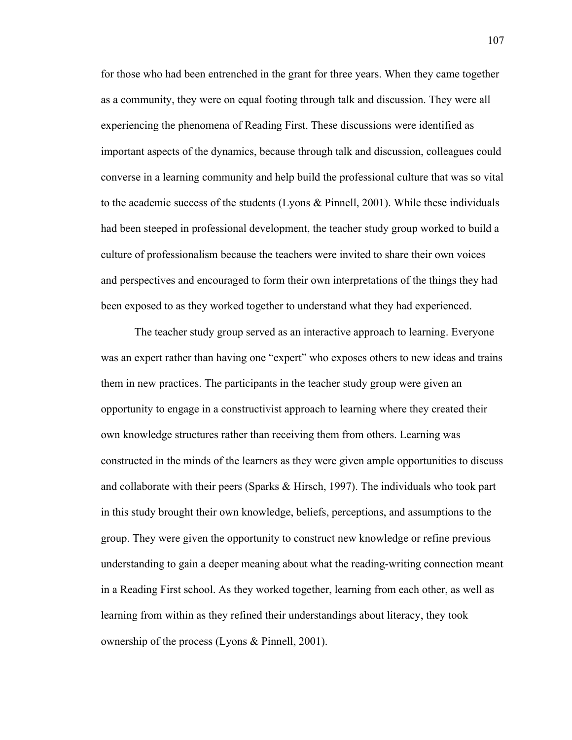for those who had been entrenched in the grant for three years. When they came together as a community, they were on equal footing through talk and discussion. They were all experiencing the phenomena of Reading First. These discussions were identified as important aspects of the dynamics, because through talk and discussion, colleagues could converse in a learning community and help build the professional culture that was so vital to the academic success of the students (Lyons & Pinnell, 2001). While these individuals had been steeped in professional development, the teacher study group worked to build a culture of professionalism because the teachers were invited to share their own voices and perspectives and encouraged to form their own interpretations of the things they had been exposed to as they worked together to understand what they had experienced.

The teacher study group served as an interactive approach to learning. Everyone was an expert rather than having one "expert" who exposes others to new ideas and trains them in new practices. The participants in the teacher study group were given an opportunity to engage in a constructivist approach to learning where they created their own knowledge structures rather than receiving them from others. Learning was constructed in the minds of the learners as they were given ample opportunities to discuss and collaborate with their peers (Sparks & Hirsch, 1997). The individuals who took part in this study brought their own knowledge, beliefs, perceptions, and assumptions to the group. They were given the opportunity to construct new knowledge or refine previous understanding to gain a deeper meaning about what the reading-writing connection meant in a Reading First school. As they worked together, learning from each other, as well as learning from within as they refined their understandings about literacy, they took ownership of the process (Lyons & Pinnell, 2001).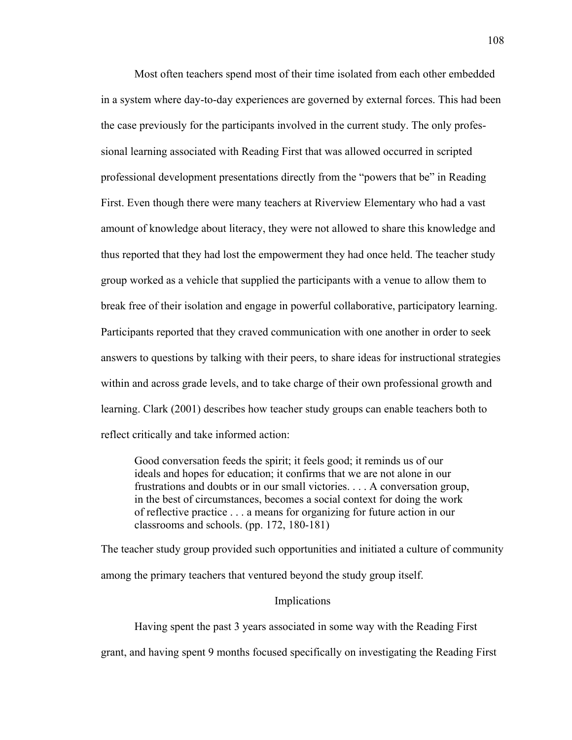Most often teachers spend most of their time isolated from each other embedded in a system where day-to-day experiences are governed by external forces. This had been the case previously for the participants involved in the current study. The only professional learning associated with Reading First that was allowed occurred in scripted professional development presentations directly from the "powers that be" in Reading First. Even though there were many teachers at Riverview Elementary who had a vast amount of knowledge about literacy, they were not allowed to share this knowledge and thus reported that they had lost the empowerment they had once held. The teacher study group worked as a vehicle that supplied the participants with a venue to allow them to break free of their isolation and engage in powerful collaborative, participatory learning. Participants reported that they craved communication with one another in order to seek answers to questions by talking with their peers, to share ideas for instructional strategies within and across grade levels, and to take charge of their own professional growth and learning. Clark (2001) describes how teacher study groups can enable teachers both to reflect critically and take informed action:

Good conversation feeds the spirit; it feels good; it reminds us of our ideals and hopes for education; it confirms that we are not alone in our frustrations and doubts or in our small victories. . . . A conversation group, in the best of circumstances, becomes a social context for doing the work of reflective practice . . . a means for organizing for future action in our classrooms and schools. (pp. 172, 180-181)

The teacher study group provided such opportunities and initiated a culture of community among the primary teachers that ventured beyond the study group itself.

### Implications

Having spent the past 3 years associated in some way with the Reading First

grant, and having spent 9 months focused specifically on investigating the Reading First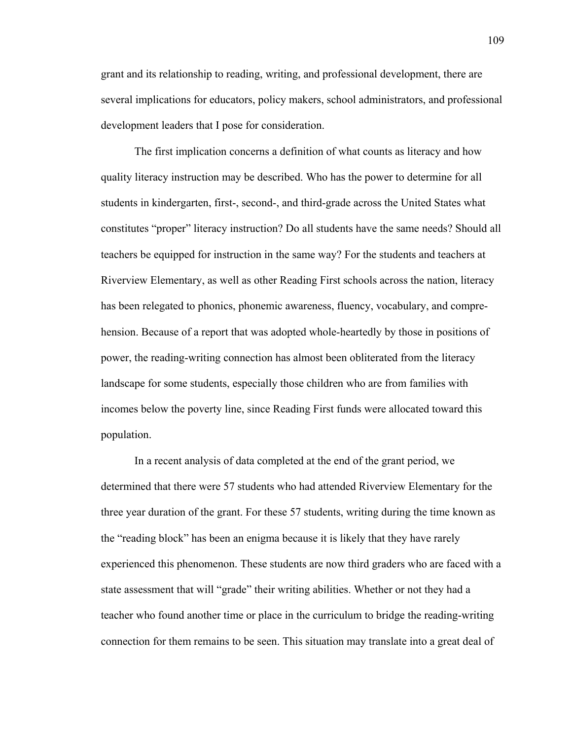grant and its relationship to reading, writing, and professional development, there are several implications for educators, policy makers, school administrators, and professional development leaders that I pose for consideration.

 The first implication concerns a definition of what counts as literacy and how quality literacy instruction may be described. Who has the power to determine for all students in kindergarten, first-, second-, and third-grade across the United States what constitutes "proper" literacy instruction? Do all students have the same needs? Should all teachers be equipped for instruction in the same way? For the students and teachers at Riverview Elementary, as well as other Reading First schools across the nation, literacy has been relegated to phonics, phonemic awareness, fluency, vocabulary, and comprehension. Because of a report that was adopted whole-heartedly by those in positions of power, the reading-writing connection has almost been obliterated from the literacy landscape for some students, especially those children who are from families with incomes below the poverty line, since Reading First funds were allocated toward this population.

In a recent analysis of data completed at the end of the grant period, we determined that there were 57 students who had attended Riverview Elementary for the three year duration of the grant. For these 57 students, writing during the time known as the "reading block" has been an enigma because it is likely that they have rarely experienced this phenomenon. These students are now third graders who are faced with a state assessment that will "grade" their writing abilities. Whether or not they had a teacher who found another time or place in the curriculum to bridge the reading-writing connection for them remains to be seen. This situation may translate into a great deal of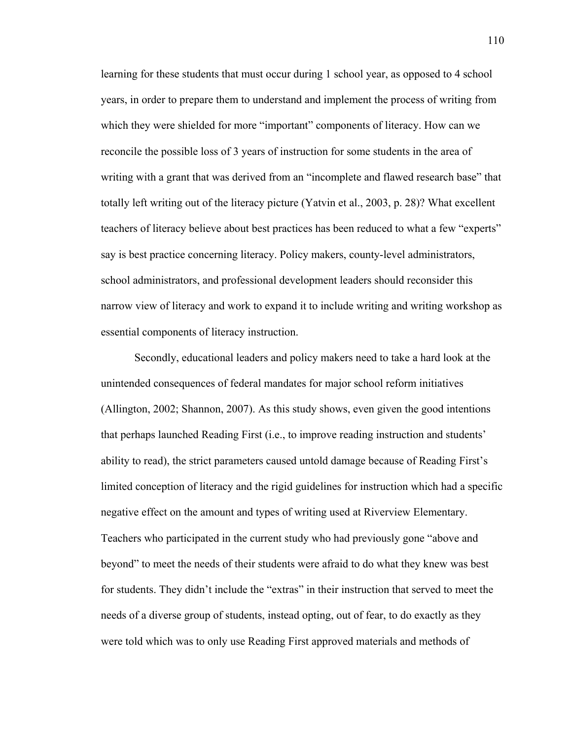learning for these students that must occur during 1 school year, as opposed to 4 school years, in order to prepare them to understand and implement the process of writing from which they were shielded for more "important" components of literacy. How can we reconcile the possible loss of 3 years of instruction for some students in the area of writing with a grant that was derived from an "incomplete and flawed research base" that totally left writing out of the literacy picture (Yatvin et al., 2003, p. 28)? What excellent teachers of literacy believe about best practices has been reduced to what a few "experts" say is best practice concerning literacy. Policy makers, county-level administrators, school administrators, and professional development leaders should reconsider this narrow view of literacy and work to expand it to include writing and writing workshop as essential components of literacy instruction.

Secondly, educational leaders and policy makers need to take a hard look at the unintended consequences of federal mandates for major school reform initiatives (Allington, 2002; Shannon, 2007). As this study shows, even given the good intentions that perhaps launched Reading First (i.e., to improve reading instruction and students' ability to read), the strict parameters caused untold damage because of Reading First's limited conception of literacy and the rigid guidelines for instruction which had a specific negative effect on the amount and types of writing used at Riverview Elementary. Teachers who participated in the current study who had previously gone "above and beyond" to meet the needs of their students were afraid to do what they knew was best for students. They didn't include the "extras" in their instruction that served to meet the needs of a diverse group of students, instead opting, out of fear, to do exactly as they were told which was to only use Reading First approved materials and methods of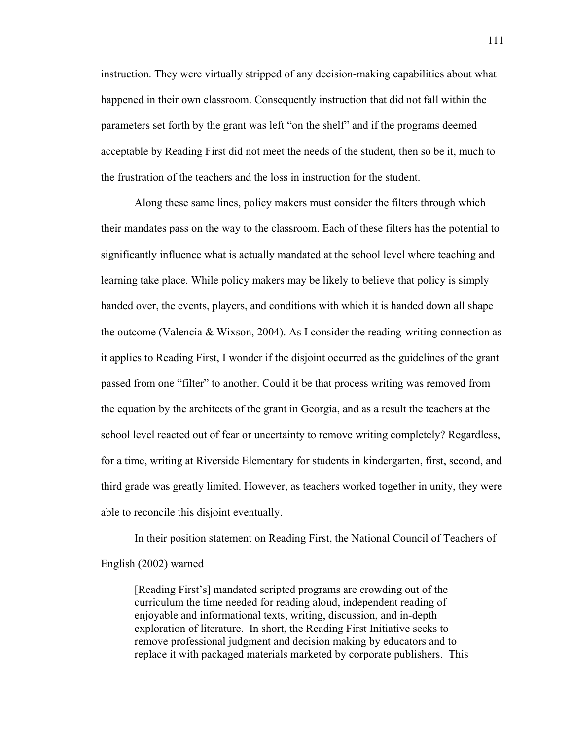instruction. They were virtually stripped of any decision-making capabilities about what happened in their own classroom. Consequently instruction that did not fall within the parameters set forth by the grant was left "on the shelf" and if the programs deemed acceptable by Reading First did not meet the needs of the student, then so be it, much to the frustration of the teachers and the loss in instruction for the student.

Along these same lines, policy makers must consider the filters through which their mandates pass on the way to the classroom. Each of these filters has the potential to significantly influence what is actually mandated at the school level where teaching and learning take place. While policy makers may be likely to believe that policy is simply handed over, the events, players, and conditions with which it is handed down all shape the outcome (Valencia & Wixson, 2004). As I consider the reading-writing connection as it applies to Reading First, I wonder if the disjoint occurred as the guidelines of the grant passed from one "filter" to another. Could it be that process writing was removed from the equation by the architects of the grant in Georgia, and as a result the teachers at the school level reacted out of fear or uncertainty to remove writing completely? Regardless, for a time, writing at Riverside Elementary for students in kindergarten, first, second, and third grade was greatly limited. However, as teachers worked together in unity, they were able to reconcile this disjoint eventually.

 In their position statement on Reading First, the National Council of Teachers of English (2002) warned

[Reading First's] mandated scripted programs are crowding out of the curriculum the time needed for reading aloud, independent reading of enjoyable and informational texts, writing, discussion, and in-depth exploration of literature. In short, the Reading First Initiative seeks to remove professional judgment and decision making by educators and to replace it with packaged materials marketed by corporate publishers. This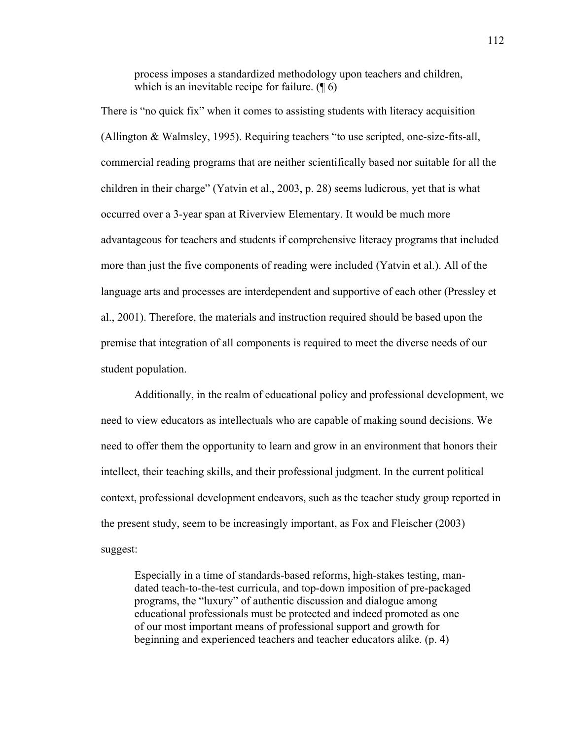process imposes a standardized methodology upon teachers and children, which is an inevitable recipe for failure.  $(\P 6)$ 

There is "no quick fix" when it comes to assisting students with literacy acquisition (Allington & Walmsley, 1995). Requiring teachers "to use scripted, one-size-fits-all, commercial reading programs that are neither scientifically based nor suitable for all the children in their charge" (Yatvin et al., 2003, p. 28) seems ludicrous, yet that is what occurred over a 3-year span at Riverview Elementary. It would be much more advantageous for teachers and students if comprehensive literacy programs that included more than just the five components of reading were included (Yatvin et al.). All of the language arts and processes are interdependent and supportive of each other (Pressley et al., 2001). Therefore, the materials and instruction required should be based upon the premise that integration of all components is required to meet the diverse needs of our student population.

Additionally, in the realm of educational policy and professional development, we need to view educators as intellectuals who are capable of making sound decisions. We need to offer them the opportunity to learn and grow in an environment that honors their intellect, their teaching skills, and their professional judgment. In the current political context, professional development endeavors, such as the teacher study group reported in the present study, seem to be increasingly important, as Fox and Fleischer (2003) suggest:

Especially in a time of standards-based reforms, high-stakes testing, mandated teach-to-the-test curricula, and top-down imposition of pre-packaged programs, the "luxury" of authentic discussion and dialogue among educational professionals must be protected and indeed promoted as one of our most important means of professional support and growth for beginning and experienced teachers and teacher educators alike. (p. 4)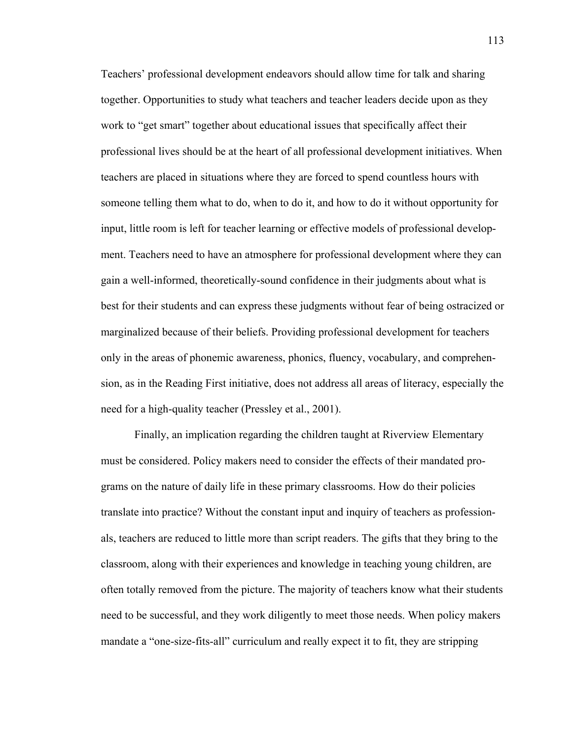Teachers' professional development endeavors should allow time for talk and sharing together. Opportunities to study what teachers and teacher leaders decide upon as they work to "get smart" together about educational issues that specifically affect their professional lives should be at the heart of all professional development initiatives. When teachers are placed in situations where they are forced to spend countless hours with someone telling them what to do, when to do it, and how to do it without opportunity for input, little room is left for teacher learning or effective models of professional development. Teachers need to have an atmosphere for professional development where they can gain a well-informed, theoretically-sound confidence in their judgments about what is best for their students and can express these judgments without fear of being ostracized or marginalized because of their beliefs. Providing professional development for teachers only in the areas of phonemic awareness, phonics, fluency, vocabulary, and comprehension, as in the Reading First initiative, does not address all areas of literacy, especially the need for a high-quality teacher (Pressley et al., 2001).

Finally, an implication regarding the children taught at Riverview Elementary must be considered. Policy makers need to consider the effects of their mandated programs on the nature of daily life in these primary classrooms. How do their policies translate into practice? Without the constant input and inquiry of teachers as professionals, teachers are reduced to little more than script readers. The gifts that they bring to the classroom, along with their experiences and knowledge in teaching young children, are often totally removed from the picture. The majority of teachers know what their students need to be successful, and they work diligently to meet those needs. When policy makers mandate a "one-size-fits-all" curriculum and really expect it to fit, they are stripping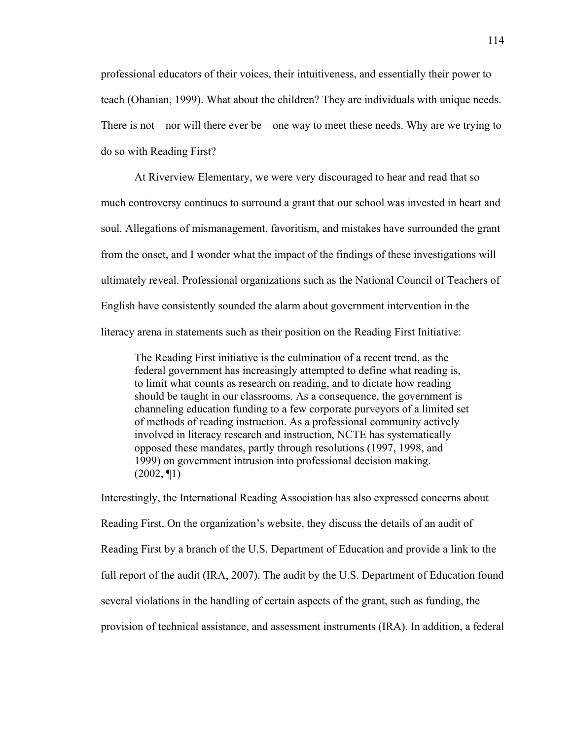professional educators of their voices, their intuitiveness, and essentially their power to teach (Ohanian, 1999). What about the children? They are individuals with unique needs. There is not—nor will there ever be—one way to meet these needs. Why are we trying to do so with Reading First?

At Riverview Elementary, we were very discouraged to hear and read that so much controversy continues to surround a grant that our school was invested in heart and soul. Allegations of mismanagement, favoritism, and mistakes have surrounded the grant from the onset, and I wonder what the impact of the findings of these investigations will ultimately reveal. Professional organizations such as the National Council of Teachers of English have consistently sounded the alarm about government intervention in the literacy arena in statements such as their position on the Reading First Initiative:

The Reading First initiative is the culmination of a recent trend, as the federal government has increasingly attempted to define what reading is, to limit what counts as research on reading, and to dictate how reading should be taught in our classrooms. As a consequence, the government is channeling education funding to a few corporate purveyors of a limited set of methods of reading instruction. As a professional community actively involved in literacy research and instruction, NCTE has systematically opposed these mandates, partly through resolutions (1997, 1998, and 1999) on government intrusion into professional decision making.  $(2002, \P1)$ 

Interestingly, the International Reading Association has also expressed concerns about Reading First. On the organization's website, they discuss the details of an audit of Reading First by a branch of the U.S. Department of Education and provide a link to the full report of the audit (IRA, 2007). The audit by the U.S. Department of Education found several violations in the handling of certain aspects of the grant, such as funding, the provision of technical assistance, and assessment instruments (IRA). In addition, a federal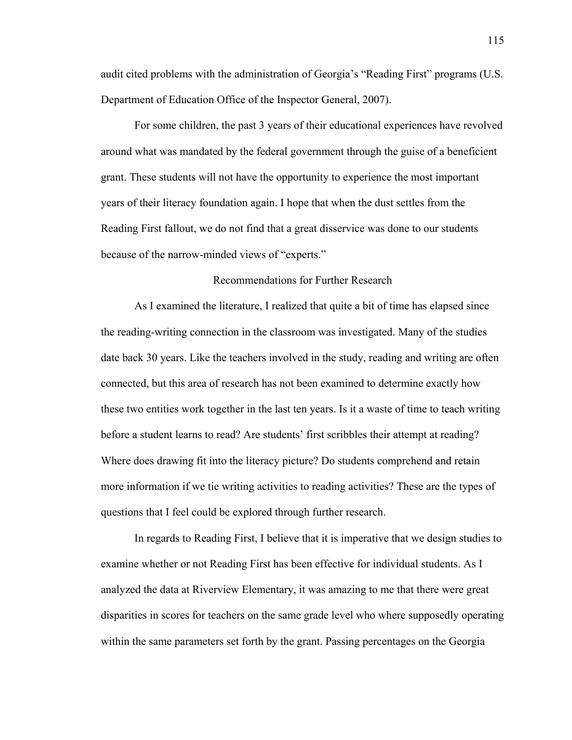audit cited problems with the administration of Georgia's "Reading First" programs (U.S. Department of Education Office of the Inspector General, 2007).

For some children, the past 3 years of their educational experiences have revolved around what was mandated by the federal government through the guise of a beneficient grant. These students will not have the opportunity to experience the most important years of their literacy foundation again. I hope that when the dust settles from the Reading First fallout, we do not find that a great disservice was done to our students because of the narrow-minded views of "experts."

### Recommendations for Further Research

 As I examined the literature, I realized that quite a bit of time has elapsed since the reading-writing connection in the classroom was investigated. Many of the studies date back 30 years. Like the teachers involved in the study, reading and writing are often connected, but this area of research has not been examined to determine exactly how these two entities work together in the last ten years. Is it a waste of time to teach writing before a student learns to read? Are students' first scribbles their attempt at reading? Where does drawing fit into the literacy picture? Do students comprehend and retain more information if we tie writing activities to reading activities? These are the types of questions that I feel could be explored through further research.

 In regards to Reading First, I believe that it is imperative that we design studies to examine whether or not Reading First has been effective for individual students. As I analyzed the data at Riverview Elementary, it was amazing to me that there were great disparities in scores for teachers on the same grade level who where supposedly operating within the same parameters set forth by the grant. Passing percentages on the Georgia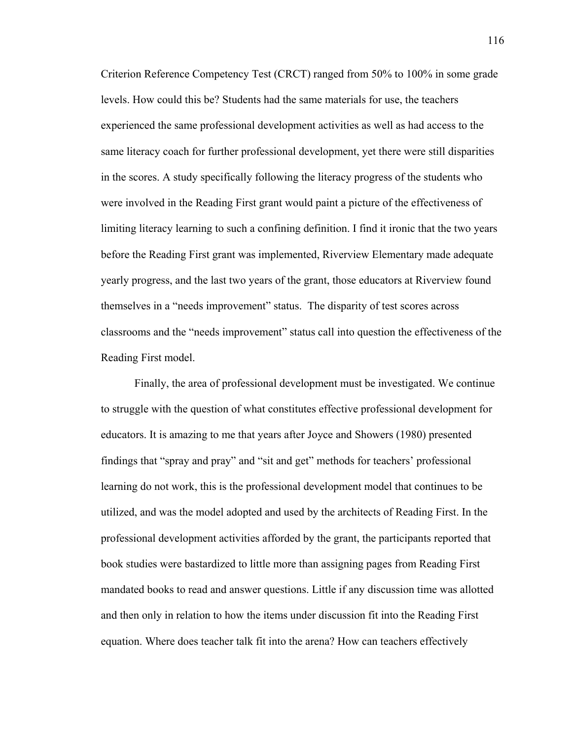Criterion Reference Competency Test (CRCT) ranged from 50% to 100% in some grade levels. How could this be? Students had the same materials for use, the teachers experienced the same professional development activities as well as had access to the same literacy coach for further professional development, yet there were still disparities in the scores. A study specifically following the literacy progress of the students who were involved in the Reading First grant would paint a picture of the effectiveness of limiting literacy learning to such a confining definition. I find it ironic that the two years before the Reading First grant was implemented, Riverview Elementary made adequate yearly progress, and the last two years of the grant, those educators at Riverview found themselves in a "needs improvement" status. The disparity of test scores across classrooms and the "needs improvement" status call into question the effectiveness of the Reading First model.

 Finally, the area of professional development must be investigated. We continue to struggle with the question of what constitutes effective professional development for educators. It is amazing to me that years after Joyce and Showers (1980) presented findings that "spray and pray" and "sit and get" methods for teachers' professional learning do not work, this is the professional development model that continues to be utilized, and was the model adopted and used by the architects of Reading First. In the professional development activities afforded by the grant, the participants reported that book studies were bastardized to little more than assigning pages from Reading First mandated books to read and answer questions. Little if any discussion time was allotted and then only in relation to how the items under discussion fit into the Reading First equation. Where does teacher talk fit into the arena? How can teachers effectively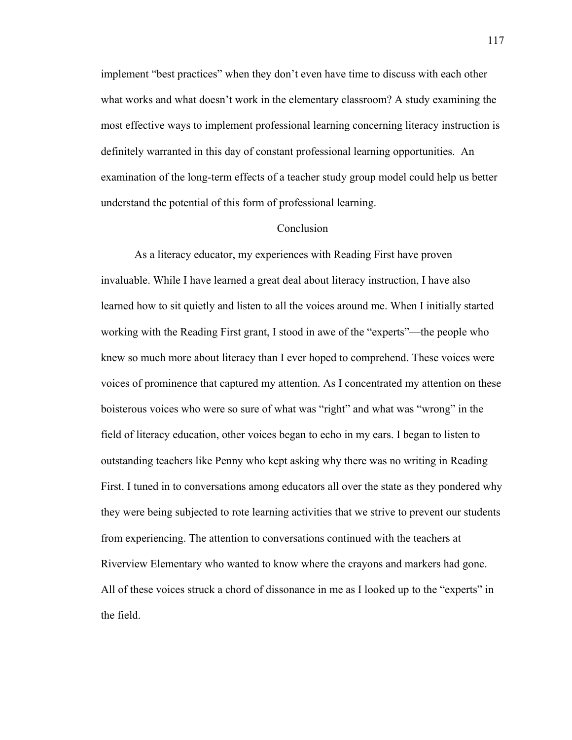implement "best practices" when they don't even have time to discuss with each other what works and what doesn't work in the elementary classroom? A study examining the most effective ways to implement professional learning concerning literacy instruction is definitely warranted in this day of constant professional learning opportunities. An examination of the long-term effects of a teacher study group model could help us better understand the potential of this form of professional learning.

## Conclusion

As a literacy educator, my experiences with Reading First have proven invaluable. While I have learned a great deal about literacy instruction, I have also learned how to sit quietly and listen to all the voices around me. When I initially started working with the Reading First grant, I stood in awe of the "experts"—the people who knew so much more about literacy than I ever hoped to comprehend. These voices were voices of prominence that captured my attention. As I concentrated my attention on these boisterous voices who were so sure of what was "right" and what was "wrong" in the field of literacy education, other voices began to echo in my ears. I began to listen to outstanding teachers like Penny who kept asking why there was no writing in Reading First. I tuned in to conversations among educators all over the state as they pondered why they were being subjected to rote learning activities that we strive to prevent our students from experiencing. The attention to conversations continued with the teachers at Riverview Elementary who wanted to know where the crayons and markers had gone. All of these voices struck a chord of dissonance in me as I looked up to the "experts" in the field.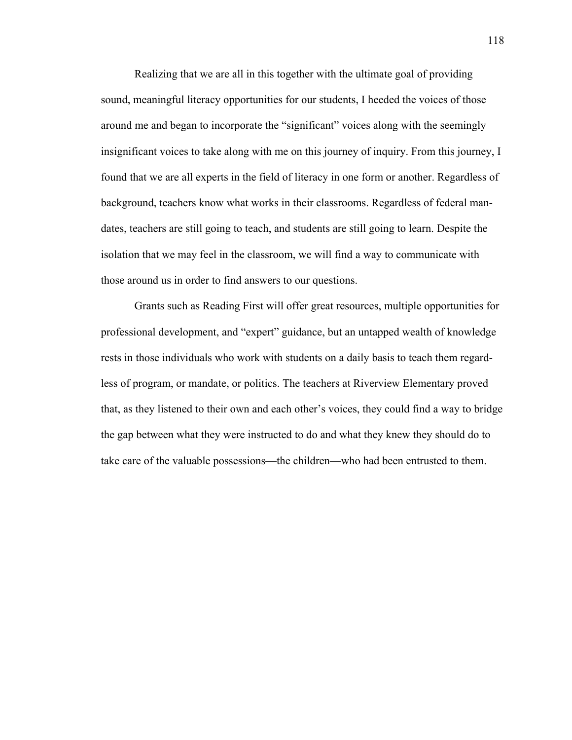Realizing that we are all in this together with the ultimate goal of providing sound, meaningful literacy opportunities for our students, I heeded the voices of those around me and began to incorporate the "significant" voices along with the seemingly insignificant voices to take along with me on this journey of inquiry. From this journey, I found that we are all experts in the field of literacy in one form or another. Regardless of background, teachers know what works in their classrooms. Regardless of federal mandates, teachers are still going to teach, and students are still going to learn. Despite the isolation that we may feel in the classroom, we will find a way to communicate with those around us in order to find answers to our questions.

Grants such as Reading First will offer great resources, multiple opportunities for professional development, and "expert" guidance, but an untapped wealth of knowledge rests in those individuals who work with students on a daily basis to teach them regardless of program, or mandate, or politics. The teachers at Riverview Elementary proved that, as they listened to their own and each other's voices, they could find a way to bridge the gap between what they were instructed to do and what they knew they should do to take care of the valuable possessions—the children—who had been entrusted to them.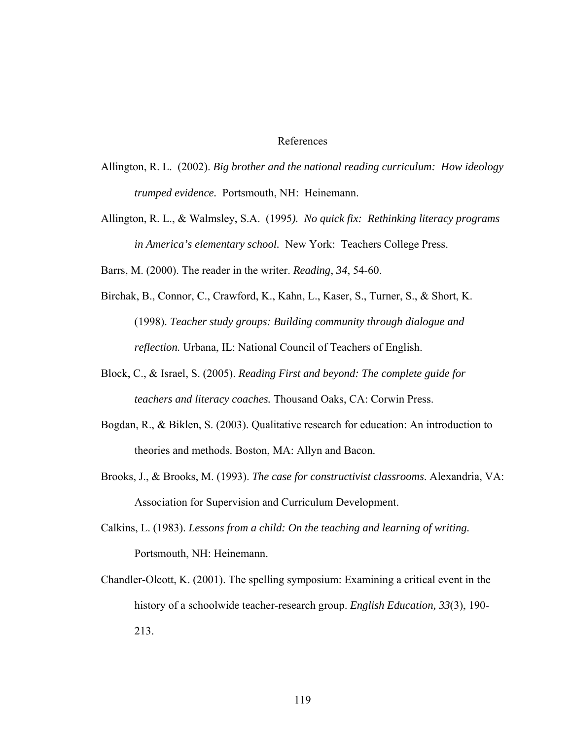### References

- Allington, R. L. (2002). *Big brother and the national reading curriculum: How ideology trumped evidence.* Portsmouth, NH: Heinemann.
- Allington, R. L., & Walmsley, S.A. (1995*). No quick fix: Rethinking literacy programs in America's elementary school.* New York: Teachers College Press.
- Barrs, M. (2000). The reader in the writer. *Reading*, *34*, 54-60.
- Birchak, B., Connor, C., Crawford, K., Kahn, L., Kaser, S., Turner, S., & Short, K. (1998). *Teacher study groups: Building community through dialogue and reflection.* Urbana, IL: National Council of Teachers of English.
- Block, C., & Israel, S. (2005). *Reading First and beyond: The complete guide for teachers and literacy coaches.* Thousand Oaks, CA: Corwin Press.
- Bogdan, R., & Biklen, S. (2003). Qualitative research for education: An introduction to theories and methods. Boston, MA: Allyn and Bacon.
- Brooks, J., & Brooks, M. (1993). *The case for constructivist classrooms*. Alexandria, VA: Association for Supervision and Curriculum Development.
- Calkins, L. (1983). *Lessons from a child: On the teaching and learning of writing.* Portsmouth, NH: Heinemann.
- Chandler-Olcott, K. (2001). The spelling symposium: Examining a critical event in the history of a schoolwide teacher-research group. *English Education, 33*(3), 190- 213.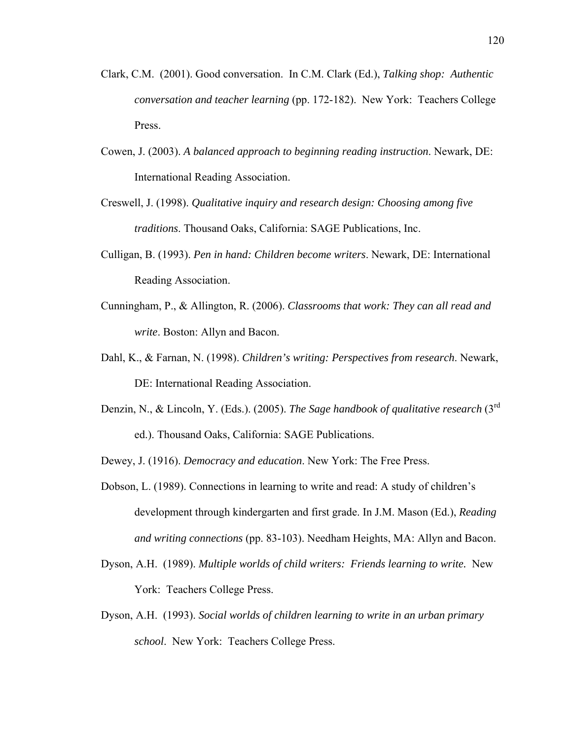- Clark, C.M. (2001). Good conversation. In C.M. Clark (Ed.), *Talking shop: Authentic conversation and teacher learning* (pp. 172-182). New York: Teachers College Press.
- Cowen, J. (2003). *A balanced approach to beginning reading instruction*. Newark, DE: International Reading Association.
- Creswell, J. (1998). *Qualitative inquiry and research design: Choosing among five traditions*. Thousand Oaks, California: SAGE Publications, Inc.
- Culligan, B. (1993). *Pen in hand: Children become writers*. Newark, DE: International Reading Association.
- Cunningham, P., & Allington, R. (2006). *Classrooms that work: They can all read and write*. Boston: Allyn and Bacon.
- Dahl, K., & Farnan, N. (1998). *Children's writing: Perspectives from research*. Newark, DE: International Reading Association.
- Denzin, N., & Lincoln, Y. (Eds.). (2005). *The Sage handbook of qualitative research* (3rd ed.). Thousand Oaks, California: SAGE Publications.

Dewey, J. (1916). *Democracy and education*. New York: The Free Press.

- Dobson, L. (1989). Connections in learning to write and read: A study of children's development through kindergarten and first grade. In J.M. Mason (Ed.), *Reading and writing connections* (pp. 83-103). Needham Heights, MA: Allyn and Bacon.
- Dyson, A.H. (1989). *Multiple worlds of child writers: Friends learning to write.* New York: Teachers College Press.
- Dyson, A.H. (1993). *Social worlds of children learning to write in an urban primary school*. New York: Teachers College Press.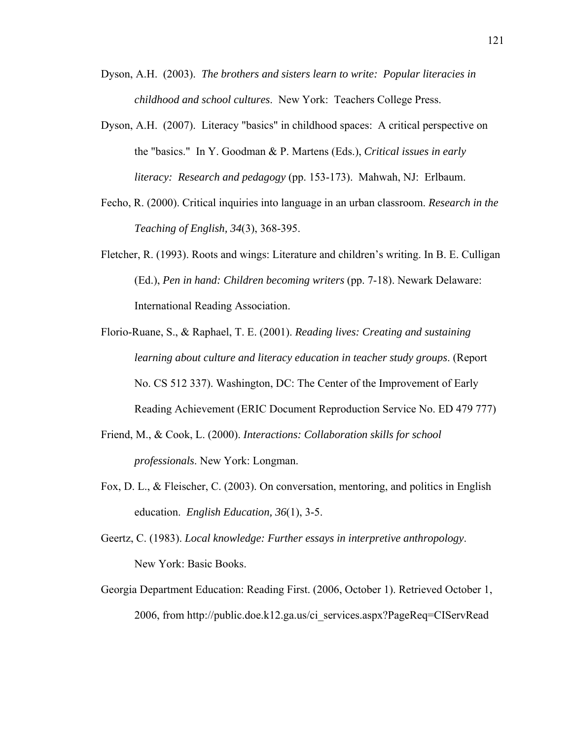- Dyson, A.H. (2003). *The brothers and sisters learn to write: Popular literacies in childhood and school cultures*. New York: Teachers College Press.
- Dyson, A.H. (2007). Literacy "basics" in childhood spaces: A critical perspective on the "basics." In Y. Goodman & P. Martens (Eds.), *Critical issues in early literacy: Research and pedagogy* (pp. 153-173). Mahwah, NJ: Erlbaum.
- Fecho, R. (2000). Critical inquiries into language in an urban classroom. *Research in the Teaching of English, 34*(3), 368-395.
- Fletcher, R. (1993). Roots and wings: Literature and children's writing. In B. E. Culligan (Ed.), *Pen in hand: Children becoming writers* (pp. 7-18). Newark Delaware: International Reading Association.
- Florio-Ruane, S., & Raphael, T. E. (2001). *Reading lives: Creating and sustaining learning about culture and literacy education in teacher study groups*. (Report No. CS 512 337). Washington, DC: The Center of the Improvement of Early Reading Achievement (ERIC Document Reproduction Service No. ED 479 777)
- Friend, M., & Cook, L. (2000). *Interactions: Collaboration skills for school professionals*. New York: Longman.
- Fox, D. L., & Fleischer, C. (2003). On conversation, mentoring, and politics in English education. *English Education, 36*(1), 3-5.
- Geertz, C. (1983). *Local knowledge: Further essays in interpretive anthropology*. New York: Basic Books.
- Georgia Department Education: Reading First. (2006, October 1). Retrieved October 1, 2006, from http://public.doe.k12.ga.us/ci\_services.aspx?PageReq=CIServRead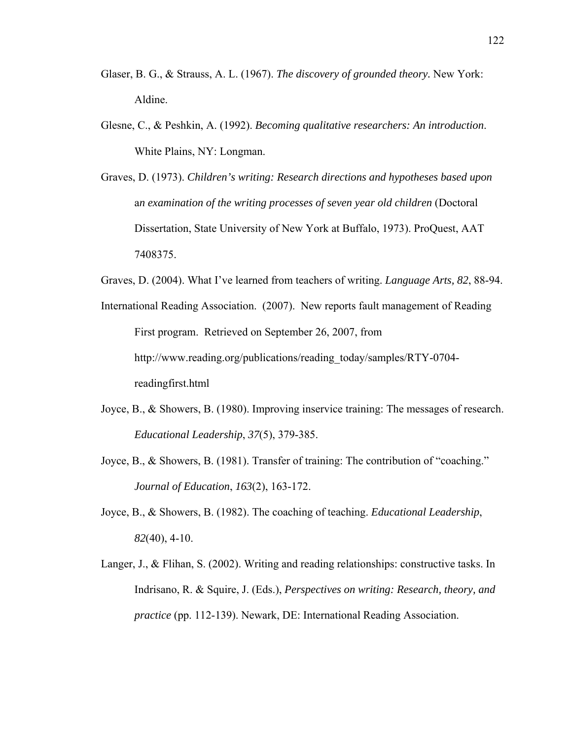- Glaser, B. G., & Strauss, A. L. (1967). *The discovery of grounded theory.* New York: Aldine.
- Glesne, C., & Peshkin, A. (1992). *Becoming qualitative researchers: An introduction*. White Plains, NY: Longman.
- Graves, D. (1973). *Children's writing: Research directions and hypotheses based upon* a*n examination of the writing processes of seven year old children* (Doctoral Dissertation, State University of New York at Buffalo, 1973). ProQuest, AAT 7408375.
- Graves, D. (2004). What I've learned from teachers of writing. *Language Arts, 82*, 88-94.
- International Reading Association. (2007). New reports fault management of Reading First program. Retrieved on September 26, 2007, from http://www.reading.org/publications/reading\_today/samples/RTY-0704 readingfirst.html
- Joyce, B., & Showers, B. (1980). Improving inservice training: The messages of research. *Educational Leadership*, *37*(5), 379-385.
- Joyce, B., & Showers, B. (1981). Transfer of training: The contribution of "coaching." *Journal of Education*, *163*(2), 163-172.
- Joyce, B., & Showers, B. (1982). The coaching of teaching. *Educational Leadership*, *82*(40), 4-10.
- Langer, J., & Flihan, S. (2002). Writing and reading relationships: constructive tasks. In Indrisano, R. & Squire, J. (Eds.), *Perspectives on writing: Research, theory, and practice* (pp. 112-139). Newark, DE: International Reading Association.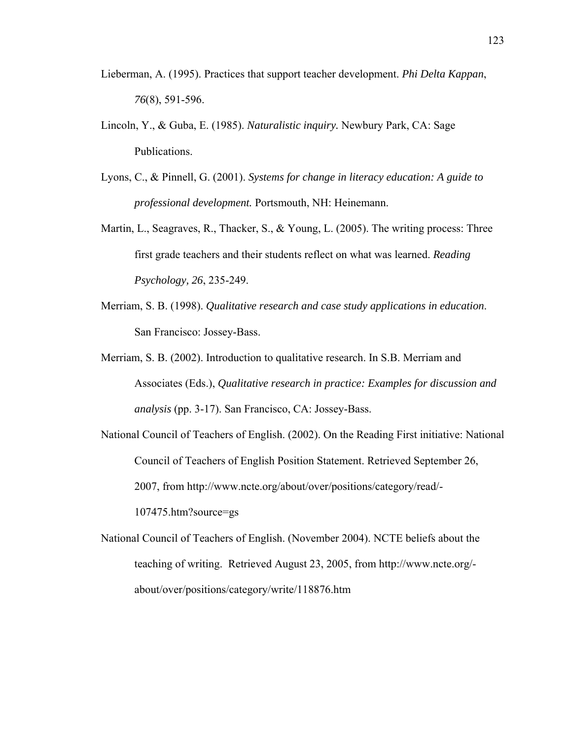- Lieberman, A. (1995). Practices that support teacher development. *Phi Delta Kappan*, *76*(8), 591-596.
- Lincoln, Y., & Guba, E. (1985). *Naturalistic inquiry.* Newbury Park, CA: Sage Publications.
- Lyons, C., & Pinnell, G. (2001). *Systems for change in literacy education: A guide to professional development.* Portsmouth, NH: Heinemann.
- Martin, L., Seagraves, R., Thacker, S., & Young, L. (2005). The writing process: Three first grade teachers and their students reflect on what was learned. *Reading Psychology, 26*, 235-249.
- Merriam, S. B. (1998). *Qualitative research and case study applications in education*. San Francisco: Jossey-Bass.
- Merriam, S. B. (2002). Introduction to qualitative research. In S.B. Merriam and Associates (Eds.), *Qualitative research in practice: Examples for discussion and analysis* (pp. 3-17). San Francisco, CA: Jossey-Bass.
- National Council of Teachers of English. (2002). On the Reading First initiative: National Council of Teachers of English Position Statement. Retrieved September 26, 2007, from http://www.ncte.org/about/over/positions/category/read/- 107475.htm?source=gs
- National Council of Teachers of English. (November 2004). NCTE beliefs about the teaching of writing. Retrieved August 23, 2005, from http://www.ncte.org/ about/over/positions/category/write/118876.htm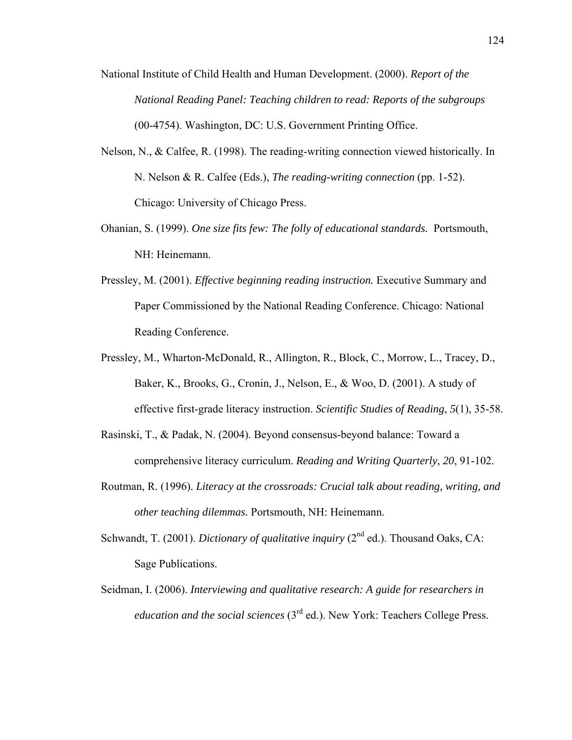- National Institute of Child Health and Human Development. (2000). *Report of the National Reading Panel: Teaching children to read: Reports of the subgroups*  (00-4754). Washington, DC: U.S. Government Printing Office.
- Nelson, N., & Calfee, R. (1998). The reading-writing connection viewed historically. In N. Nelson & R. Calfee (Eds.), *The reading-writing connection* (pp. 1-52). Chicago: University of Chicago Press.
- Ohanian, S. (1999). *One size fits few: The folly of educational standards.* Portsmouth, NH: Heinemann.
- Pressley, M. (2001). *Effective beginning reading instruction.* Executive Summary and Paper Commissioned by the National Reading Conference. Chicago: National Reading Conference.
- Pressley, M., Wharton-McDonald, R., Allington, R., Block, C., Morrow, L., Tracey, D., Baker, K., Brooks, G., Cronin, J., Nelson, E., & Woo, D. (2001). A study of effective first-grade literacy instruction. *Scientific Studies of Reading*, *5*(1), 35-58.
- Rasinski, T., & Padak, N. (2004). Beyond consensus-beyond balance: Toward a comprehensive literacy curriculum. *Reading and Writing Quarterly*, *20*, 91-102.
- Routman, R. (1996). *Literacy at the crossroads: Crucial talk about reading, writing, and other teaching dilemmas.* Portsmouth, NH: Heinemann.
- Schwandt, T. (2001). *Dictionary of qualitative inquiry* (2<sup>nd</sup> ed.). Thousand Oaks, CA: Sage Publications.
- Seidman, I. (2006). *Interviewing and qualitative research: A guide for researchers in education and the social sciences* (3<sup>rd</sup> ed.). New York: Teachers College Press.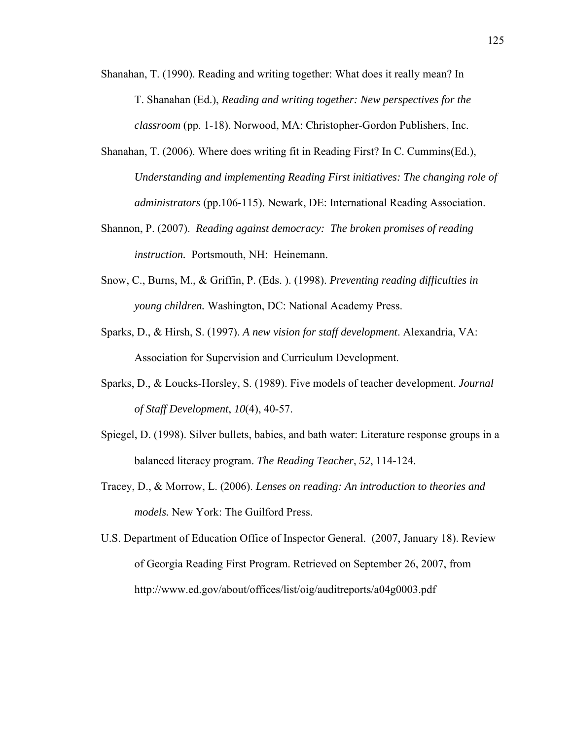- Shanahan, T. (1990). Reading and writing together: What does it really mean? In T. Shanahan (Ed.), *Reading and writing together: New perspectives for the classroom* (pp. 1-18). Norwood, MA: Christopher-Gordon Publishers, Inc.
- Shanahan, T. (2006). Where does writing fit in Reading First? In C. Cummins(Ed.), *Understanding and implementing Reading First initiatives: The changing role of administrators* (pp.106-115). Newark, DE: International Reading Association.
- Shannon, P. (2007). *Reading against democracy: The broken promises of reading instruction.* Portsmouth, NH: Heinemann.
- Snow, C., Burns, M., & Griffin, P. (Eds. ). (1998). *Preventing reading difficulties in young children.* Washington, DC: National Academy Press.
- Sparks, D., & Hirsh, S. (1997). *A new vision for staff development*. Alexandria, VA: Association for Supervision and Curriculum Development.
- Sparks, D., & Loucks-Horsley, S. (1989). Five models of teacher development. *Journal of Staff Development*, *10*(4), 40-57.
- Spiegel, D. (1998). Silver bullets, babies, and bath water: Literature response groups in a balanced literacy program. *The Reading Teacher*, *52*, 114-124.
- Tracey, D., & Morrow, L. (2006). *Lenses on reading: An introduction to theories and models.* New York: The Guilford Press.
- U.S. Department of Education Office of Inspector General. (2007, January 18). Review of Georgia Reading First Program. Retrieved on September 26, 2007, from http://www.ed.gov/about/offices/list/oig/auditreports/a04g0003.pdf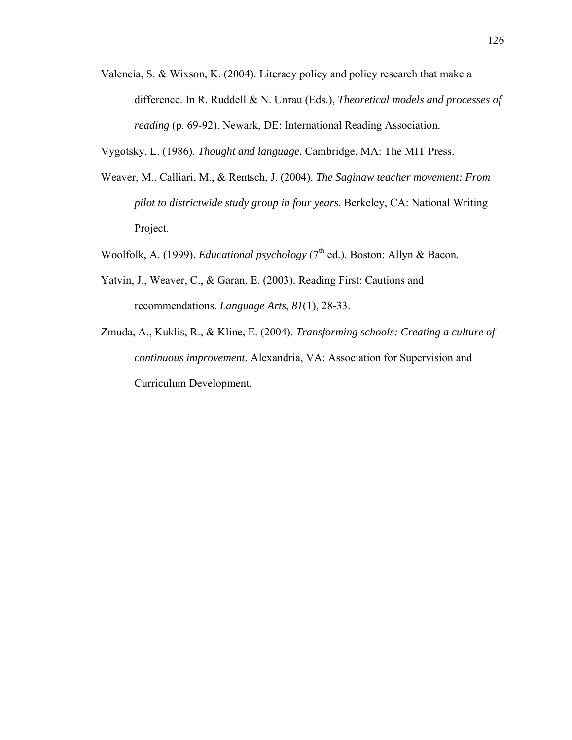Valencia, S. & Wixson, K. (2004). Literacy policy and policy research that make a difference. In R. Ruddell & N. Unrau (Eds.), *Theoretical models and processes of reading* (p. 69-92). Newark, DE: International Reading Association.

Vygotsky, L. (1986). *Thought and language.* Cambridge, MA: The MIT Press.

- Weaver, M., Calliari, M., & Rentsch, J. (2004). *The Saginaw teacher movement: From pilot to districtwide study group in four years*. Berkeley, CA: National Writing Project.
- Woolfolk, A. (1999). *Educational psychology* (7<sup>th</sup> ed.). Boston: Allyn & Bacon.
- Yatvin, J., Weaver, C., & Garan, E. (2003). Reading First: Cautions and recommendations. *Language Arts*, *81*(1), 28-33.
- Zmuda, A., Kuklis, R., & Kline, E. (2004). *Transforming schools: Creating a culture of continuous improvement.* Alexandria, VA: Association for Supervision and Curriculum Development.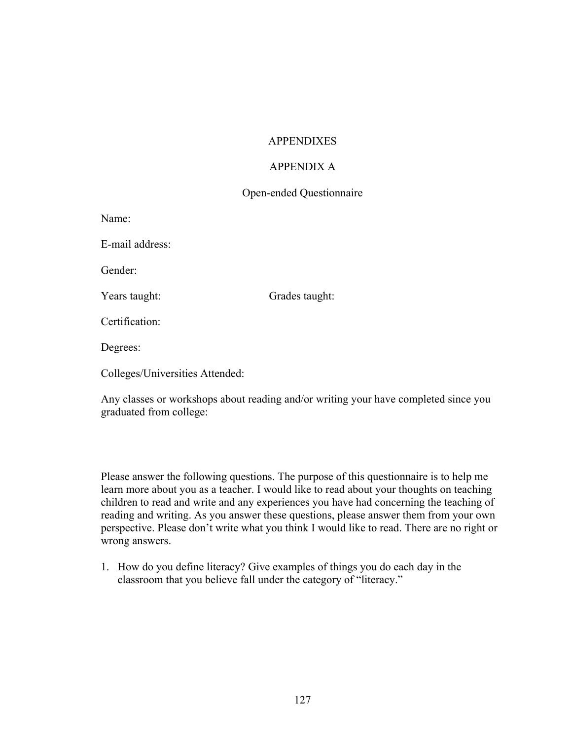## **APPENDIXES**

## APPENDIX A

## Open-ended Questionnaire

| Name: |  |
|-------|--|
|       |  |

E-mail address:

Gender:

Years taught: Grades taught:

Certification:

Degrees:

Colleges/Universities Attended:

Any classes or workshops about reading and/or writing your have completed since you graduated from college:

Please answer the following questions. The purpose of this questionnaire is to help me learn more about you as a teacher. I would like to read about your thoughts on teaching children to read and write and any experiences you have had concerning the teaching of reading and writing. As you answer these questions, please answer them from your own perspective. Please don't write what you think I would like to read. There are no right or wrong answers.

1. How do you define literacy? Give examples of things you do each day in the classroom that you believe fall under the category of "literacy."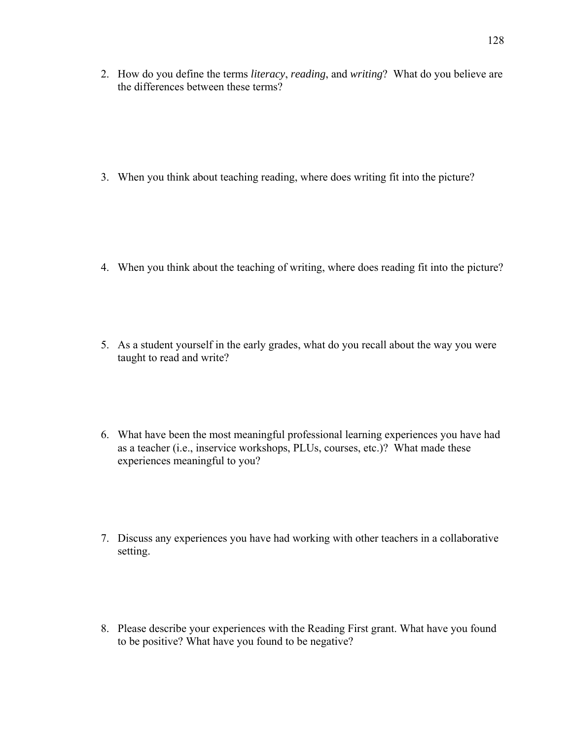2. How do you define the terms *literacy*, *reading*, and *writing*? What do you believe are the differences between these terms?

3. When you think about teaching reading, where does writing fit into the picture?

- 4. When you think about the teaching of writing, where does reading fit into the picture?
- 5. As a student yourself in the early grades, what do you recall about the way you were taught to read and write?
- 6. What have been the most meaningful professional learning experiences you have had as a teacher (i.e., inservice workshops, PLUs, courses, etc.)? What made these experiences meaningful to you?
- 7. Discuss any experiences you have had working with other teachers in a collaborative setting.
- 8. Please describe your experiences with the Reading First grant. What have you found to be positive? What have you found to be negative?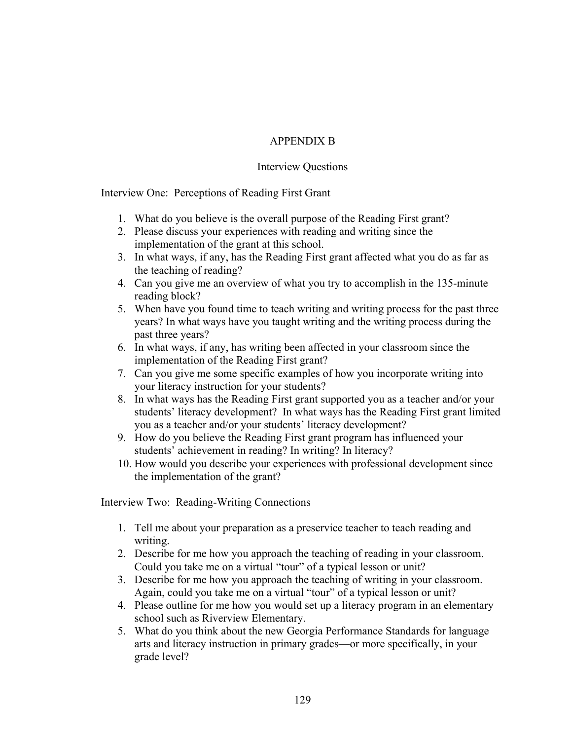# APPENDIX B

## Interview Questions

Interview One: Perceptions of Reading First Grant

- 1. What do you believe is the overall purpose of the Reading First grant?
- 2. Please discuss your experiences with reading and writing since the implementation of the grant at this school.
- 3. In what ways, if any, has the Reading First grant affected what you do as far as the teaching of reading?
- 4. Can you give me an overview of what you try to accomplish in the 135-minute reading block?
- 5. When have you found time to teach writing and writing process for the past three years? In what ways have you taught writing and the writing process during the past three years?
- 6. In what ways, if any, has writing been affected in your classroom since the implementation of the Reading First grant?
- 7. Can you give me some specific examples of how you incorporate writing into your literacy instruction for your students?
- 8. In what ways has the Reading First grant supported you as a teacher and/or your students' literacy development? In what ways has the Reading First grant limited you as a teacher and/or your students' literacy development?
- 9. How do you believe the Reading First grant program has influenced your students' achievement in reading? In writing? In literacy?
- 10. How would you describe your experiences with professional development since the implementation of the grant?

Interview Two: Reading-Writing Connections

- 1. Tell me about your preparation as a preservice teacher to teach reading and writing.
- 2. Describe for me how you approach the teaching of reading in your classroom. Could you take me on a virtual "tour" of a typical lesson or unit?
- 3. Describe for me how you approach the teaching of writing in your classroom. Again, could you take me on a virtual "tour" of a typical lesson or unit?
- 4. Please outline for me how you would set up a literacy program in an elementary school such as Riverview Elementary.
- 5. What do you think about the new Georgia Performance Standards for language arts and literacy instruction in primary grades—or more specifically, in your grade level?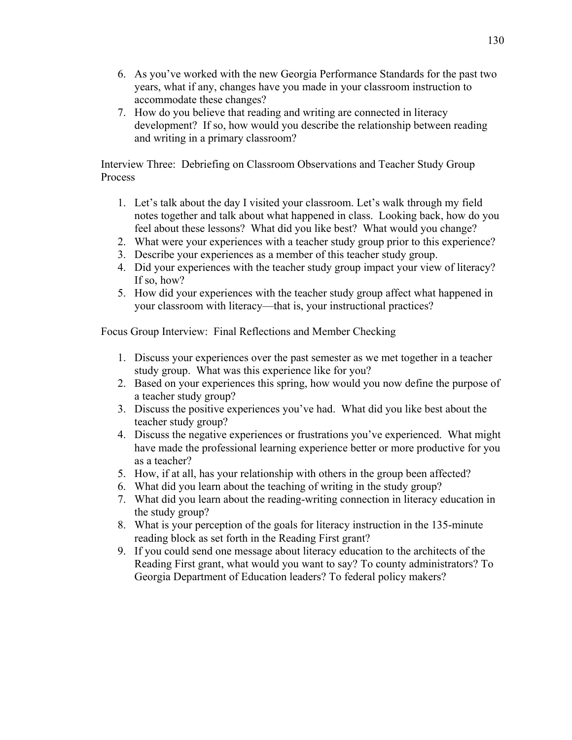- 6. As you've worked with the new Georgia Performance Standards for the past two years, what if any, changes have you made in your classroom instruction to accommodate these changes?
- 7. How do you believe that reading and writing are connected in literacy development? If so, how would you describe the relationship between reading and writing in a primary classroom?

Interview Three: Debriefing on Classroom Observations and Teacher Study Group Process

- 1. Let's talk about the day I visited your classroom. Let's walk through my field notes together and talk about what happened in class. Looking back, how do you feel about these lessons? What did you like best? What would you change?
- 2. What were your experiences with a teacher study group prior to this experience?
- 3. Describe your experiences as a member of this teacher study group.
- 4. Did your experiences with the teacher study group impact your view of literacy? If so, how?
- 5. How did your experiences with the teacher study group affect what happened in your classroom with literacy—that is, your instructional practices?

Focus Group Interview: Final Reflections and Member Checking

- 1. Discuss your experiences over the past semester as we met together in a teacher study group. What was this experience like for you?
- 2. Based on your experiences this spring, how would you now define the purpose of a teacher study group?
- 3. Discuss the positive experiences you've had. What did you like best about the teacher study group?
- 4. Discuss the negative experiences or frustrations you've experienced. What might have made the professional learning experience better or more productive for you as a teacher?
- 5. How, if at all, has your relationship with others in the group been affected?
- 6. What did you learn about the teaching of writing in the study group?
- 7. What did you learn about the reading-writing connection in literacy education in the study group?
- 8. What is your perception of the goals for literacy instruction in the 135-minute reading block as set forth in the Reading First grant?
- 9. If you could send one message about literacy education to the architects of the Reading First grant, what would you want to say? To county administrators? To Georgia Department of Education leaders? To federal policy makers?